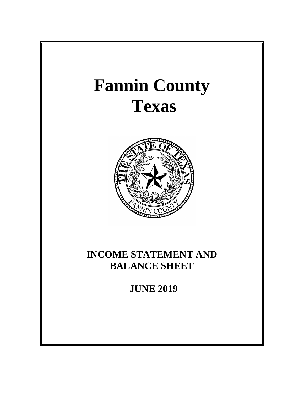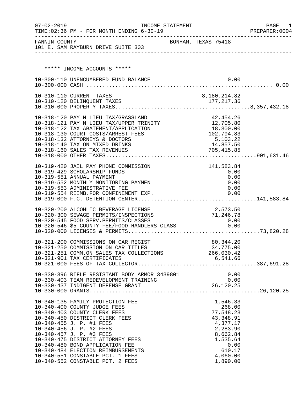| $07 - 02 - 2019$ | TIME: 02:36 PM - FOR MONTH ENDING 6-30-19                                                                                                                                                                                                                                                                                                                                                                    | INCOME STATEMENT    |                          |                                                                                                                                         | PAGE<br>1<br>PREPARER: 0004 |
|------------------|--------------------------------------------------------------------------------------------------------------------------------------------------------------------------------------------------------------------------------------------------------------------------------------------------------------------------------------------------------------------------------------------------------------|---------------------|--------------------------|-----------------------------------------------------------------------------------------------------------------------------------------|-----------------------------|
|                  | FANNIN COUNTY<br>101 E. SAM RAYBURN DRIVE SUITE 303                                                                                                                                                                                                                                                                                                                                                          | BONHAM, TEXAS 75418 |                          |                                                                                                                                         |                             |
|                  |                                                                                                                                                                                                                                                                                                                                                                                                              |                     |                          |                                                                                                                                         |                             |
|                  | ***** INCOME ACCOUNTS *****                                                                                                                                                                                                                                                                                                                                                                                  |                     |                          |                                                                                                                                         |                             |
|                  | 10-300-110 UNENCUMBERED FUND BALANCE                                                                                                                                                                                                                                                                                                                                                                         |                     |                          | 0.00                                                                                                                                    |                             |
|                  | 10-310-110 CURRENT TAXES                                                                                                                                                                                                                                                                                                                                                                                     |                     | 8,180,214.82             |                                                                                                                                         |                             |
|                  |                                                                                                                                                                                                                                                                                                                                                                                                              |                     |                          |                                                                                                                                         |                             |
|                  | 10-318-120 PAY N LIEU TAX/GRASSLAND<br>10-318-121 PAY N LIEU TAX/UPPER TRINITY 12,705.80<br>10-318-122 TAX ABATEMENT/APPLICATION<br>10-318-130 COURT COSTS/ARREST FEES<br>10-318-132 ATTORNEYS & DOCTORS<br>10-318-140 TAX ON MIXED DRINKS<br>10-318-160 SALES TAX REVENUES                                                                                                                                  |                     | 102,794.83<br>705,415.85 | 42, 454.26<br>18,300.00<br>5,103.22<br>14,857.50                                                                                        |                             |
|                  | 10-319-420 JAIL PAY PHONE COMMISSION<br>10-319-429 SCHOLARSHIP FUNDS<br>10-319-551 ANNUAL PAYMENT<br>10-319-552 MONTHLY MONITORING PAYMEN<br>10-319-553 ADMINISTRATIVE FEE<br>10-319-554 REIMB.FOR CONFINEMENT EXP.                                                                                                                                                                                          |                     |                          | 141,583.84<br>0.00<br>0.00<br>0.00<br>0.00<br>0.00                                                                                      |                             |
|                  | 10-320-200 ALCOHLIC BEVERAGE LICENSE<br>10-320-300 SEWAGE PERMITS/INSPECTIONS<br>10-320-545 FOOD SERV.PERMITS/CLASSES<br>10-320-546 \$5 COUNTY FEE/FOOD HANDLERS CLASS                                                                                                                                                                                                                                       |                     | 2,573.50<br>71,246.78    | 0.00<br>0.00                                                                                                                            |                             |
|                  | 10-321-200 COMMISSIONS ON CAR REGIST<br>10-321-250 COMMISSION ON CAR TITLES<br>10-321-251 COMM.ON SALES TAX COLLECTIONS 266,030.42                                                                                                                                                                                                                                                                           |                     | 34,775.00                | 80, 344.20                                                                                                                              |                             |
|                  |                                                                                                                                                                                                                                                                                                                                                                                                              |                     |                          |                                                                                                                                         |                             |
|                  | 10-340-135 FAMILY PROTECTION FEE<br>10-340-400 COUNTY JUDGE FEES<br>10-340-403 COUNTY CLERK FEES<br>10-340-450 DISTRICT CLERK FEES<br>10-340-455 J. P. #1 FEES<br>10-340-456 J. P. #2 FEES<br>10-340-457 J. P. #3 FEES<br>10-340-475 DISTRICT ATTORNEY FEES<br>10-340-480 BOND APPLICATION FEE<br>10-340-484 ELECTION REIMBURSEMENTS<br>10-340-551 CONSTABLE PCT. 1 FEES<br>10-340-552 CONSTABLE PCT. 2 FEES |                     |                          | 1,546.33<br>268.00<br>77,548.23<br>43, 348.91<br>4,377.17<br>2,283.90<br>8,662.84<br>1,535.64<br>0.00<br>610.17<br>4,060.00<br>1,890.00 |                             |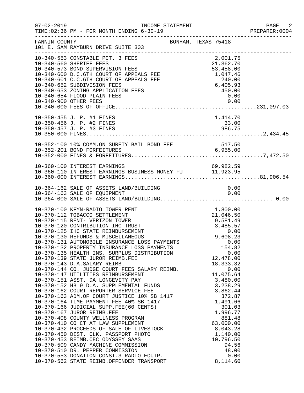| $07 - 02 - 2019$ | INCOME STATEMENT<br>TIME: 02:36 PM - FOR MONTH ENDING 6-30-19                                                                                                                                                                                                                                                                                                                                                                                                                                                                                                                                                                                                                                                                                                                                                                                                                                                                                                                                                                                  |                                                                                                                                                                                                                                                              | PAGE 2<br>PREPARER: 0004 |
|------------------|------------------------------------------------------------------------------------------------------------------------------------------------------------------------------------------------------------------------------------------------------------------------------------------------------------------------------------------------------------------------------------------------------------------------------------------------------------------------------------------------------------------------------------------------------------------------------------------------------------------------------------------------------------------------------------------------------------------------------------------------------------------------------------------------------------------------------------------------------------------------------------------------------------------------------------------------------------------------------------------------------------------------------------------------|--------------------------------------------------------------------------------------------------------------------------------------------------------------------------------------------------------------------------------------------------------------|--------------------------|
| FANNIN COUNTY    | BONHAM, TEXAS 75418<br>101 E. SAM RAYBURN DRIVE SUITE 303<br>--------------------------------                                                                                                                                                                                                                                                                                                                                                                                                                                                                                                                                                                                                                                                                                                                                                                                                                                                                                                                                                  |                                                                                                                                                                                                                                                              |                          |
|                  | ---------------<br>10-340-553 CONSTABLE PCT. 3 FEES<br>10-340-553 CONSTABLE FOR APPEARS<br>10-340-560 SHERIFF FEES<br>10-340-573 BOND SUPERVISION FEES<br>10-340-600 D.C.6TH COURT OF APPEALS FEE 1,047.46<br>1,047.46<br>1,047.46<br>1,047.46<br>1,047.46<br>1,047.46<br>1,047.46<br>1,047.46<br>1,047.46<br><br>10-340-900 OTHER FEES                                                                                                                                                                                                                                                                                                                                                                                                                                                                                                                                                                                                                                                                                                        | 0.00                                                                                                                                                                                                                                                         |                          |
|                  | 10-350-455 J. P. #1 FINES<br>10-350-456 J. P. #2 FINES<br>10-350-457 J. P. #3 FINES                                                                                                                                                                                                                                                                                                                                                                                                                                                                                                                                                                                                                                                                                                                                                                                                                                                                                                                                                            | 1,414.70<br>33.00<br>986.75                                                                                                                                                                                                                                  |                          |
|                  |                                                                                                                                                                                                                                                                                                                                                                                                                                                                                                                                                                                                                                                                                                                                                                                                                                                                                                                                                                                                                                                |                                                                                                                                                                                                                                                              |                          |
|                  | 10-360-100 INTEREST EARNINGS<br>10-360-110 INTEREST EARNINGS BUSINESS MONEY FU 11,923.95                                                                                                                                                                                                                                                                                                                                                                                                                                                                                                                                                                                                                                                                                                                                                                                                                                                                                                                                                       |                                                                                                                                                                                                                                                              |                          |
|                  | 10-364-162 SALE OF ASSETS LAND/BUILDING                                                                                                                                                                                                                                                                                                                                                                                                                                                                                                                                                                                                                                                                                                                                                                                                                                                                                                                                                                                                        | 0.00                                                                                                                                                                                                                                                         |                          |
|                  | 10-370-100 KFYN-RADIO TOWER RENT<br>10-370-132 PROPERTY INSURANCE LOSS PAYMENTS<br>10-370-135 HEALTH INS. SURPLUS DISTRIBUTION<br>10-370-139 STATE JUROR REIMB.FEE<br>10-370-143 D.A.SALARY REIMB.<br>10-370-144 CO. JUDGE COURT FEES SALARY REIMB.<br>10-370-147 UTILITIES REIMBURSEMENT<br>10-370-151 ASST. DA LONGEVITY PAY<br>10-370-152 HB 9 D.A. SUPPLEMENTAL FUNDS<br>10-370-162 COURT REPORTER SERVICE FEE<br>10-370-163 ADM.OF COURT JUSTICE 10% SB 1417<br>10-370-164 TIME PAYMENT FEE 40% SB 1417<br>10-370-164 TIME PAYMENT FEE 40% SB 1417<br>10-370-166 JUDICIAL SUPP.FEE(60 CENTS)<br>10-370-167 JUROR REIMB.FEE<br>10-370-408 COUNTY WELLNESS PROGRAM<br>10-370-410 CO CT AT LAW SUPPLEMENT<br>10-370-410 CO CT AT LAW SUPPLEMENT<br>10-370-432 PROCEEDS OF SALE OF LIVESTOCK<br>10-370-450 DIST. CLK. PASSPORT PHOTO<br>10-370-453 REIMB.CEC ODYSSEY SAAS<br>10-370-509 CANDY MACHINE COMMISSION<br>10-370-510 DR. PEPPER COMMISSION<br>10-370-553 DONATION CONST.3 RADIO EQUIP.<br>10-370-562 STATE REIMB.OFFENDER TRANSPORT | 1,800.00<br>154.82<br>0.00<br>12,478.00<br>18, 333.32<br>0.00<br>11,075.64<br>3,480.00<br>3,238.29<br>3,862.44<br>372.87<br>1,491.66<br>301.03<br>1,996.77<br>881.48<br>63,000.00<br>8,043.28<br>1,140.00<br>10,796.50<br>94.56<br>48.00<br>0.00<br>8,114.60 |                          |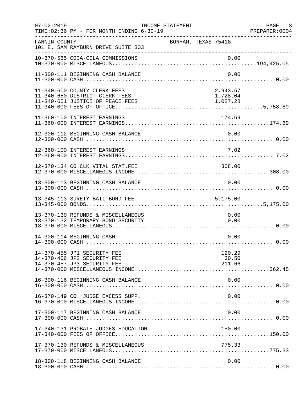| $07 - 02 - 2019$ | TIME: 02:36 PM - FOR MONTH ENDING 6-30-19                                                          | INCOME STATEMENT |                     |                                  |      | PAGE 3<br>PREPARER:0004 |
|------------------|----------------------------------------------------------------------------------------------------|------------------|---------------------|----------------------------------|------|-------------------------|
| FANNIN COUNTY    | 101 E. SAM RAYBURN DRIVE SUITE 303<br>______________________________                               |                  | BONHAM, TEXAS 75418 |                                  |      |                         |
|                  |                                                                                                    |                  |                     |                                  |      |                         |
|                  | 11-300-111 BEGINNING CASH BALANCE                                                                  |                  |                     |                                  | 0.00 |                         |
|                  | 11-340-600 COUNTY CLERK FEES<br>11-340-650 DISTRICT CLERK FEES<br>11-340-651 JUSTICE OF PEACE FEES |                  |                     | 2,943.57<br>1,728.04<br>1,087.28 |      |                         |
|                  | 11-360-100 INTEREST EARNINGS                                                                       |                  |                     | 174.69                           |      |                         |
|                  | 12-300-112 BEGINNING CASH BALANCE                                                                  |                  |                     | 0.00                             |      |                         |
|                  | 12-360-100 INTEREST EARNINGS                                                                       |                  |                     |                                  | 7.02 |                         |
|                  | 12-370-134 CO.CLK.VITAL STAT.FEE                                                                   |                  |                     | 308.00                           |      |                         |
|                  | 13-300-113 BEGINNING CASH BALANCE                                                                  |                  |                     | 0.00                             |      |                         |
|                  | 13-345-113 SURETY BAIL BOND FEE                                                                    |                  |                     | 5,175.00                         |      |                         |
|                  | 13-370-130 REFUNDS & MISCELLANEOUS<br>13-370-132 TEMPORARY BOND SECURITY                           |                  |                     | 0.00                             | 0.00 |                         |
|                  | 14-300-114 BEGINNING CASH                                                                          |                  |                     |                                  | 0.00 |                         |
|                  | 14-370-455 JP1 SECURITY FEE<br>14-370-456 JP2 SECURITY FEE<br>14-370-457 JP3 SECURITY FEE          |                  |                     | 120.29<br>30.50<br>211.66        |      |                         |
|                  | 16-300-116 BEGINNING CASH BALANCE                                                                  |                  |                     | 0.00                             |      |                         |
|                  | 16-370-149 CO. JUDGE EXCESS SUPP.                                                                  |                  |                     |                                  | 0.00 |                         |
|                  | 17-300-117 BEGINNING CASH BALANCE                                                                  |                  |                     | 0.00                             |      |                         |
|                  | 17-340-131 PROBATE JUDGES EDUCATION                                                                |                  |                     | 150.00                           |      |                         |
|                  | 17-370-130 REFUNDS & MISCELLANEOUS                                                                 |                  |                     | 775.33                           |      |                         |
|                  | 18-300-118 BEGINNING CASH BALANCE                                                                  |                  |                     |                                  | 0.00 |                         |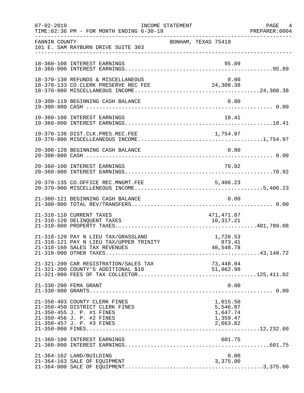| $07 - 02 - 2019$ | TIME:02:36 PM - FOR MONTH ENDING 6-30-19<br>):TIME:02:36 PM - FOR MONTH ENDING 6-30-19                                                                  | INCOME STATEMENT    |                                                          | PAGE 4<br>PREPARER: 0004 |
|------------------|---------------------------------------------------------------------------------------------------------------------------------------------------------|---------------------|----------------------------------------------------------|--------------------------|
| FANNIN COUNTY    | 101 E. SAM RAYBURN DRIVE SUITE 303                                                                                                                      | BONHAM, TEXAS 75418 |                                                          |                          |
|                  | 18-360-100 INTEREST EARNINGS                                                                                                                            |                     | 95.89                                                    |                          |
|                  | 18-370-130 REFUNDS & MISCELLANEOUS                                                                                                                      |                     | 0.00                                                     |                          |
|                  | 19-300-119 BEGINNING CASH BALANCE                                                                                                                       |                     | 0.00                                                     |                          |
|                  |                                                                                                                                                         |                     |                                                          |                          |
|                  |                                                                                                                                                         |                     |                                                          |                          |
|                  | 20-300-120 BEGINNING CASH BALANCE                                                                                                                       |                     | 0.00                                                     |                          |
|                  | 20-360-100 INTEREST EARNINGS                                                                                                                            |                     | 70.92                                                    |                          |
|                  | 20-370-135 CO.OFFICE REC.MNGMT.FEE                                                                                                                      |                     | 5,406.23                                                 |                          |
|                  | 21-300-121 BEGINNING CASH BALANCE                                                                                                                       |                     | 0.00                                                     |                          |
|                  | 21-310-110 CURRENT TAXES<br>21-310-120 DELINQUENT TAXES                                                                                                 |                     | 471,471.87<br>10,317.21                                  |                          |
|                  | 21-318-120 PAY N LIEU TAX/GRASSLAND<br>21-318-121 PAY N LIEU TAX/UPPER TRINITY                                                                          |                     | 1,726.53<br>873.41                                       |                          |
|                  |                                                                                                                                                         |                     |                                                          |                          |
|                  | 21-330-200 FEMA GRANT                                                                                                                                   |                     | 0.00                                                     |                          |
|                  | 21-350-403 COUNTY CLERK FINES<br>21-350-450 DISTRICT CLERK FINES<br>21-350-455 J. P. #1 FINES<br>21-350-456 J. P. #2 FINES<br>21-350-457 J. P. #3 FINES |                     | 1,015.50<br>5,546.07<br>1,647.74<br>1,359.47<br>2,663.82 |                          |
|                  | 21-360-100 INTEREST EARNINGS                                                                                                                            |                     |                                                          |                          |
|                  | 21-364-162 LAND/BUILDING<br>21-364-163 SALE OF EQUIPMENT                                                                                                |                     | 0.00<br>3,375.00                                         |                          |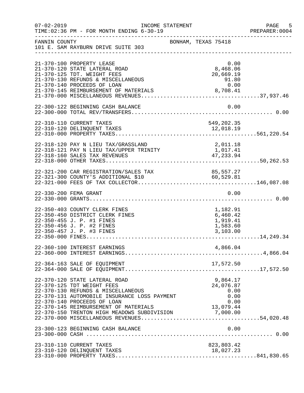| $07 - 02 - 2019$ | TIME: 02:36 PM - FOR MONTH ENDING 6-30-19                                                                                                                                                               | INCOME STATEMENT                                                                                                                                         | -5<br>PAGE<br>PREPARER: 0004 |
|------------------|---------------------------------------------------------------------------------------------------------------------------------------------------------------------------------------------------------|----------------------------------------------------------------------------------------------------------------------------------------------------------|------------------------------|
| FANNIN COUNTY    | 101 E. SAM RAYBURN DRIVE SUITE 303                                                                                                                                                                      | BONHAM, TEXAS 75418                                                                                                                                      |                              |
|                  | 21-370-100 PROPERTY LEASE<br>21-370-120 STATE LATERAL ROAD<br>21-370-125 TDT. WEIGHT FEES<br>21-370-130 REFUNDS & MISCELLANEOUS<br>21-370-140 PROCEEDS OF LOAN<br>21-370-145 REIMBURSEMENT OF MATERIALS | 0.00<br>8,468.06<br>20,669.19<br>$91.80$<br>0.00<br>8,708.41                                                                                             |                              |
|                  | 22-300-122 BEGINNING CASH BALANCE                                                                                                                                                                       | 0.00                                                                                                                                                     |                              |
|                  | 22-310-110 CURRENT TAXES<br>22-310-120 DELINQUENT TAXES                                                                                                                                                 | 549,202.35<br>12,018.19                                                                                                                                  |                              |
|                  | 22-318-120 PAY N LIEU TAX/GRASSLAND<br>22-318-121 PAY N LIEU TAX/UPPER TRINITY                                                                                                                          | 2,011.18<br>1,017.41                                                                                                                                     |                              |
|                  |                                                                                                                                                                                                         |                                                                                                                                                          |                              |
|                  | 22-330-200 FEMA GRANT                                                                                                                                                                                   | 0.00                                                                                                                                                     |                              |
|                  | 22-350-403 COUNTY CLERK FINES<br>22-350-450 DISTRICT CLERK FINES<br>22-350-455 J. P. #1 FINES<br>22-350-456 J. P. #2 FINES<br>22-350-457 J. P. #3 FINES                                                 | 1,182.91<br>6,460.42<br>1,919.41<br>1,583.60<br>3,103.00                                                                                                 |                              |
|                  | 22-360-100 INTEREST EARNINGS                                                                                                                                                                            | 4,866.04                                                                                                                                                 |                              |
|                  | 22-364-163 SALE OF EQUIPMENT                                                                                                                                                                            | 17,572.50                                                                                                                                                |                              |
|                  | 22-370-120 STATE LATERAL ROAD<br>22-370-125 TDT WEIGHT FEES<br>22-370-130 REFUNDS & MISCELLANEOUS<br>22-370-131 AUTOMOBILE INSURANCE LOSS PAYMENT<br>22-370-140 PROCEEDS OF LOAN                        | 9,864.17<br>24,076.87<br>0.00<br>0.00<br>0.00<br>22-370-145 REIMBURSEMENT OF MATERIALS 13,079.44<br>22-370-150 TRENTON HIGH MEADOWS SUBDIVISION 7,000.00 |                              |
|                  | 23-300-123 BEGINNING CASH BALANCE                                                                                                                                                                       | 0.00                                                                                                                                                     |                              |
|                  | 23-310-110 CURRENT TAXES<br>23-310-120 DELINQUENT TAXES                                                                                                                                                 | 823,803.42<br>18,027.23                                                                                                                                  |                              |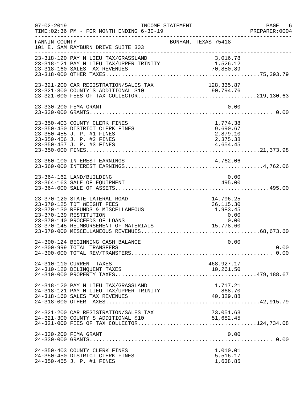| $07 - 02 - 2019$ | TIME: 02:36 PM - FOR MONTH ENDING 6-30-19                                                                                                                                                            | INCOME STATEMENT                                                   | PAGE 6<br>PREPARER: 0004 |
|------------------|------------------------------------------------------------------------------------------------------------------------------------------------------------------------------------------------------|--------------------------------------------------------------------|--------------------------|
| FANNIN COUNTY    | 101 E. SAM RAYBURN DRIVE SUITE 303                                                                                                                                                                   | BONHAM, TEXAS 75418                                                |                          |
|                  | 23-318-120 PAY N LIEU TAX/GRASSLAND<br>23-318-121 PAY N LIEU TAX/UPPER TRINITY 1,526.12<br>23-318-121 PAY N LIEU TAX/UPPER TRINITY 1,526.12<br>70,850.89                                             | 70,850.89                                                          |                          |
|                  |                                                                                                                                                                                                      |                                                                    |                          |
|                  | 23-330-200 FEMA GRANT                                                                                                                                                                                | 0.00                                                               |                          |
|                  | 23-350-403 COUNTY CLERK FINES<br>23-350-450 DISTRICT CLERK FINES<br>23-350-455 J. P. #1 FINES<br>23-350-456 J. P. #2 FINES<br>23-350-457 J. P. #3 FINES                                              | 1,774.38<br>9,690.67<br>2,879.10<br>2,375.38<br>4,654.45           |                          |
|                  | 23-360-100 INTEREST EARNINGS                                                                                                                                                                         | 4,762.06                                                           |                          |
|                  | 23-364-162 LAND/BUILDING<br>23-364-163 SALE OF EQUIPMENT                                                                                                                                             | 0.00<br>495.00                                                     |                          |
|                  | 23-370-120 STATE LATERAL ROAD<br>23-370-125 TDT WEIGHT FEES<br>23-370-130 REFUNDS & MISCELLANEOUS<br>23-370-139 RESTITUTION<br>23-370-140 PROCEEDS OF LOANS<br>23-370-145 REIMBURSEMENT OF MATERIALS | 14,796.25<br>36, 115.30<br>1,983.45<br>0.00<br>$0.00$<br>15,778.60 |                          |
|                  | 24-300-124 BEGINNING CASH BALANCE<br>24-300-999 TOTAL TRANSFERS                                                                                                                                      | 0.00                                                               | 0.00                     |
|                  | 24-310-110 CURRENT TAXES                                                                                                                                                                             | 468,927.17                                                         |                          |
|                  | 24-318-120 PAY N LIEU TAX/GRASSLAND<br>24-318-121 PAY N LIEU TAX/UPPER TRINITY                                                                                                                       | 1,717.21<br>868.70<br>40,329.88                                    |                          |
|                  | 24-321-200 CAR REGISTRATION/SALES TAX                                                                                                                                                                | 73,051.63<br>51,682.45                                             |                          |
|                  | 24-330-200 FEMA GRANT                                                                                                                                                                                | 0.00                                                               |                          |
|                  | 24-350-403 COUNTY CLERK FINES<br>24-350-450 DISTRICT CLERK FINES<br>24-350-455 J. P. #1 FINES                                                                                                        | 1,010.01<br>5,516.17<br>1,638.85                                   |                          |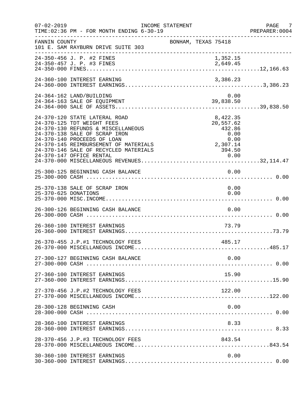| $07 - 02 - 2019$     | INCOME STATEMENT<br>TIME: 02:36 PM - FOR MONTH ENDING 6-30-19                                                                                                                                                                                       |                                                                         | PAGE 7<br>PREPARER:0004 |
|----------------------|-----------------------------------------------------------------------------------------------------------------------------------------------------------------------------------------------------------------------------------------------------|-------------------------------------------------------------------------|-------------------------|
| FANNIN COUNTY        | 101 E. SAM RAYBURN DRIVE SUITE 303                                                                                                                                                                                                                  | BONHAM, TEXAS 75418                                                     |                         |
|                      | 24-350-456 J. P. #2 FINES<br>24-350-457 J. P. #3 FINES                                                                                                                                                                                              | 1,352.15<br>2,649.45                                                    |                         |
|                      | 24-360-100 INTEREST EARNING                                                                                                                                                                                                                         | 3,386.23                                                                |                         |
|                      | 24-364-162 LAND/BUILDING<br>24-364-163 SALE OF EQUIPMENT                                                                                                                                                                                            | 0.00<br>39,838.50                                                       |                         |
|                      | 24-370-120 STATE LATERAL ROAD<br>24-370-125 TDT WEIGHT FEES<br>24-370-130 REFUNDS & MISCELLANEOUS<br>24-370-138 SALE OF SCRAP IRON<br>24-370-140 PROCEEDS OF LOAN<br>24-370-145 REIMBURSEMENT OF MATERIALS<br>24-370-146 SALE OF RECYCLED MATERIALS | 8,422.35<br>20,557.62<br>432.86<br>0.00<br>$0.00$<br>2,307.14<br>394.50 |                         |
|                      | 25-300-125 BEGINNING CASH BALANCE                                                                                                                                                                                                                   | 0.00                                                                    |                         |
| 25-370-625 DONATIONS | 25-370-138 SALE OF SCRAP IRON                                                                                                                                                                                                                       | 0.00<br>0.00                                                            |                         |
|                      | 26-300-126 BEGINNING CASH BALANCE                                                                                                                                                                                                                   | 0.00                                                                    |                         |
|                      | 26-360-100 INTEREST EARNINGS                                                                                                                                                                                                                        | 73.79                                                                   |                         |
|                      | 26-370-455 J.P.#1 TECHNOLOGY FEES                                                                                                                                                                                                                   | 485.17                                                                  |                         |
|                      | 27-300-127 BEGINNING CASH BALANCE                                                                                                                                                                                                                   | 0.00                                                                    |                         |
|                      | 27-360-100 INTEREST EARNINGS                                                                                                                                                                                                                        | 15.90                                                                   |                         |
|                      | 27-370-456 J.P.#2 TECHNOLOGY FEES                                                                                                                                                                                                                   | 122.00                                                                  |                         |
|                      | 28-300-128 BEGINNING CASH                                                                                                                                                                                                                           | 0.00                                                                    |                         |
|                      | 28-360-100 INTEREST EARNINGS                                                                                                                                                                                                                        | 8.33                                                                    |                         |
|                      | 28-370-456 J.P.#3 TECHNOLOGY FEES                                                                                                                                                                                                                   | 843.54                                                                  |                         |
|                      | 30-360-100 INTEREST EARNINGS                                                                                                                                                                                                                        | 0.00                                                                    |                         |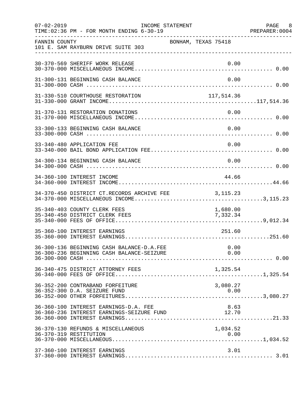| $07 - 02 - 2019$ | TIME: 02:36 PM - FOR MONTH ENDING 6-30-19                                              | INCOME STATEMENT    |                      | PAGE 8<br>PREPARER: 0004 |
|------------------|----------------------------------------------------------------------------------------|---------------------|----------------------|--------------------------|
| FANNIN COUNTY    | 101 E. SAM RAYBURN DRIVE SUITE 303                                                     | BONHAM, TEXAS 75418 |                      |                          |
|                  | 30-370-569 SHERIFF WORK RELEASE                                                        |                     | 0.00                 |                          |
|                  | 31-300-131 BEGINNING CASH BALANCE                                                      |                     | 0.00                 |                          |
|                  | 31-330-510 COURTHOUSE RESTORATION                                                      | 117, 514.36         |                      |                          |
|                  | 31-370-131 RESTORATION DONATIONS                                                       |                     | 0.00                 |                          |
|                  | 33-300-133 BEGINNING CASH BALANCE                                                      |                     | 0.00                 |                          |
|                  | 33-340-480 APPLICATION FEE                                                             |                     | 0.00                 |                          |
|                  | 34-300-134 BEGINNING CASH BALANCE                                                      |                     | 0.00                 |                          |
|                  | 34-360-100 INTEREST INCOME                                                             |                     | 44.66                |                          |
|                  | 34-370-450 DISTRICT CT.RECORDS ARCHIVE FEE                                             | 3,115.23            |                      |                          |
|                  | 35-340-403 COUNTY CLERK FEES<br>35-340-450 DISTRICT CLERK FEES                         |                     | 1,680.00<br>7,332.34 |                          |
|                  | 35-360-100 INTEREST EARNINGS                                                           |                     | 251.60               |                          |
|                  | 36-300-136 BEGINNING CASH BALANCE-D.A.FEE<br>36-300-236 BEGINNING CASH BALANCE-SEIZURE |                     | 0.00<br>0.00         |                          |
|                  | 36-340-475 DISTRICT ATTORNEY FEES                                                      |                     |                      |                          |
|                  | 36-352-200 CONTRABAND FORFEITURE                                                       |                     | 3,080.27             |                          |
|                  | 36-360-100 INTEREST EARNINGS-D.A. FEE<br>36-360-236 INTEREST EARNINGS-SEIZURE FUND     |                     | 8.63<br>12.70        |                          |
|                  | 36-370-130 REFUNDS & MISCELLANEOUS<br>36-370-319 RESTITUTION                           |                     | 1,034.52<br>0.00     |                          |
|                  | 37-360-100 INTEREST EARNINGS                                                           |                     | 3.01                 |                          |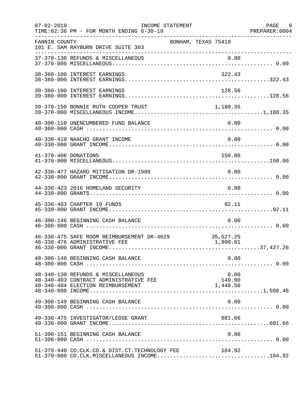| $07 - 02 - 2019$     | TIME: 02:36 PM - FOR MONTH ENDING 6-30-19                                                                         | INCOME STATEMENT           | PAGE 9<br>PREPARER: 0004 |
|----------------------|-------------------------------------------------------------------------------------------------------------------|----------------------------|--------------------------|
| FANNIN COUNTY        | 101 E. SAM RAYBURN DRIVE SUITE 303                                                                                | BONHAM, TEXAS 75418        |                          |
|                      |                                                                                                                   |                            |                          |
|                      | 38-360-100 INTEREST EARNINGS                                                                                      | 322.43                     |                          |
|                      | 39-360-100 INTEREST EARNINGS                                                                                      | 128.56                     |                          |
|                      | 39-370-150 BONNIE RUTH COOPER TRUST 1,180.35                                                                      |                            |                          |
|                      | 40-300-110 UNENCUMBERED FUND BALANCE                                                                              | 0.00                       |                          |
|                      | 40-330-410 NAACHO GRANT INCOME                                                                                    | 0.00                       |                          |
| 41-370-406 DONATIONS |                                                                                                                   | 150.00                     |                          |
|                      | 42-330-477 HAZARD MITIGATION DR-1999                                                                              | 0.00                       |                          |
|                      | 44-330-423 2016 HOMELAND SECURITY                                                                                 | 0.00                       |                          |
|                      | 45-330-403 CHAPTER 19 FUNDS                                                                                       | 92.11                      |                          |
|                      | 46-300-146 BEGINNING CASH BALANCE                                                                                 | 0.00                       |                          |
|                      | 46-330-475 SAFE ROOM REIMBURSEMENT DR-4029<br>46-330-476 ADMINISTRATIVE FEE                                       | 35,527.25<br>1,900.01      |                          |
|                      | 48-300-148 BEGINNING CASH BALANCE                                                                                 | 0.00                       |                          |
|                      | 48-340-130 REFUNDS & MISCELLANEOUS<br>48-340-403 CONTRACT ADMINISTRATIVE FEE<br>48-340-484 ELECTION REIMBURSEMENT | 0.00<br>149.90<br>1,448.56 |                          |
|                      | 49-300-149 BEGINNING CASH BALANCE                                                                                 | 0.00                       |                          |
|                      | 49-330-475 INVESTIGATOR/LEOSE GRANT                                                                               | 681.66                     |                          |
|                      | 51-300-151 BEGINNING CASH BALANCE                                                                                 | 0.00                       |                          |
|                      | 51-370-440 CO.CLK.CO.& DIST.CT.TECHNOLOGY FEE<br>$51-370-000$ CO.CLK.MISCELLANEOUS INCOME184.92                   | 184.92                     |                          |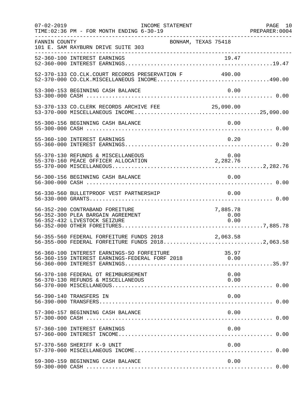| $07 - 02 - 2019$ | INCOME STATEMENT<br>TIME: 02:36 PM - FOR MONTH ENDING 6-30-19                                              |                          | PAGE 10 |
|------------------|------------------------------------------------------------------------------------------------------------|--------------------------|---------|
| FANNIN COUNTY    | BONHAM, TEXAS 75418<br>101 E. SAM RAYBURN DRIVE SUITE 303                                                  |                          |         |
|                  |                                                                                                            |                          |         |
|                  | 52-370-133 CO.CLK.COURT RECORDS PRESERVATION F 490.00                                                      |                          |         |
|                  | 53-300-153 BEGINNING CASH BALANCE                                                                          | 0.00                     |         |
|                  | 53-370-133 CO.CLERK RECORDS ARCHIVE FEE 25,090.00                                                          |                          |         |
|                  | 55-300-156 BEGINNING CASH BALANCE                                                                          | 0.00                     |         |
|                  | 55-360-100 INTEREST EARNINGS                                                                               | 0.20                     |         |
|                  | 55-370-130 REFUNDS & MISCELLANEOUS<br>55-370-160 PEACE OFFICER ALLOCATION 2,282.76                         | 0.00                     |         |
|                  | 56-300-156 BEGINNING CASH BALANCE                                                                          | 0.00                     |         |
|                  | 56-330-560 BULLETPROOF VEST PARTNERSHIP                                                                    | 0.00                     |         |
|                  | 56-352-200 CONTRABAND FOREITURE<br>56-352-300 PLEA BARGAIN AGREEMENT<br>56-352-432 LIVESTOCK SEIZURE       | 7,885.78<br>0.00<br>0.00 |         |
|                  | 56-355-560 FEDERAL FORFEITURE FUNDS 2018 2018 2,063.58<br>56-355-000 FEDERAL FORFEITURE FUNDS 20182,063.58 |                          |         |
|                  | 56-360-100 INTEREST EARNINGS-SO FORFEITURE<br>56-360-159 INTEREST EARNINGS-FEDERAL FORF 2018               | 35.97<br>0.00            |         |
|                  | 56-370-108 FEDERAL OT REIMBURSEMENT<br>56-370-130 REFUNDS & MISCELLANEOUS                                  | 0.00<br>0.00             |         |
|                  | 56-390-140 TRANSFERS IN                                                                                    | 0.00                     |         |
|                  | 57-300-157 BEGINNING CASH BALANCE                                                                          | 0.00                     |         |
|                  | 57-360-100 INTEREST EARNINGS                                                                               | 0.00                     |         |
|                  | 57-370-560 SHERIFF K-9 UNIT                                                                                | 0.00                     |         |
|                  | 59-300-159 BEGINNING CASH BALANCE                                                                          | 0.00                     |         |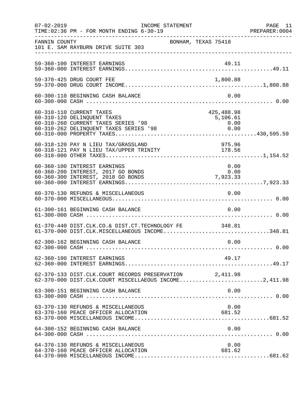| $07 - 02 - 2019$ | INCOME STATEMENT<br>TIME: 02:36 PM - FOR MONTH ENDING 6-30-19                                                                            |                     |                                        | PAGE 11<br>PREPARER: 0004 |
|------------------|------------------------------------------------------------------------------------------------------------------------------------------|---------------------|----------------------------------------|---------------------------|
| FANNIN COUNTY    | 101 E. SAM RAYBURN DRIVE SUITE 303                                                                                                       | BONHAM, TEXAS 75418 |                                        |                           |
|                  | 59-360-100 INTEREST EARNINGS                                                                                                             |                     |                                        |                           |
|                  | 59-370-425 DRUG COURT FEE                                                                                                                |                     | 1,800.88                               |                           |
|                  | 60-300-110 BEGINNING CASH BALANCE                                                                                                        |                     | 0.00                                   |                           |
|                  | 60-310-110 CURRENT TAXES<br>60-310-120 DELINQUENT TAXES<br>60-310-260 CURRENT TAXES SERIES '98<br>60-310-262 DELINQUENT TAXES SERIES '98 |                     | 425,488.98<br>5,106.61<br>0.00<br>0.00 |                           |
|                  | 60-318-120 PAY N LIEU TAX/GRASSLAND<br>00-318-120 PAY N LIEU TAX/GRASSLAND<br>60-318-121 PAY N LIEU TAX/UPPER TRINITY 178.56             |                     | 975.96                                 |                           |
|                  | 60-360-100 INTEREST EARNINGS<br>60-360-200 INTEREST, 2017 GO BONDS<br>60-360-300 INTEREST, 2018 GO BONDS                                 |                     | 0.00<br>$0.00$<br>7,923.33             |                           |
|                  | 60-370-130 REFUNDS & MISCELLANEOUS                                                                                                       |                     | 0.00                                   |                           |
|                  | 61-300-161 BEGINNING CASH BALANCE                                                                                                        |                     | 0.00                                   |                           |
|                  | 61-370-440 DIST.CLK.CO.& DIST.CT.TECHNOLOGY FE 348.81<br>61-370-000 DIST.CLK.MISCELLANEOUS INCOME348.81                                  |                     |                                        |                           |
|                  | 62-300-162 BEGINNING CASH BALANCE                                                                                                        |                     | 0.00                                   |                           |
|                  | 62-360-100 INTEREST EARNINGS                                                                                                             |                     | 49.17                                  |                           |
|                  | 62-370-133 DIST.CLK.COURT RECORDS PRESERVATION 2,411.98<br>62-370-000 DIST.CLK.COURT MISCELLAEOUS INCOME2,411.98                         |                     |                                        |                           |
|                  | 63-300-151 BEGINNING CASH BALANCE                                                                                                        |                     | 0.00                                   |                           |
|                  | 63-370-130 REFUNDS & MISCELLANEOUS<br>63-370-160 PEACE OFFICER ALLOCATION                                                                |                     | 0.00<br>681.52                         |                           |
|                  | 64-300-152 BEGINNING CASH BALANCE                                                                                                        |                     | 0.00                                   |                           |
|                  | 64-370-130 REFUNDS & MISCELLANEOUS<br>64-370-160 PEACE OFFICER ALLOCATION                                                                |                     | 0.00<br>681.62                         |                           |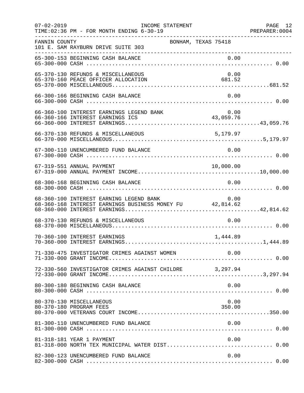| $07 - 02 - 2019$ | INCOME STATEMENT<br>TIME: 02:36 PM - FOR MONTH ENDING 6-30-19                                       |                          | PAGE 12<br>PREPARER: 0004 |
|------------------|-----------------------------------------------------------------------------------------------------|--------------------------|---------------------------|
| FANNIN COUNTY    | BONHAM, TEXAS 75418<br>101 E. SAM RAYBURN DRIVE SUITE 303<br>____________________________________   |                          |                           |
|                  | 65-300-153 BEGINNING CASH BALANCE                                                                   | 0.00                     |                           |
|                  | 65-370-130 REFUNDS & MISCELLANEOUS<br>65-370-160 PEACE OFFICER ALLOCATION                           | 0.00<br>681.52           |                           |
|                  | 66-300-166 BEGINNING CASH BALANCE                                                                   | 0.00                     |                           |
|                  | 66-360-100 INTEREST EARNINGS LEGEND BANK<br>66-360-166 INTEREST EARNINGS ICS                        | 0 . 0 0<br>43 , 059 . 76 |                           |
|                  | 66-370-130 REFUNDS & MISCELLANEOUS                                                                  | 5,179.97                 |                           |
|                  | 67-300-110 UNENCUMBERED FUND BALANCE                                                                | 0.00                     |                           |
|                  | 67-319-551 ANNUAL PAYMENT                                                                           | 10,000.00                |                           |
|                  | 68-300-168 BEGINNING CASH BALANCE                                                                   | 0.00                     |                           |
|                  | 68-360-100 INTEREST EARNING LEGEND BANK<br>68-360-168 INTEREST EARNINGS BUSINESS MONEY FU 42,814.62 | 0.00                     |                           |
|                  | 68-370-130 REFUNDS & MISCELLANEOUS                                                                  | 0.00                     |                           |
|                  | 70-360-100 INTEREST EARNINGS                                                                        | 1,444.89                 |                           |
|                  | 71-330-475 INVESTIGATOR CRIMES AGAINST WOMEN                                                        | 0.00                     |                           |
|                  | 72-330-560 INVESTIGATOR CRIMES AGAINST CHILDRE 3,297.94                                             |                          |                           |
|                  | 80-300-180 BEGINNING CASH BALANCE                                                                   | 0.00                     |                           |
|                  | 80-370-130 MISCELLANEOUS<br>80-370-180 PROGRAM FEES                                                 | 0.00<br>350.00           |                           |
|                  | 81-300-110 UNENCUMBERED FUND BALANCE                                                                | 0.00                     |                           |
|                  | 81-318-181 YEAR 1 PAYMENT                                                                           | 0.00                     |                           |
|                  | 82-300-123 UNENCUMBERED FUND BALANCE                                                                | 0.00                     |                           |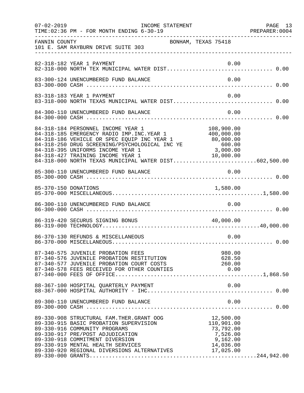|               | TIME: 02:36 PM - FOR MONTH ENDING 6-30-19                                                                                                                                                                                                                                                                                                                                                 |                         | PAGE 13<br>PREPARER: 0004 |
|---------------|-------------------------------------------------------------------------------------------------------------------------------------------------------------------------------------------------------------------------------------------------------------------------------------------------------------------------------------------------------------------------------------------|-------------------------|---------------------------|
| FANNIN COUNTY | BONHAM, TEXAS 75418<br>101 E. SAM RAYBURN DRIVE SUITE 303                                                                                                                                                                                                                                                                                                                                 |                         |                           |
|               | 82-318-182 YEAR 1 PAYMENT                                                                                                                                                                                                                                                                                                                                                                 | 0.00                    |                           |
|               | 83-300-124 UNENCUMBERED FUND BALANCE                                                                                                                                                                                                                                                                                                                                                      | 0.00                    |                           |
|               | 83-318-183 YEAR 1 PAYMENT<br>83-318-000 NORTH TEXAS MUNICIPAL WATER DIST 0.00                                                                                                                                                                                                                                                                                                             | 0.00                    |                           |
|               | 84-300-110 UNENCUMBERED FUND BALANCE                                                                                                                                                                                                                                                                                                                                                      | 0.00                    |                           |
|               | 84-318-184 PERSONNEL INCOME YEAR 1<br>84-318-184 PERSONNEL INCOME YEAR 1 108,900.00<br>84-318-185 EMERGENCY RADIO IMP.INC.YEAR 1 400,000.00<br>84-318-186 VEHICLE OR SPEC EQUIP INC YEAR 1<br>84-318-250 DRUG SCREENING/PSYCHOLOGICAL INC YE<br>84-318-395 UNIFORMS INCOME YEAR 1<br>84-318-427 TRAINING INCOME YEAR 1 10,000.00<br>84-318-000 NORTH TEXAS MUNICIPAL WATER DIST602,500.00 | 108,900.00<br>3,000.00  |                           |
|               | 85-300-110 UNENCUMBERED FUND BALANCE                                                                                                                                                                                                                                                                                                                                                      | 0.00                    |                           |
|               |                                                                                                                                                                                                                                                                                                                                                                                           |                         |                           |
|               | 86-300-110 UNENCUMBERED FUND BALANCE                                                                                                                                                                                                                                                                                                                                                      | 0.00                    |                           |
|               | 86-319-420 SECURUS SIGNING BONUS                                                                                                                                                                                                                                                                                                                                                          | 40,000.00               |                           |
|               | 86-370-130 REFUNDS & MISCELLANEOUS                                                                                                                                                                                                                                                                                                                                                        | 0.00                    |                           |
|               |                                                                                                                                                                                                                                                                                                                                                                                           |                         |                           |
|               |                                                                                                                                                                                                                                                                                                                                                                                           |                         |                           |
|               |                                                                                                                                                                                                                                                                                                                                                                                           |                         |                           |
|               | 89-330-908 STRUCTURAL FAM. THER. GRANT OOG 12,500.00<br>89-330-915 BASIC PROBATION SUPERVISION<br>89-330-916 COMMUNITY PROGRAMS<br>89-330-916 COMMUNITY PROGRAMS<br>89-330-917 PRE/POST ADJUDICATION 7,526.00<br>89-330-918 COMMITMENT DIVERSION 9,162.00<br>89-330-919 MENTAL HEALTH SERVICES 14,036.00<br>89-330-920 REGIONAL DIVERSIONS ALTERNATIVES 17,025.00                         | 110,901.00<br>73,792.00 |                           |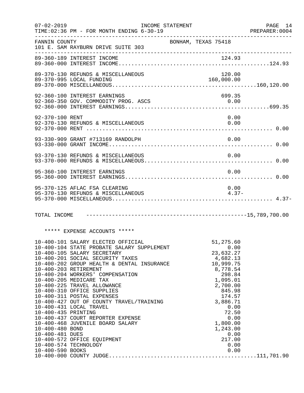|                                                                                                                                                                                                                                                                                                                                                                                                                                                                                                                                                                                                                                                                                                                                                                                                                                                                                                                                                                           | PAGE 14<br>PREPARER:0004                                                                                                                                                                                                       |
|---------------------------------------------------------------------------------------------------------------------------------------------------------------------------------------------------------------------------------------------------------------------------------------------------------------------------------------------------------------------------------------------------------------------------------------------------------------------------------------------------------------------------------------------------------------------------------------------------------------------------------------------------------------------------------------------------------------------------------------------------------------------------------------------------------------------------------------------------------------------------------------------------------------------------------------------------------------------------|--------------------------------------------------------------------------------------------------------------------------------------------------------------------------------------------------------------------------------|
|                                                                                                                                                                                                                                                                                                                                                                                                                                                                                                                                                                                                                                                                                                                                                                                                                                                                                                                                                                           |                                                                                                                                                                                                                                |
|                                                                                                                                                                                                                                                                                                                                                                                                                                                                                                                                                                                                                                                                                                                                                                                                                                                                                                                                                                           |                                                                                                                                                                                                                                |
| 120.00<br>160,000.00                                                                                                                                                                                                                                                                                                                                                                                                                                                                                                                                                                                                                                                                                                                                                                                                                                                                                                                                                      |                                                                                                                                                                                                                                |
| 699.35                                                                                                                                                                                                                                                                                                                                                                                                                                                                                                                                                                                                                                                                                                                                                                                                                                                                                                                                                                    |                                                                                                                                                                                                                                |
| 0.00<br>0.00                                                                                                                                                                                                                                                                                                                                                                                                                                                                                                                                                                                                                                                                                                                                                                                                                                                                                                                                                              |                                                                                                                                                                                                                                |
| 0.00                                                                                                                                                                                                                                                                                                                                                                                                                                                                                                                                                                                                                                                                                                                                                                                                                                                                                                                                                                      |                                                                                                                                                                                                                                |
| 0.00                                                                                                                                                                                                                                                                                                                                                                                                                                                                                                                                                                                                                                                                                                                                                                                                                                                                                                                                                                      |                                                                                                                                                                                                                                |
| 0.00                                                                                                                                                                                                                                                                                                                                                                                                                                                                                                                                                                                                                                                                                                                                                                                                                                                                                                                                                                      |                                                                                                                                                                                                                                |
| 0.00<br>$4.37-$                                                                                                                                                                                                                                                                                                                                                                                                                                                                                                                                                                                                                                                                                                                                                                                                                                                                                                                                                           |                                                                                                                                                                                                                                |
|                                                                                                                                                                                                                                                                                                                                                                                                                                                                                                                                                                                                                                                                                                                                                                                                                                                                                                                                                                           |                                                                                                                                                                                                                                |
|                                                                                                                                                                                                                                                                                                                                                                                                                                                                                                                                                                                                                                                                                                                                                                                                                                                                                                                                                                           |                                                                                                                                                                                                                                |
| 51,275.60<br>0.00<br>23,632.27<br>4,682.13<br>10,999.75<br>8,778.54<br>298.84<br>1,095.01<br>2,700.00<br>845.98<br>174.57<br>3,886.71<br>0.00<br>72.50<br>0.00<br>1,800.00<br>1,243.00<br>0.00<br>217.00<br>0.00<br>0.00                                                                                                                                                                                                                                                                                                                                                                                                                                                                                                                                                                                                                                                                                                                                                  |                                                                                                                                                                                                                                |
| FANNIN COUNTY<br>101 E. SAM RAYBURN DRIVE SUITE 303<br>89-370-130 REFUNDS & MISCELLANEOUS<br>89-370-995 LOCAL FUNDING<br>92-360-100 INTEREST EARNINGS<br>92-370-100 RENT<br>92-370-130 REFUNDS & MISCELLANEOUS<br>93-330-909 GRANT #713169 RANDOLPH<br>93-370-130 REFUNDS & MISCELLANEOUS<br>95-360-100 INTEREST EARNINGS<br>95-370-125 AFLAC FSA CLEARING<br>95-370-130 REFUNDS & MISCELLANEOUS<br>***** EXPENSE ACCOUNTS *****<br>10-400-101 SALARY ELECTED OFFICIAL<br>10-400-105 SALARY SECRETARY<br>10-400-201 SOCIAL SECURITY TAXES<br>10-400-203 RETIREMENT<br>10-400-204 WORKERS' COMPENSATION<br>10-400-205 MEDICARE TAX<br>10-400-225 TRAVEL ALLOWANCE<br>10-400-310 OFFICE SUPPLIES<br>10-400-311 POSTAL EXPENSES<br>10-400-431 LOCAL TRAVEL<br>10-400-435 PRINTING<br>10-400-437 COURT REPORTER EXPENSE<br>10-400-468 JUVENILE BOARD SALARY<br>10-400-480 BOND<br>10-400-481 DUES<br>10-400-572 OFFICE EQUIPMENT<br>10-400-574 TECHNOLOGY<br>10-400-590 BOOKS | INCOME STATEMENT<br>TIME: 02:36 PM - FOR MONTH ENDING 6-30-19<br>BONHAM, TEXAS 75418<br>10-400-104 STATE PROBATE SALARY SUPPLEMENT<br>$10-400-202$ GROUP HEALTH & DENTAL INSURANCE<br>10-400-427 OUT OF COUNTY TRAVEL/TRAINING |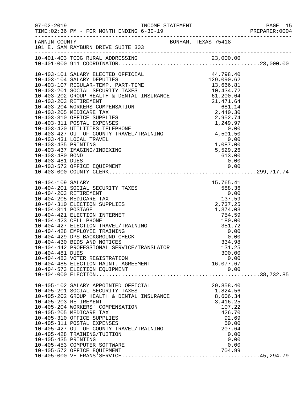| $07 - 02 - 2019$    | TIME: 02:36 PM - FOR MONTH ENDING 6-30-19                                              |  |                                              |      | PAGE 15<br>PREPARER: 0004 |
|---------------------|----------------------------------------------------------------------------------------|--|----------------------------------------------|------|---------------------------|
|                     | FANNIN COUNTY<br>101 E. SAM RAYBURN DRIVE SUITE 303                                    |  | BONHAM, TEXAS 75418                          |      |                           |
|                     |                                                                                        |  |                                              |      |                           |
|                     |                                                                                        |  |                                              |      |                           |
|                     |                                                                                        |  |                                              |      |                           |
|                     |                                                                                        |  |                                              |      |                           |
|                     |                                                                                        |  |                                              |      |                           |
|                     |                                                                                        |  |                                              |      |                           |
|                     |                                                                                        |  |                                              |      |                           |
|                     |                                                                                        |  |                                              |      |                           |
|                     |                                                                                        |  |                                              |      |                           |
|                     |                                                                                        |  |                                              |      |                           |
|                     |                                                                                        |  |                                              |      |                           |
|                     | 10-403-431 LOCAL TRAVEL                                                                |  |                                              | 0.00 |                           |
| 10-403-435 PRINTING |                                                                                        |  | $1,087.00$<br>5,529.26<br>5,529.26<br>613.00 |      |                           |
|                     | 10-403-437 IMAGING/INDEXING                                                            |  |                                              |      |                           |
| 10-403-480 BOND     |                                                                                        |  |                                              |      |                           |
| 10-403-481 DUES     |                                                                                        |  |                                              | 0.00 |                           |
|                     |                                                                                        |  |                                              |      |                           |
|                     |                                                                                        |  |                                              |      |                           |
| 10-404-109 SALARY   |                                                                                        |  | 15,765.41<br>588.36                          |      |                           |
|                     | 10-404-201 SOCIAL SECURITY TAXES                                                       |  |                                              |      |                           |
|                     | 10-404-203 RETIREMENT                                                                  |  |                                              |      |                           |
|                     | 10-404-205 MEDICARE TAX                                                                |  |                                              |      |                           |
|                     | 10-404-310 ELECTION SUPPLIES                                                           |  | 2,737.25                                     |      |                           |
| 10-404-311 POSTAGE  |                                                                                        |  | 1,374.03                                     |      |                           |
|                     | 10-404-421 ELECTION INTERNET                                                           |  | 754.59                                       |      |                           |
|                     | 10-404-423 CELL PHONE<br>10-404-427 ELECTION TRAVEL/TRAINING                           |  | 180.00<br>351.72                             |      |                           |
|                     | 10-404-428 EMPLOYEE TRAINING                                                           |  | 0.00                                         |      |                           |
|                     | 10-404-429 DPS BACKGROUND CHECK                                                        |  | 0.00                                         |      |                           |
|                     | 10-404-430 BIDS AND NOTICES                                                            |  | 334.98                                       |      |                           |
|                     | 10-404-442 PROFESSIONAL SERVICE/TRANSLATOR                                             |  | 131.25                                       |      |                           |
| 10-404-481 DUES     |                                                                                        |  | 300.00                                       |      |                           |
|                     | 10-404-483 VOTER REGISTRATION                                                          |  | ں.ں<br>16,077.67                             | 0.00 |                           |
|                     | 10-404-485 ELECTION MAINT. AGREEMENT                                                   |  |                                              |      |                           |
|                     | 10-404-573 ELECTION EQUIPMENT                                                          |  |                                              | 0.00 |                           |
|                     |                                                                                        |  |                                              |      |                           |
|                     | 10-405-102 SALARY APPOINTED OFFICIAL                                                   |  | 29,858.40                                    |      |                           |
|                     | 10-405-201 SOCIAL SECURITY TAXES                                                       |  | 1,824.56                                     |      |                           |
|                     | 10-405-202 GROUP HEALTH & DENTAL INSURANCE<br>10-405-203 BETIBEMENT & DENTAL INSURANCE |  | 8,606.34                                     |      |                           |
|                     | 10-405-203 RETIREMENT<br>10-405-204 WORKERS' COMPENSATION                              |  | 3,416.25<br>107.22                           |      |                           |
|                     | 10-405-205 MEDICARE TAX                                                                |  | 426.70                                       |      |                           |
|                     | 10-405-310 OFFICE SUPPLIES                                                             |  | 92.69                                        |      |                           |
|                     | 10-405-311 POSTAL EXPENSES                                                             |  | 50.00                                        |      |                           |
|                     | 10-405-427 OUT OF COUNTY TRAVEL/TRAINING                                               |  | 207.64                                       |      |                           |
|                     | 10-405-428 TRAINING/TUITION                                                            |  |                                              | 0.00 |                           |
| 10-405-435 PRINTING |                                                                                        |  |                                              | 0.00 |                           |
|                     | 10-405-453 COMPUTER SOFTWARE                                                           |  |                                              | 0.00 |                           |
|                     | 10-405-572 OFFICE EQUIPMENT                                                            |  | 704.99                                       |      |                           |
|                     |                                                                                        |  |                                              |      |                           |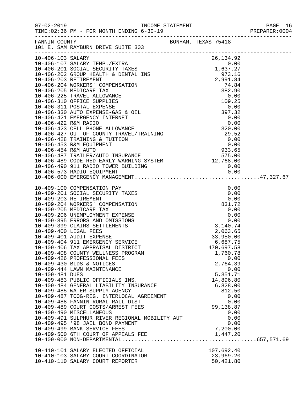|                 |                                                                                                                                                                                                                                                                                                                                                                                                                                                                                                                                                                                                                                                                                                                                                                                                                                                                                                                        |                                                                                                                                             |  |                                                                                                                                                                      | PREPARER: 0004 |
|-----------------|------------------------------------------------------------------------------------------------------------------------------------------------------------------------------------------------------------------------------------------------------------------------------------------------------------------------------------------------------------------------------------------------------------------------------------------------------------------------------------------------------------------------------------------------------------------------------------------------------------------------------------------------------------------------------------------------------------------------------------------------------------------------------------------------------------------------------------------------------------------------------------------------------------------------|---------------------------------------------------------------------------------------------------------------------------------------------|--|----------------------------------------------------------------------------------------------------------------------------------------------------------------------|----------------|
|                 | FANNIN COUNTY<br>101 E. SAM RAYBURN DRIVE SUITE 303                                                                                                                                                                                                                                                                                                                                                                                                                                                                                                                                                                                                                                                                                                                                                                                                                                                                    | BONHAM, TEXAS 75418                                                                                                                         |  |                                                                                                                                                                      |                |
|                 |                                                                                                                                                                                                                                                                                                                                                                                                                                                                                                                                                                                                                                                                                                                                                                                                                                                                                                                        |                                                                                                                                             |  | 26, 134.92                                                                                                                                                           |                |
| 10-409-481 DUES | 10-409-100 COMPENSATION PAY<br>10-409-201 SOCIAL SECURITY TAXES<br>10-409-203 RETIREMENT<br>10-409-204 WORKERS' COMPENSATION<br>10-409-205 MEDICARE TAX<br>10-409-206 UNEMPLOYMENT EXPENSE<br>10-409-395 ERRORS AND OMISSIONS<br>10-409-399 CLAIMS SETTLEMENTS<br>10-409-400 LEGAL FEES<br>10-409-401 AUDIT EXPENSE<br>10-409-404 911 EMERGENCY SERVICE<br>10-409-406 TAX APPRAISAL DISTRICT<br>10-409-408 COUNTY WELLNESS PROGRAM<br>10-409-426 PROFESSIONAL FEES<br>10-409-430 BIDS & NOTICES<br>10-409-444 LAWN MAINTENANCE<br>10-409-483 PUBLIC OFFICIALS INS.<br>10-409-484 GENERAL LIABILITY INSURANCE<br>10-409-484 GENERAL LINETILE - -<br>10-409-485 WATER SUPPLY AGENCY<br>10-409-487 TCOG-REG. INTERLOCAL AGREEMENT<br>10-409-489 COURT COSTS/ARREST FEES<br>10-409-490 MISCELLANEOUS<br>10-409-491 SULPHUR RIVER REGIONAL MOBILITY AUT<br>10-409-495 '98 JAIL BOND PAYMENT<br>10-409-499 BANK SERVICE FEES | 9.0<br>0.0<br>831.72<br>0.00<br>0.00<br>0.00<br>0.00<br>0.00<br>0.00<br>0.00<br>0.00<br>2,063.65<br>33.1<br>3.1<br>3.1<br>40.74<br>2,063.65 |  | 0.00<br>0.00<br>1,760.78<br>0.00<br>2,764.39<br>0.00<br>5,351.71<br>14,896.80<br>6,828.00<br>812.50<br>0.00<br>0.00<br>99,138.87<br>0.00<br>0.00<br>0.00<br>7,200.00 |                |
|                 | 10-410-103 SALARY COURT COORDINATOR<br>10-410-110 SALARY COURT COORDINATOR                                                                                                                                                                                                                                                                                                                                                                                                                                                                                                                                                                                                                                                                                                                                                                                                                                             |                                                                                                                                             |  | 107,692.40<br>23,969.20<br>50,421.80                                                                                                                                 |                |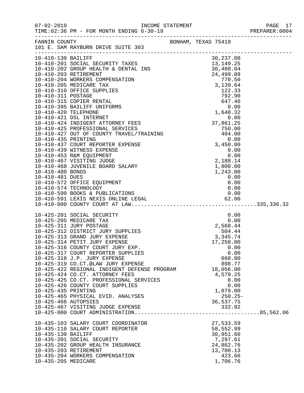|                                             |                                                                                                                                                                                                                                                                                                                                                                                                                                                                                                                                                                                                                                                    |  |                                                                                                    | PREPARER: 0004 |
|---------------------------------------------|----------------------------------------------------------------------------------------------------------------------------------------------------------------------------------------------------------------------------------------------------------------------------------------------------------------------------------------------------------------------------------------------------------------------------------------------------------------------------------------------------------------------------------------------------------------------------------------------------------------------------------------------------|--|----------------------------------------------------------------------------------------------------|----------------|
|                                             | FANNIN COUNTY<br>101 E. SAM RAYBURN DRIVE SUITE 303                                                                                                                                                                                                                                                                                                                                                                                                                                                                                                                                                                                                |  |                                                                                                    |                |
|                                             |                                                                                                                                                                                                                                                                                                                                                                                                                                                                                                                                                                                                                                                    |  |                                                                                                    |                |
|                                             |                                                                                                                                                                                                                                                                                                                                                                                                                                                                                                                                                                                                                                                    |  |                                                                                                    |                |
| 10-425-435 PRINTING<br>10-425-466 AUTOPSIES | 10-425-201 SOCIAL SECURITY 0.00<br>10-425-205 MEDICARE TAX 0.00<br>10-425-311 JURY POSTAGE 2,568.44<br>10-425-312 DISTRICT JURY SUPPLIES 2,568.44<br>10-425-313 GRAND JURY EXPENSE 3,345.74<br>10-425-314 PETIT JURY EXPENSE 3,345.74<br>1<br>10-425-316 COUNTY COURT JURY EXP.<br>10-425-317 COURT REPORTER SUPPLIES<br>10-425-318 J.P. JURY EXPENSE<br>10-425-319 CO.CT.@LAW JURY EXPENSE<br>10-425-422 REGIONAL INDIGENT DEFENSE PROGRAM 18,056.00<br>10-425-424 CO.CT. ATTORNEY FEES<br>10-425-425 CO.CT. PROFESSIONAL SERVICES<br>10-425-426 COUNTY COURT SUPPLIES<br>10-425-465 PHYSICAL EVID. ANALYSES<br>10-425-467 VISITING JUDGE EXPENSE |  | 0.00<br>0.00<br>660.00<br>898.77<br>4,579.25<br>0.00<br>0.00<br>1,079.00<br>$250.25-$<br>36,537.75 |                |
| 10-435-130 BAILIFF<br>10-435-205 MEDICARE   | 10-435-103 SALARY COURT COORDINATOR<br>10-435-201 SOCIAL SECURITY<br>10-435-202 GROUP HEALTH INSURANCE<br>10-435-203 RETIREMENT<br>10-435-204 WORKERS COMPENSATION                                                                                                                                                                                                                                                                                                                                                                                                                                                                                 |  | 27,533.59<br>58,552.99<br>30,951.60<br>7,297.61<br>24,862.76<br>13,700.13<br>423.66<br>1,706.76    |                |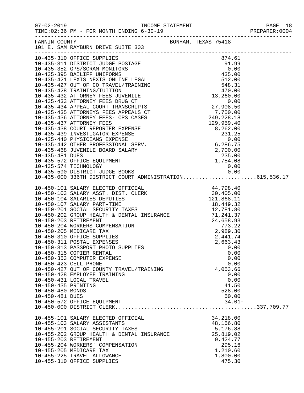|                     | FANNIN COUNTY                                                                  | BONHAM, TEXAS 75418 |  |
|---------------------|--------------------------------------------------------------------------------|---------------------|--|
|                     | 101 E. SAM RAYBURN DRIVE SUITE 303                                             |                     |  |
|                     |                                                                                |                     |  |
|                     |                                                                                |                     |  |
|                     |                                                                                |                     |  |
|                     |                                                                                |                     |  |
|                     |                                                                                |                     |  |
|                     |                                                                                |                     |  |
|                     |                                                                                |                     |  |
|                     |                                                                                |                     |  |
|                     |                                                                                |                     |  |
|                     |                                                                                |                     |  |
|                     |                                                                                |                     |  |
|                     |                                                                                |                     |  |
|                     |                                                                                |                     |  |
|                     |                                                                                |                     |  |
|                     |                                                                                |                     |  |
|                     |                                                                                |                     |  |
|                     |                                                                                |                     |  |
|                     |                                                                                |                     |  |
|                     |                                                                                |                     |  |
|                     |                                                                                |                     |  |
|                     |                                                                                |                     |  |
|                     |                                                                                |                     |  |
|                     |                                                                                |                     |  |
|                     |                                                                                |                     |  |
|                     |                                                                                |                     |  |
|                     |                                                                                |                     |  |
|                     |                                                                                |                     |  |
|                     |                                                                                |                     |  |
|                     |                                                                                |                     |  |
|                     |                                                                                |                     |  |
|                     |                                                                                |                     |  |
|                     |                                                                                |                     |  |
|                     |                                                                                |                     |  |
|                     | 10-450-313 PASSPORT PHOTO SUPPLIES                                             | 0.00                |  |
|                     | 10-450-315 COPIER RENTAL<br>10-450-353 COMPUTER EXPENSE                        | 0.00                |  |
|                     | 10-450-423 CELL PHONE                                                          | 0.00<br>0.00        |  |
|                     | 10-450-427 OUT OF COUNTY TRAVEL/TRAINING                                       | 4,053.66            |  |
|                     | 10-450-428 EMPLOYEE TRAINING                                                   | 0.00                |  |
|                     | 10-450-431 LOCAL TRAVEL                                                        | 0.00                |  |
| 10-450-435 PRINTING |                                                                                | 41.50               |  |
| 10-450-480 BONDS    |                                                                                | 528.00              |  |
| 10-450-481 DUES     |                                                                                | 50.00               |  |
|                     |                                                                                |                     |  |
|                     |                                                                                |                     |  |
|                     | 10-455-101 SALARY ELECTED OFFICIAL                                             | 34,218.00           |  |
|                     | 10-455-103 SALARY ASSISTANTS                                                   | 48,156.80           |  |
|                     |                                                                                | 5,176.88            |  |
|                     | 10-455-201 SOCIAL SECURITY TAXES<br>10-455-202 GROUP HEALTH & DENTAL INSURANCE | 25,819.02           |  |
|                     | 10-455-203 RETIREMENT                                                          | 9,424.77            |  |
|                     | 10-455-204 WORKERS' COMPENSATION                                               | 295.16              |  |
|                     | 10-455-205 MEDICARE TAX                                                        | 1,210.60            |  |
|                     | 10-455-225 TRAVEL ALLOWANCE                                                    | 1,800.00            |  |
|                     | 10-455-310 OFFICE SUPPLIES                                                     | 475.30              |  |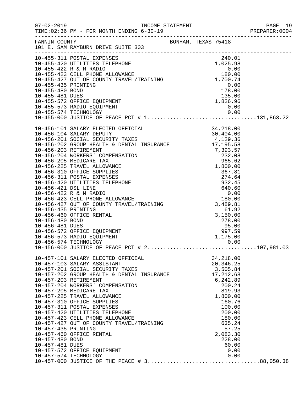|                                                           |                                                                                                                                                                                                                                                                                                                                                                                                                                                                                                                                                                                 |  |                                                                                                                                                                                                       | PREPARER: 0004 |
|-----------------------------------------------------------|---------------------------------------------------------------------------------------------------------------------------------------------------------------------------------------------------------------------------------------------------------------------------------------------------------------------------------------------------------------------------------------------------------------------------------------------------------------------------------------------------------------------------------------------------------------------------------|--|-------------------------------------------------------------------------------------------------------------------------------------------------------------------------------------------------------|----------------|
|                                                           | FANNIN COUNTY<br>101 E. SAM RAYBURN DRIVE SUITE 303                                                                                                                                                                                                                                                                                                                                                                                                                                                                                                                             |  |                                                                                                                                                                                                       |                |
|                                                           | 10-455-311 POSTAL EXPENSES                                                                                                                                                                                                                                                                                                                                                                                                                                                                                                                                                      |  | 240.01                                                                                                                                                                                                |                |
|                                                           | 10-455-573 RADIO EQUIPMENT<br>10-455-574 TECHNOLOGY                                                                                                                                                                                                                                                                                                                                                                                                                                                                                                                             |  | $\begin{array}{c} 0\,.\,0\,0 \\ 0\,.\,0\,0 \end{array}$                                                                                                                                               |                |
|                                                           | 10-456-574 TECHNOLOGY                                                                                                                                                                                                                                                                                                                                                                                                                                                                                                                                                           |  | 0.00                                                                                                                                                                                                  |                |
| 10-457-435 PRINTING<br>10-457-480 BOND<br>10-457-481 DUES | 10-457-101 SALARY ELECTED OFFICIAL<br>10-457-103 SALARY ASSISTANT<br>10-457-201 SOCIAL SECURITY TAXES<br>10-457-201 SOCIAL SECURITY TAXES<br>10-457-202 GROUP HEALTH & DENTAL INSURANCE<br>10-457-203 RETIREMENT<br>10-457-204 WORKERS' COMPENSATION<br>10-457-205 MEDICARE TAX<br>10-457-225 TRAVEL ALLOWANCE<br>10-457-310 OFFICE SUPPLIES<br>10-457-311 POSTAL EXPENSES<br>10-457-420 UTILITIES TELEPHONE<br>10-457-423 CELL PHONE ALLOWANCE<br>10-457-427 OUT OF COUNTY TRAVEL/TRAINING<br>10-457-460 OFFICE RENTAL<br>10-457-572 OFFICE EQUIPMENT<br>10-457-574 TECHNOLOGY |  | 34,218.00<br>20,346.25<br>3,505.84<br>17,212.68<br>6,242.89<br>200.24<br>819.93<br>1,800.00<br>160.76<br>100.00<br>200.00<br>180.00<br>635.24<br>57.25<br>2,083.30<br>228.00<br>60.00<br>0.00<br>0.00 |                |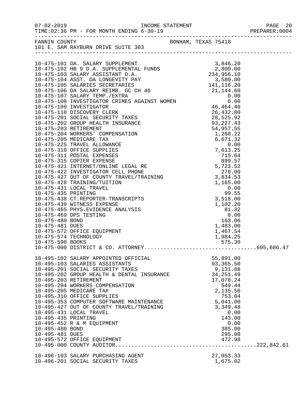| $07 - 02 - 2019$                                                                                                                                                                                    |                     |                        |  |
|-----------------------------------------------------------------------------------------------------------------------------------------------------------------------------------------------------|---------------------|------------------------|--|
| FANNIN COUNTY<br>101 E. SAM RAYBURN DRIVE SUITE 303                                                                                                                                                 | BONHAM, TEXAS 75418 |                        |  |
|                                                                                                                                                                                                     |                     |                        |  |
|                                                                                                                                                                                                     |                     |                        |  |
|                                                                                                                                                                                                     |                     |                        |  |
|                                                                                                                                                                                                     |                     |                        |  |
|                                                                                                                                                                                                     |                     |                        |  |
|                                                                                                                                                                                                     |                     |                        |  |
|                                                                                                                                                                                                     |                     |                        |  |
|                                                                                                                                                                                                     |                     |                        |  |
|                                                                                                                                                                                                     |                     |                        |  |
|                                                                                                                                                                                                     |                     |                        |  |
|                                                                                                                                                                                                     |                     |                        |  |
|                                                                                                                                                                                                     |                     |                        |  |
|                                                                                                                                                                                                     |                     |                        |  |
|                                                                                                                                                                                                     |                     |                        |  |
|                                                                                                                                                                                                     |                     |                        |  |
|                                                                                                                                                                                                     |                     |                        |  |
|                                                                                                                                                                                                     |                     |                        |  |
|                                                                                                                                                                                                     |                     |                        |  |
|                                                                                                                                                                                                     |                     |                        |  |
|                                                                                                                                                                                                     |                     |                        |  |
|                                                                                                                                                                                                     |                     |                        |  |
|                                                                                                                                                                                                     |                     |                        |  |
| 0-475-428 1N.L.<br>0-475-431 LOCAL TRAVEL<br>10-475-435 PRINTING<br>10-475-438 CT.REPORTER-TRANSCRIPTS<br>10-475-439 WITNESS EXPENSE<br>10-475-465 PHYS.EVIDENCE ANALYSIS<br>10-475-469 DPS TESTING |                     |                        |  |
|                                                                                                                                                                                                     |                     | 1,102.20               |  |
|                                                                                                                                                                                                     |                     | 81.32                  |  |
|                                                                                                                                                                                                     |                     | 0.00                   |  |
|                                                                                                                                                                                                     |                     | 163.06                 |  |
|                                                                                                                                                                                                     |                     | 1,483.00               |  |
|                                                                                                                                                                                                     |                     | 1,467.54               |  |
| 10-475-574 TECHNOLOGY<br>10-475-590 BOOKS                                                                                                                                                           |                     | 1,984.25<br>575.30     |  |
|                                                                                                                                                                                                     |                     |                        |  |
| 10-495-102 SALARY APPOINTED OFFICIAL                                                                                                                                                                |                     | 55,891.00              |  |
| 10-495-103 SALARIES ASSISTANTS                                                                                                                                                                      |                     | 93,365.50              |  |
| 10-495-201 SOCIAL SECURITY TAXES<br>$10-495-202$ GROUP HEALTH & DENTAL INSURANCE                                                                                                                    |                     | 9,131.88<br>34, 251.49 |  |
| 10-495-203 RETIREMENT                                                                                                                                                                               |                     | 17,078.24              |  |
| 10-495-204 WORKERS COMPENSATION                                                                                                                                                                     |                     | 549.44                 |  |
| 10-495-205 MEDICARE TAX                                                                                                                                                                             |                     | 2,135.56               |  |
| 10-495-310 OFFICE SUPPLIES                                                                                                                                                                          |                     | 753.04                 |  |
| 10-495-353 COMPUTER SOFTWARE MAINTENANCE<br>10-495-427 OUT OF COUNTY TRAVEL/TRAINING                                                                                                                |                     | 5,041.00               |  |
|                                                                                                                                                                                                     |                     | 3,349.48               |  |
| 10-495-431 LOCAL TRAVEL                                                                                                                                                                             |                     | 0.00                   |  |
| 10-495-435 PRINTING                                                                                                                                                                                 |                     | 143.00                 |  |
| 10-495-452 R & M EQUIPMENT<br>10-495-480 BOND                                                                                                                                                       |                     | 0.00<br>385.00         |  |
| 10-495-481 DUES                                                                                                                                                                                     |                     | 295.00                 |  |
| 10-495-572 OFFICE EQUIPMENT                                                                                                                                                                         |                     |                        |  |
|                                                                                                                                                                                                     |                     |                        |  |
| 10-496-103 SALARY PURCHASING AGENT                                                                                                                                                                  |                     | 27,053.33              |  |
| 10-496-201 SOCIAL SECURITY TAXES                                                                                                                                                                    |                     | 1,675.02               |  |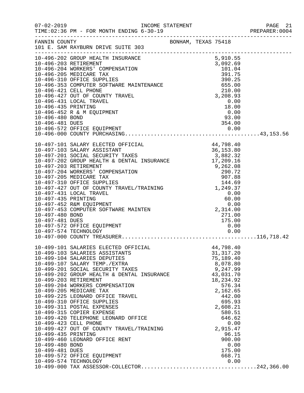|                                                           | $07 - 02 - 2019$<br>TIME: 02:36 PM - FOR MONTH ENDING 6-30-19                                                                                                                                                                                                                                                                                                                                                                                                                                                                                                                                                                |  |                                                                                                                                                                                                                                     | PAGE 21<br>PREPARER: 0004 |
|-----------------------------------------------------------|------------------------------------------------------------------------------------------------------------------------------------------------------------------------------------------------------------------------------------------------------------------------------------------------------------------------------------------------------------------------------------------------------------------------------------------------------------------------------------------------------------------------------------------------------------------------------------------------------------------------------|--|-------------------------------------------------------------------------------------------------------------------------------------------------------------------------------------------------------------------------------------|---------------------------|
| FANNIN COUNTY                                             |                                                                                                                                                                                                                                                                                                                                                                                                                                                                                                                                                                                                                              |  | BONHAM, TEXAS 75418                                                                                                                                                                                                                 |                           |
| 10-496-435 PRINTING<br>10-496-480 BOND<br>10-496-481 DUES | 10-496-452 R & M EQUIPMENT                                                                                                                                                                                                                                                                                                                                                                                                                                                                                                                                                                                                   |  | 18.00<br>$\frac{1}{0.00}$<br>93.00<br>354.00                                                                                                                                                                                        |                           |
| 10-497-480 BOND<br>10-497-481 DUES                        | 10-497-572 OFFICE EQUIPMENT<br>10-497-574 TECHNOLOGY                                                                                                                                                                                                                                                                                                                                                                                                                                                                                                                                                                         |  | 271.00<br>175.00<br>0.00<br>0.00                                                                                                                                                                                                    |                           |
| 10-499-435 PRINTING<br>10-499-480 BOND<br>10-499-481 DUES | 10-497-000 COUNTY TREASURER<br>10-499-101 SALARIES ELECTED OFFICIAL<br>10-499-103 SALARIES ASSISTANTS<br>10-499-201 SOCIAL SECURITY TAXES<br>10-499-201 SOCIAL SECURITY TAXES<br>10-499-202 GROUP HEALTH & DENTAL INSURANCE<br>10-499-203 RETIREMENT<br>10-499-204 WORKERS COMPENSATION<br>10-499-205 MEDICARE TAX<br>10-499-225 LEONARD OFFICE TRAVEL<br>10-499-310 OFFICE SUPPLIES<br>10-499-311 POSTAL EXPENSES<br>10-499-315 COPIER EXPENSE<br>10-499-420 TELEPHONE LEONARD OFFICE<br>10-499-423 CELL PHONE<br>10-499-427 OUT OF COUNTY TRAVEL/TRAINING<br>10-499-460 LEONARD OFFICE RENT<br>10-499-572 OFFICE EQUIPMENT |  | 44,798.40<br>31, 317.20<br>75,189.40<br>8,078.80<br>9,247.99<br>43,031.70<br>18,234.92<br>576.34<br>2,162.65<br>442.00<br>695.93<br>2,608.21<br>580.51<br>646.62<br>0.00<br>2,915.47<br>96.15<br>900.00<br>0.00<br>175.00<br>668.71 |                           |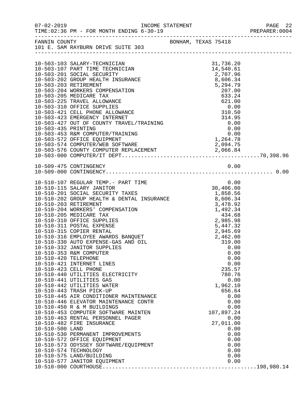|                      |                                                                                                                                                                                                                           |  |                                                                                |                          | PREPARER: 0004 |
|----------------------|---------------------------------------------------------------------------------------------------------------------------------------------------------------------------------------------------------------------------|--|--------------------------------------------------------------------------------|--------------------------|----------------|
|                      | FANNIN COUNTY BONHAM, TEXAS 75418<br>101 E. SAM RAYBURN DRIVE SUITE 303                                                                                                                                                   |  |                                                                                |                          |                |
|                      |                                                                                                                                                                                                                           |  |                                                                                |                          |                |
|                      | 10-503-103 SALARY-TECHNICIAN<br>10-503-107 PART TIME TECHNICIAN<br>10-503-201 SOCIAL SECURITY<br>10-503-202 GROUP HEALTH INSURANCE<br>10-503-203 RETIREMENT<br>10-503-204 WORKERS COMPENSATION<br>10-503-205 MEDICARE TAX |  | 31,736.20<br>14,540.61<br>2,707.96<br>8,606.34<br>5,294.79<br>207.00<br>633.24 |                          |                |
|                      |                                                                                                                                                                                                                           |  |                                                                                |                          |                |
|                      |                                                                                                                                                                                                                           |  |                                                                                |                          |                |
|                      | 10-509-475 CONTINGENCY                                                                                                                                                                                                    |  |                                                                                | 0.00                     |                |
|                      | 10-510-107 REGULAR TEMP.- PART TIME 0.00<br>10-510-115 SALARY JANITOR 30,406.00<br>10-510-201 SOCIAL SECURITY TAXES 10-510-202 GROUP HEALTH & DENTAL INSURANCE 8,606.34                                                   |  |                                                                                |                          |                |
|                      | 10-510-203 RETIREMENT<br>10-510-204 WORKERS' COMPENSATION                                                                                                                                                                 |  |                                                                                |                          |                |
|                      | 10-510-205 MEDICARE TAX<br>10-510-310 OFFICE SUPPLIES                                                                                                                                                                     |  | $3,478.92$<br>1,492.34<br>434.68<br>2,985.98<br>5,447.32<br>2,985.98           |                          |                |
|                      | 10-510-310 OFFICE SUFFILE<br>10-510-311 POSTAL EXPENSE<br>10-510-315 COPIER RENTAL<br>10-510-316 EMPLOYEE AWARDS BANQUET<br>2,462.00<br>2,462.00<br>319.00<br>0.00<br>10-510-332 JANITOR SUPPLIES                         |  |                                                                                | 0.00                     |                |
| 10-510-420 TELEPHONE | 10-510-353 R&M COMPUTER<br>10-510-421 INTERNET LINES                                                                                                                                                                      |  |                                                                                | 0.00<br>0.00<br>0.00     |                |
|                      | 10-510-423 CELL PHONE<br>10-510-440 UTILITIES ELECTRICITY<br>10-510-441 UTILITIES GAS                                                                                                                                     |  |                                                                                | 235.57<br>780.76<br>0.00 |                |
|                      | 10-510-442 UTILITIES WATER<br>10-510-443 TRASH PICK-UP<br>10-510-445 AIR CONDITIONER MAINTENANCE<br>10-510-446 ELEVATOR MAINTENANCE CONTR                                                                                 |  | 1,962.10                                                                       | 656.64<br>0.00<br>0.00   |                |
|                      | 10-510-450 R & M BUILDINGS<br>10-510-453 COMPUTER SOFTWARE MAINTEN<br>10-510-463 RENTAL PERSONNEL PAGER                                                                                                                   |  | 107,897.24                                                                     | 0.00<br>0.00             |                |
| 10-510-500 LAND      | 10-510-482 FIRE INSURANCE<br>10-510-530 PERMANENT IMPROVEMENTS                                                                                                                                                            |  | 27,011.00                                                                      | 0.00<br>0.00             |                |
|                      | 10-510-572 OFFICE EQUIPMENT<br>10-510-573 ODYSSEY SOFTWARE/EQUIPMENT<br>10-510-574 TECHNOLOGY                                                                                                                             |  |                                                                                | 0.00<br>0.00<br>0.00     |                |
|                      |                                                                                                                                                                                                                           |  |                                                                                |                          |                |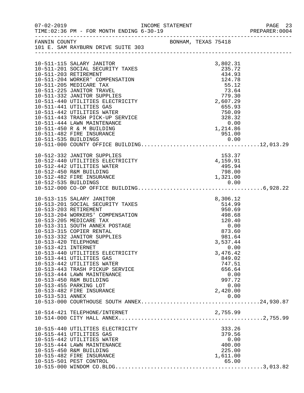| $07 - 02 - 2019$                                                     | TIME: 02:36 PM - FOR MONTH ENDING 6-30-19                                                                                                                                                                                                                                                                                                                                                                                                                                   | INCOME STATEMENT |  |                                                                                                                                                                                                                 | PAGE 23<br>PREPARER: 0004 |
|----------------------------------------------------------------------|-----------------------------------------------------------------------------------------------------------------------------------------------------------------------------------------------------------------------------------------------------------------------------------------------------------------------------------------------------------------------------------------------------------------------------------------------------------------------------|------------------|--|-----------------------------------------------------------------------------------------------------------------------------------------------------------------------------------------------------------------|---------------------------|
|                                                                      | FANNIN COUNTY<br>101 E. SAM RAYBURN DRIVE SUITE 303                                                                                                                                                                                                                                                                                                                                                                                                                         |                  |  |                                                                                                                                                                                                                 |                           |
|                                                                      |                                                                                                                                                                                                                                                                                                                                                                                                                                                                             |                  |  |                                                                                                                                                                                                                 |                           |
|                                                                      | 10-511-115 SALARY JANITOR<br>10-511-201 SOCIAL SECURITY TAXES<br>10-511-203 RETIREMENT<br>10-511-204 WORKER' COMPENSATION<br>10-511-205 MEDICARE TAX<br>10-511-225 JANITOR TRAVEL<br>10-511-332 JANITOR SUPPLIES<br>10-511-440 UTILITIES ELECTRICITY<br>10-511-441 UTILITIES GAS<br>10-511-442 UTILITIES WATER<br>10-511-443 TRASH PICK-UP SERVICE<br>10-511-444 LAWN MAINTENANCE<br>10-511-450 R & M BUILDING                                                              |                  |  | 3,802.31<br>235.72<br>434.93<br>124.78<br>55.12<br>73.64<br>779.30<br>2,607.29<br>655.93<br>750.09<br>328.32<br>0.00<br>1,214.86                                                                                |                           |
|                                                                      | 10-511-482 FIRE INSURANCE                                                                                                                                                                                                                                                                                                                                                                                                                                                   |                  |  | 951.00                                                                                                                                                                                                          |                           |
|                                                                      |                                                                                                                                                                                                                                                                                                                                                                                                                                                                             |                  |  |                                                                                                                                                                                                                 |                           |
|                                                                      |                                                                                                                                                                                                                                                                                                                                                                                                                                                                             |                  |  |                                                                                                                                                                                                                 |                           |
|                                                                      | 10-512-332 JANITOR SUPPLIES<br>10-512-440 UTILITIES ELECTRICITY<br>10-512-442 UTILITIES WATER<br>10-512-450 R&M BUILDING                                                                                                                                                                                                                                                                                                                                                    |                  |  | 153.37<br>4,159.91<br>$\frac{495.94}{ }$<br>798.00                                                                                                                                                              |                           |
|                                                                      |                                                                                                                                                                                                                                                                                                                                                                                                                                                                             |                  |  |                                                                                                                                                                                                                 |                           |
| 10-513-203 RETIREMENT<br>10-513-420 TELEPHONE<br>10-513-421 INTERNET | 10-513-115 SALARY JANITOR<br>10-513-201 SOCIAL SECURITY TAXES<br>10-513-204 WORKERS' COMPENSATION<br>10-513-205 MEDICARE TAX<br>10-513-311 SOUTH ANNEX POSTAGE<br>10-513-315 COPIER RENTAL<br>10-513-332 JANITOR SUPPLIES<br>10-513-440 UTILITIES ELECTRICITY<br>10-513-441 UTILITIES GAS<br>10-513-442 UTILITIES WATER<br>10-513-443 TRASH PICKUP SERVICE<br>10-513-444 LAWN MAINTENANCE<br>10-513-450 R&M BUILDING<br>10-513-455 PARKING LOT<br>10-513-482 FIRE INSURANCE |                  |  | 8,306.12<br>514.99<br>950.69<br>498.68<br>120.40<br>$\begin{array}{c} 0.00 \\ 873.60 \end{array}$<br>981.64<br>3,537.44<br>0.00<br>3,476.42<br>849.02<br>747.51<br>656.64<br>0.00<br>997.72<br>0.00<br>2,420.00 |                           |
|                                                                      | 10-514-421 TELEPHONE/INTERNET                                                                                                                                                                                                                                                                                                                                                                                                                                               |                  |  | 2,755.99                                                                                                                                                                                                        |                           |
|                                                                      | 10-515-440 UTILITIES ELECTRICITY<br>10-515-441 UTILITIES GAS<br>10-515-442 UTILITIES WATER<br>10-515-444 LAWN MAINTENANCE<br>10-515-450 R&M BUILDING<br>10-515-482 FIRE INSURANCE<br>10-515-501 PEST CONTROL                                                                                                                                                                                                                                                                |                  |  | 333.26<br>379.56<br>0.00<br>400.00<br>225.00<br>1,611.00<br>65.00                                                                                                                                               |                           |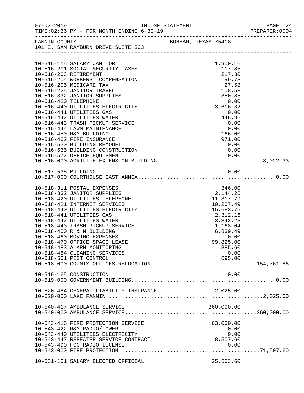|                      |                                                                                    |     |                                                                               |                    |      | PAGE 24<br>PREPARER:0004 |
|----------------------|------------------------------------------------------------------------------------|-----|-------------------------------------------------------------------------------|--------------------|------|--------------------------|
|                      | FANNIN COUNTY<br>101 E. SAM RAYBURN DRIVE SUITE 303                                |     | BONHAM, TEXAS 75418                                                           |                    |      |                          |
|                      |                                                                                    |     |                                                                               |                    |      |                          |
|                      |                                                                                    |     |                                                                               |                    |      |                          |
|                      | 10-516-115 SALARY JANITOR                                                          |     |                                                                               | 1,900.16           |      |                          |
|                      | 10-516-201 SOCIAL SECURITY TAXES                                                   |     |                                                                               | 117.85             |      |                          |
|                      | 10-516-203 RETIREMENT                                                              |     |                                                                               | 217.30             |      |                          |
|                      | 10-516-204 WORKERS' COMPENSATION                                                   |     |                                                                               | 99.78              |      |                          |
|                      | 10-516-205 MEDICARE TAX                                                            |     |                                                                               | 27.58              |      |                          |
|                      | 10-516-225 JANITOR TRAVEL                                                          |     |                                                                               | 108.53<br>350.85   |      |                          |
|                      | 10-516-332 JANITOR SUPPLIES                                                        |     |                                                                               |                    |      |                          |
| 10-516-420 TELEPHONE |                                                                                    |     |                                                                               | $0.00$<br>3,616.32 |      |                          |
|                      | 10-516-440 UTILITIES ELECTRICITY                                                   |     |                                                                               |                    |      |                          |
|                      | 10-516-441 UTILITIES GAS                                                           |     |                                                                               | 0.00<br>446.96     |      |                          |
|                      | 10-516-442 UTILITIES WATER                                                         |     |                                                                               |                    |      |                          |
|                      | 10-516-443 TRASH PICKUP SERVICE                                                    |     |                                                                               | 0.00<br>0.00       |      |                          |
|                      | 10-516-444 LAWN MAINTENANCE                                                        |     |                                                                               |                    |      |                          |
|                      | 10-516-450 R&M BUILDING                                                            |     |                                                                               | 166.00<br>971.00   |      |                          |
|                      | 10-516-482 FIRE INSURANCE                                                          |     |                                                                               |                    |      |                          |
|                      | 10-516-530 BUILDING REMODEL                                                        | TON |                                                                               | 0.00               |      |                          |
|                      | 10-516-535 BUILDING CONSTRUCTION                                                   |     |                                                                               | 0.00               |      |                          |
|                      | 10-516-572 OFFICE EQUIPMENT 0.00<br>10-516-000 AGRILIFE EXTENSION BUILDING8,022.33 |     |                                                                               |                    |      |                          |
|                      |                                                                                    |     |                                                                               |                    |      |                          |
|                      |                                                                                    |     |                                                                               |                    | 0.00 |                          |
| 10-517-535 BUILDING  |                                                                                    |     |                                                                               |                    |      |                          |
|                      |                                                                                    |     |                                                                               |                    |      |                          |
|                      | 10-518-311 POSTAL EXPENSES                                                         |     |                                                                               | 346.00             |      |                          |
|                      | 10-518-332 JANITOR SUPPLIES                                                        |     |                                                                               | 2,144.26           |      |                          |
|                      | 10-518-420 UTILITIES TELEPHONE                                                     |     |                                                                               | 11,317.79          |      |                          |
|                      | 10-518-421 INTERNET SERVICES                                                       |     | 11, 317.79<br>10, 207.49<br>15, 683.75<br>2, 312.16<br>3, 342.28<br>1, 163.04 |                    |      |                          |
|                      | 10-518-440 UTILITIES ELECTRICITY                                                   |     |                                                                               |                    |      |                          |
|                      | 10-518-441 UTILITIES GAS                                                           |     |                                                                               |                    |      |                          |
|                      | 10-518-442 UTILITIES WATER                                                         |     |                                                                               |                    |      |                          |
|                      | 10-518-443 TRASH PICKUP SERVICE                                                    |     |                                                                               |                    |      |                          |
|                      | 10-518-450 R & M BUILDING                                                          |     |                                                                               | 6,839.49           |      |                          |
|                      | 10-518-460 MOVING EXPENSES                                                         |     |                                                                               | 49.رت.<br>0.00     |      |                          |
|                      | 10-518-470 OFFICE SPACE LEASE                                                      |     |                                                                               | 99,825.00          |      |                          |
|                      | 10-518-483 ALARM MONITORING                                                        |     |                                                                               | 885.60             |      |                          |
|                      | 10-518-484 CLEANING SERVICES                                                       |     |                                                                               |                    | 0.00 |                          |
|                      | 10-518-501 PEST CONTROL                                                            |     |                                                                               | 695.00             |      |                          |
|                      | 10-518-000 COUNTY OFFICES RELOCATION154,761.86                                     |     |                                                                               |                    |      |                          |
|                      |                                                                                    |     |                                                                               |                    |      |                          |
|                      | 10-519-165 CONSTRUCTION                                                            |     |                                                                               |                    | 0.00 |                          |
|                      |                                                                                    |     |                                                                               |                    |      |                          |
|                      |                                                                                    |     |                                                                               |                    |      |                          |
|                      | 10-520-484 GENERAL LIABILITY INSURANCE                                             |     |                                                                               | 2,025.00           |      |                          |
|                      |                                                                                    |     |                                                                               |                    |      |                          |
|                      |                                                                                    |     |                                                                               |                    |      |                          |
|                      | 10-540-417 AMBULANCE SERVICE                                                       |     |                                                                               | 360,000.00         |      |                          |
|                      |                                                                                    |     |                                                                               |                    |      |                          |
|                      |                                                                                    |     |                                                                               |                    |      |                          |
|                      | 10-543-416 FIRE PROTECTION SERVICE                                                 |     |                                                                               | 63,000.00          |      |                          |
|                      | 10-543-422 R&M RADIO/TOWER                                                         |     |                                                                               |                    | 0.00 |                          |
|                      | 10-543-440 UTILITIES ELECTRICITY                                                   |     |                                                                               |                    | 0.00 |                          |
|                      | 10-543-447 REPEATER SERVICE CONTRACT                                               |     |                                                                               | 8,507.60           |      |                          |
|                      | 10-543-490 FCC RADIO LICENSE                                                       |     |                                                                               | 0.00               |      |                          |
|                      |                                                                                    |     |                                                                               |                    |      |                          |
|                      |                                                                                    |     |                                                                               |                    |      |                          |
|                      | 10-551-101 SALARY ELECTED OFFICIAL                                                 |     |                                                                               | 25,503.60          |      |                          |
|                      |                                                                                    |     |                                                                               |                    |      |                          |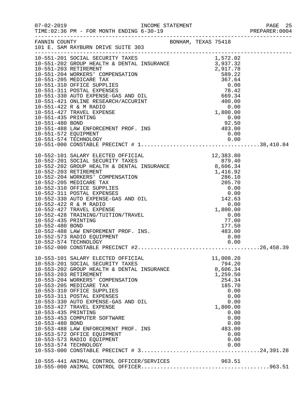|                                                                                                                     |                                                                                                                                                                                                                                                                                                                                                                                                                               |                                                                 |                                                                           |                                                              | PAGE 25 |
|---------------------------------------------------------------------------------------------------------------------|-------------------------------------------------------------------------------------------------------------------------------------------------------------------------------------------------------------------------------------------------------------------------------------------------------------------------------------------------------------------------------------------------------------------------------|-----------------------------------------------------------------|---------------------------------------------------------------------------|--------------------------------------------------------------|---------|
|                                                                                                                     | FANNIN COUNTY<br>101 E. SAM RAYBURN DRIVE SUITE 303                                                                                                                                                                                                                                                                                                                                                                           |                                                                 |                                                                           |                                                              |         |
|                                                                                                                     |                                                                                                                                                                                                                                                                                                                                                                                                                               |                                                                 |                                                                           |                                                              |         |
| 10-551-574 TECHNOLOGY                                                                                               |                                                                                                                                                                                                                                                                                                                                                                                                                               |                                                                 |                                                                           |                                                              |         |
|                                                                                                                     |                                                                                                                                                                                                                                                                                                                                                                                                                               |                                                                 |                                                                           |                                                              |         |
|                                                                                                                     |                                                                                                                                                                                                                                                                                                                                                                                                                               |                                                                 |                                                                           |                                                              |         |
| 10-553-203 RETIREMENT<br>10-553-205 MEDICARE TAX<br>10-553-435 PRINTING<br>10-553-480 BOND<br>10-553-574 TECHNOLOGY | 10-553-101 SALARY ELECTED OFFICIAL<br>10-553-201 SOCIAL SECURITY TAXES<br>10-553-202 GROUP HEALTH & DENTAL INSURANCE<br>10-553-204 WORKERS' COMPENSATION<br>10-553-310 OFFICE SUPPLIES<br>10-553-311 POSTAL EXPENSES<br>10-553-330 AUTO EXPENSE-GAS AND OIL<br>10-553-427 TRAVEL EXPENSE<br>10-553-453 COMPUTER SOFTWARE<br>10-553-488 LAW ENFORCEMENT PROF. INS<br>10-553-572 OFFICE EQUIPMENT<br>10-553-573 RADIO EQUIPMENT | $\begin{array}{r} \text{794.20} \\ \text{8,606.34} \end{array}$ | 11,008.20<br>794.20<br>1,259.50<br>254.34<br>185.70<br>1,800.00<br>483.00 | 0.00<br>0.00<br>0.00<br>0.00<br>0.00<br>0.00<br>0.00<br>0.00 |         |
|                                                                                                                     | 10-555-441 ANIMAL CONTROL OFFICER/SERVICES                                                                                                                                                                                                                                                                                                                                                                                    |                                                                 | 963.51                                                                    |                                                              |         |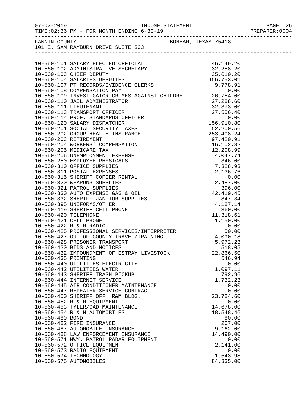|                     |                                                                         |                   | PREPARER: 0004 |
|---------------------|-------------------------------------------------------------------------|-------------------|----------------|
|                     | FANNIN COUNTY BONHAM, TEXAS 75418<br>101 E. SAM RAYBURN DRIVE SUITE 303 |                   |                |
|                     |                                                                         |                   |                |
|                     |                                                                         |                   |                |
|                     |                                                                         |                   |                |
|                     |                                                                         |                   |                |
|                     |                                                                         |                   |                |
|                     |                                                                         |                   |                |
|                     |                                                                         |                   |                |
|                     |                                                                         |                   |                |
|                     |                                                                         |                   |                |
|                     |                                                                         |                   |                |
|                     |                                                                         |                   |                |
|                     |                                                                         |                   |                |
|                     |                                                                         |                   |                |
|                     |                                                                         |                   |                |
|                     |                                                                         |                   |                |
|                     |                                                                         |                   |                |
|                     |                                                                         |                   |                |
|                     |                                                                         |                   |                |
|                     |                                                                         |                   |                |
|                     |                                                                         |                   |                |
|                     |                                                                         |                   |                |
|                     |                                                                         |                   |                |
|                     |                                                                         |                   |                |
|                     |                                                                         |                   |                |
|                     |                                                                         |                   |                |
|                     |                                                                         |                   |                |
|                     |                                                                         |                   |                |
|                     |                                                                         |                   |                |
|                     |                                                                         |                   |                |
|                     |                                                                         |                   |                |
|                     |                                                                         |                   |                |
|                     |                                                                         |                   |                |
|                     | 10-560-430 BIDS AND NOTICES                                             | 518.05            |                |
|                     | 10-560-432 IMPOUNDMENT OF ESTRAY LIVESTOCK                              | 22,866.50         |                |
| 10-560-435 PRINTING | 10-560-440 UTILITIES ELECTRICITY                                        | 546.94<br>0.00    |                |
|                     | 10-560-442 UTILITIES WATER                                              | 1,097.11          |                |
|                     | 10-560-443 SHERIFF TRASH PICKUP                                         | 792.96            |                |
|                     | 10-560-444 INTERNET SERVICE                                             | 1,732.23          |                |
|                     | 10-560-445 AIR CONDITIONER MAINTENANCE                                  | 0.00              |                |
|                     | 10-560-447 REPEATER SERVICE CONTRACT                                    | 0.00              |                |
|                     | 10-560-450 SHERIFF OFF. R&M BLDG.                                       | 23,784.60         |                |
|                     | 10-560-452 R & M EQUIPMENT<br>10-560-453 TYLER/CAD MAINTENANCE          | 0.00<br>14,678.00 |                |
|                     | 10-560-454 R & M AUTOMOBILES                                            | 18,548.46         |                |
| 10-560-480 BOND     |                                                                         | 80.00             |                |
|                     | 10-560-482 FIRE INSURANCE                                               | 267.00            |                |
|                     | 10-560-487 AUTOMOBILE INSURANCE                                         | 9,162.00          |                |
|                     | 10-560-488 LAW ENFORCEMENT INSURANCE                                    | 14,490.00         |                |
|                     | 10-560-571 HWY. PATROL RADAR EQUIPMENT                                  | 0.00              |                |
|                     | 10-560-572 OFFICE EQUIPMENT                                             | 2,141.00          |                |
|                     | 10-560-573 RADIO EQUIPMENT<br>10-560-574 TECHNOLOGY                     | 0.00<br>1,543.98  |                |
|                     | 10-560-575 AUTOMOBILES                                                  | 84, 335.00        |                |
|                     |                                                                         |                   |                |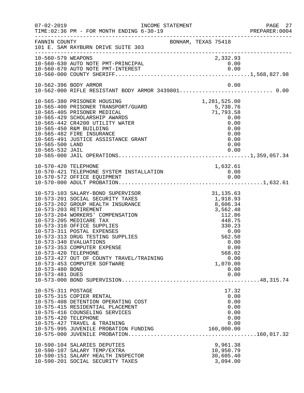| $07 - 02 - 2019$                                           | TIME: 02:36 PM - FOR MONTH ENDING 6-30-19                                                                                                                                                                                                                                                                                                                                                                                               | INCOME STATEMENT    |                                                                                                                                                              | PAGE 27<br>PREPARER:0004 |
|------------------------------------------------------------|-----------------------------------------------------------------------------------------------------------------------------------------------------------------------------------------------------------------------------------------------------------------------------------------------------------------------------------------------------------------------------------------------------------------------------------------|---------------------|--------------------------------------------------------------------------------------------------------------------------------------------------------------|--------------------------|
| FANNIN COUNTY                                              | 101 E. SAM RAYBURN DRIVE SUITE 303                                                                                                                                                                                                                                                                                                                                                                                                      | BONHAM, TEXAS 75418 |                                                                                                                                                              |                          |
| 10-560-579 WEAPONS                                         | 10-560-630 AUTO NOTE PMT-PRINCIPAL                                                                                                                                                                                                                                                                                                                                                                                                      |                     | 2,332.93<br>0.00                                                                                                                                             |                          |
|                                                            | 10-562-396 BODY ARMOR                                                                                                                                                                                                                                                                                                                                                                                                                   |                     | 0.00                                                                                                                                                         |                          |
| 10-565-500 LAND<br>10-565-532 JAIL                         | 10-565-380 PRISONER HOUSING<br>10-565-400 PRISONER TRANSPORT/GUARD<br>10-565-405 PRISONER MEDICAL<br>10-565-429 SCHOLARSHIP AWARDS<br>10-565-442 CR4200 UTILITY WATER<br>10-565-450 R&M BUILDING<br>10-565-482 FIRE INSURANCE<br>10-565-491 JUSTICE ASSISTANCE GRANT                                                                                                                                                                    |                     | 1,281,525.00<br>5,738.76<br>71,793.58<br>0.00<br>0.00<br>0.00<br>0.00<br>0.00<br>0.00<br>0.00                                                                |                          |
| 10-570-420 TELEPHONE                                       | 10-570-421 TELEPHONE SYSTEM INSTALLATION<br>10-570-572 OFFICE EQUIPMENT                                                                                                                                                                                                                                                                                                                                                                 |                     | 1,632.61<br>$\begin{array}{c} 0\, .\, 0\, 0 \\ 0\, .\, 0\, 0 \end{array}$                                                                                    |                          |
| 10-573-420 TELEPHONE<br>10-573-480 BOND<br>10-573-481 DUES | 10-573-103 SALARY-BOND SUPERVISOR<br>10-573-201 SOCIAL SECURITY TAXES<br>10-573-202 GROUP HEALTH INSURANCE<br>10-573-203 RETIREMENT<br>10-573-204 WORKERS' COMPENSATION<br>10-573-205 MEDICARE TAX<br>10-573-310 OFFICE SUPPLIES<br>10-573-311 POSTAL EXPENSES<br>10-573-313 DRUG TESTING SUPPLIES<br>10-573-340 EVALUATIONS<br>10-573-353 COMPUTER EXPENSE<br>10-573-427 OUT OF COUNTY TRAVEL/TRAINING<br>10-573-453 COMPUTER SOFTWARE |                     | 31, 135.63<br>1,918.93<br>8,606.34<br>3,562.48<br>112.86<br>448.75<br>330.23<br>0.00<br>562.50<br>0.00<br>0.00<br>568.02<br>0.00<br>1,070.00<br>0.00<br>0.00 |                          |
| 10-575-311 POSTAGE<br>10-575-420 TELEPHONE                 | 10-575-315 COPIER RENTAL<br>10-575-408 DETENTION OPERATING COST<br>10-575-415 RESIDENTIAL PLACEMENT<br>10-575-416 COUNSELING SERVICES<br>10-575-427 TRAVEL & TRAINING<br>10-575-995 JUVENILE PROBATION FUNDING<br>10-590-104 SALARIES DEPUTIES<br>10-590-107 SALARY TEMP/EXTRA<br>10-590-151 SALARY HEALTH INSPECTOR<br>10-590-201 SOCIAL SECURITY TAXES                                                                                |                     | 17.32<br>0.00<br>0.00<br>0.00<br>0.00<br>0.00<br>0.00<br>160,000.00<br>9,961.38<br>10,950.79<br>30,605.40<br>3,094.00                                        |                          |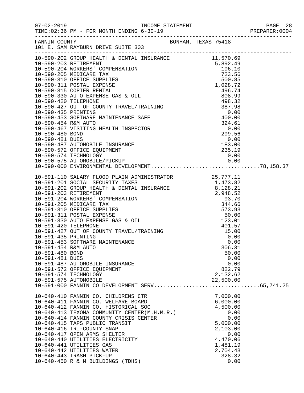|                     | $[10-590-202\text{ RQURINR} \mbox{\small{10-590-420\text{ RQURINR} \mbox{\small{10-590-500\text{ NQURINR} \mbox{\small{10-500-500\text{ NQURINR} \mbox{\small{10-500-500\text{ NQURINR} \mbox{\small{10-500-500\text{ NQURINR} \mbox{\small{10-500-500\text{ NQURINR} \mbox{\small{10-500-500\text{ NQURINR} \mbox{\small{10-500-500\text{ NQURINR}$ |  |                  |  |
|---------------------|------------------------------------------------------------------------------------------------------------------------------------------------------------------------------------------------------------------------------------------------------------------------------------------------------------------------------------------------------|--|------------------|--|
|                     |                                                                                                                                                                                                                                                                                                                                                      |  |                  |  |
|                     |                                                                                                                                                                                                                                                                                                                                                      |  |                  |  |
|                     |                                                                                                                                                                                                                                                                                                                                                      |  |                  |  |
|                     |                                                                                                                                                                                                                                                                                                                                                      |  |                  |  |
|                     |                                                                                                                                                                                                                                                                                                                                                      |  |                  |  |
|                     |                                                                                                                                                                                                                                                                                                                                                      |  |                  |  |
|                     |                                                                                                                                                                                                                                                                                                                                                      |  |                  |  |
|                     |                                                                                                                                                                                                                                                                                                                                                      |  |                  |  |
|                     |                                                                                                                                                                                                                                                                                                                                                      |  |                  |  |
|                     |                                                                                                                                                                                                                                                                                                                                                      |  |                  |  |
|                     |                                                                                                                                                                                                                                                                                                                                                      |  |                  |  |
|                     |                                                                                                                                                                                                                                                                                                                                                      |  |                  |  |
|                     |                                                                                                                                                                                                                                                                                                                                                      |  |                  |  |
|                     |                                                                                                                                                                                                                                                                                                                                                      |  |                  |  |
|                     |                                                                                                                                                                                                                                                                                                                                                      |  |                  |  |
|                     |                                                                                                                                                                                                                                                                                                                                                      |  |                  |  |
|                     |                                                                                                                                                                                                                                                                                                                                                      |  |                  |  |
|                     |                                                                                                                                                                                                                                                                                                                                                      |  |                  |  |
|                     |                                                                                                                                                                                                                                                                                                                                                      |  |                  |  |
|                     |                                                                                                                                                                                                                                                                                                                                                      |  |                  |  |
|                     |                                                                                                                                                                                                                                                                                                                                                      |  |                  |  |
|                     |                                                                                                                                                                                                                                                                                                                                                      |  |                  |  |
|                     |                                                                                                                                                                                                                                                                                                                                                      |  |                  |  |
|                     |                                                                                                                                                                                                                                                                                                                                                      |  |                  |  |
|                     |                                                                                                                                                                                                                                                                                                                                                      |  |                  |  |
|                     |                                                                                                                                                                                                                                                                                                                                                      |  |                  |  |
|                     |                                                                                                                                                                                                                                                                                                                                                      |  |                  |  |
|                     |                                                                                                                                                                                                                                                                                                                                                      |  |                  |  |
|                     |                                                                                                                                                                                                                                                                                                                                                      |  |                  |  |
| 10-591-454 R&M AUTO |                                                                                                                                                                                                                                                                                                                                                      |  | 306.31           |  |
| 10-591-480 BOND     |                                                                                                                                                                                                                                                                                                                                                      |  | 50.00            |  |
| 10-591-481 DUES     |                                                                                                                                                                                                                                                                                                                                                      |  | 0.00             |  |
|                     | 10-591-487 AUTOMOBILE INSURANCE                                                                                                                                                                                                                                                                                                                      |  | 0.00             |  |
|                     | 10-591-572 OFFICE EQUIPMENT                                                                                                                                                                                                                                                                                                                          |  | 822.79           |  |
|                     | 10-591-574 TECHNOLOGY                                                                                                                                                                                                                                                                                                                                |  | 2,132.62         |  |
|                     | 10-591-575 AUTOMOBILE                                                                                                                                                                                                                                                                                                                                |  | 22,500.00        |  |
|                     |                                                                                                                                                                                                                                                                                                                                                      |  |                  |  |
|                     | 10-640-410 FANNIN CO. CHILDRENS CTR                                                                                                                                                                                                                                                                                                                  |  | 7,000.00         |  |
|                     | 10-640-411 FANNIN CO. WELFARE BOARD                                                                                                                                                                                                                                                                                                                  |  | 6,000.00         |  |
|                     | 10-640-412 FANNIN CO. HISTORICAL SOC                                                                                                                                                                                                                                                                                                                 |  | 4,500.00         |  |
|                     | 10-640-413 TEXOMA COMMUNITY CENTER(M.H.M.R.)                                                                                                                                                                                                                                                                                                         |  | 0.00             |  |
|                     | 10-640-414 FANNIN COUNTY CRISIS CENTER<br>10-640-415 TAPS PUBLIC TRANSIT                                                                                                                                                                                                                                                                             |  | 0.00<br>5,000.00 |  |
|                     | 10-640-416 TRI-COUNTY SNAP                                                                                                                                                                                                                                                                                                                           |  | 2,103.00         |  |
|                     | 10-640-417 OPEN ARMS SHELTER                                                                                                                                                                                                                                                                                                                         |  | 0.00             |  |
|                     | 10-640-440 UTILITIES ELECTRICITY                                                                                                                                                                                                                                                                                                                     |  | 4,470.06         |  |
|                     | 10-640-441 UTILITIES GAS                                                                                                                                                                                                                                                                                                                             |  | 1,481.19         |  |
|                     | 10-640-442 UTILITIES WATER                                                                                                                                                                                                                                                                                                                           |  | 2,704.43         |  |
|                     | 10-640-443 TRASH PICK-UP                                                                                                                                                                                                                                                                                                                             |  | 328.32           |  |
|                     | 10-640-450 R & M BUILDINGS (TDHS)                                                                                                                                                                                                                                                                                                                    |  | 0.00             |  |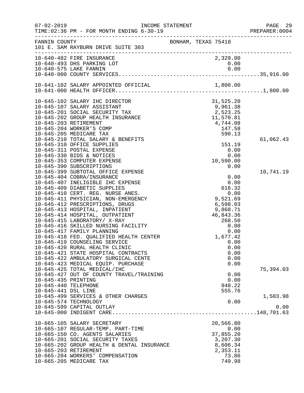| $07 - 02 - 2019$                            | INCOME STATEMENT<br>TIME: 02:36 PM - FOR MONTH ENDING 6-30-19                       |                                                                                |              | PAGE 29<br>PREPARER: 0004 |
|---------------------------------------------|-------------------------------------------------------------------------------------|--------------------------------------------------------------------------------|--------------|---------------------------|
| FANNIN COUNTY                               | 101 E. SAM RAYBURN DRIVE SUITE 303                                                  | BONHAM, TEXAS 75418                                                            |              |                           |
|                                             | ------------------------<br>10-640-482 FIRE INSURANCE<br>10-640-493 DHS PARKING LOT | 2,329.00<br>0.00                                                               |              |                           |
|                                             | 10-640-575 LAKE FANNIN                                                              | 0.00                                                                           |              |                           |
|                                             |                                                                                     |                                                                                |              |                           |
|                                             |                                                                                     |                                                                                |              |                           |
|                                             |                                                                                     |                                                                                |              |                           |
|                                             | 10-645-102 SALARY IHC DIRECTOR                                                      | 31,525.20<br>9,961.38<br>2,523.25<br>11,570.81<br>4,744.08<br>147.58<br>590.13 |              |                           |
|                                             | 10-645-107 SALARY ASSISTANT                                                         |                                                                                |              |                           |
|                                             | 10-645-201 SOCIAL SECURITY TAX                                                      |                                                                                |              |                           |
|                                             | 10-645-202 GROUP HEALTH INSURANCE                                                   |                                                                                |              |                           |
| 10-645-203 RETIREMENT                       |                                                                                     |                                                                                |              |                           |
|                                             | 10-645-204 WORKER'S COMP                                                            |                                                                                |              |                           |
|                                             | 10-645-205 MEDICARE TAX<br>10-645-210 TOTAL SALARY & BENEFITS                       |                                                                                |              |                           |
|                                             | 10-645-310 OFFICE SUPPLIES                                                          | 151.19                                                                         |              | 61,062.43                 |
|                                             | 10-645-311 POSTAL EXPENSE                                                           |                                                                                | 0.00         |                           |
|                                             | 10-645-330 BIDS & NOTICES                                                           |                                                                                | 0.00         |                           |
|                                             | 10-645-353 COMPUTER EXPENSE                                                         | 10,590.00                                                                      |              |                           |
|                                             | 10-645-390 SUBSCRIPTIONS                                                            |                                                                                | 0.00         |                           |
|                                             | 10-645-399 SUBTOTAL OFFICE EXPENSE                                                  |                                                                                |              | 10,741.19                 |
|                                             | 10-645-404 COBRA/INSURANCE                                                          |                                                                                | 0.00         |                           |
|                                             | 10-645-407 INELIGIBLE IHC EXPENSE                                                   | 0.00                                                                           |              |                           |
|                                             | 10-645-409 DIABETIC SUPPLIES                                                        | 616.32                                                                         |              |                           |
|                                             | 10-645-410 CERT. REG. NURSE ANES.                                                   |                                                                                | 0.00         |                           |
|                                             | 10-645-411 PHYSICIAN, NON-EMERGENCY                                                 | 9,521.69                                                                       |              |                           |
|                                             | 10-645-412 PRESCRIPTIONS, DRUGS<br>10-645-413 HOSPITAL, INPATIENT                   | 6,598.03<br>9,868.71                                                           |              |                           |
|                                             | 10-645-414 HOSPITAL, OUTPATIENT                                                     | 46,843.36                                                                      |              |                           |
|                                             | 10-645-415 LABORATORY/ X-RAY                                                        | 268.50                                                                         |              |                           |
|                                             | 10-645-416 SKILLED NURSING FACILITY                                                 |                                                                                | 0.00         |                           |
|                                             | 10-645-417 FAMILY PLANNING                                                          |                                                                                | 0.00         |                           |
|                                             | 10-645-418 FED. QUALIFIED HEALTH CENTER                                             | 0.00<br>1,677.42                                                               |              |                           |
|                                             | 10-645-419 COUNSELING SERVICE                                                       |                                                                                | 0.00         |                           |
|                                             | 10-645-420 RURAL HEALTH CLINIC                                                      |                                                                                | 0.00         |                           |
|                                             | 10-645-421 STATE HOSPITAL CONTRACTS                                                 |                                                                                | 0.00         |                           |
|                                             | 10-645-422 AMBULATORY SURGICAL CENTE                                                |                                                                                | 0.00         |                           |
|                                             | 10-645-423 MEDICAL EQUIP. PURCHASE                                                  |                                                                                | 0.00         |                           |
|                                             | 10-645-425 TOTAL MEDICAL/IHC                                                        |                                                                                |              | 75,394.03                 |
|                                             | 10-645-427 OUT OF COUNTY TRAVEL/TRAINING                                            |                                                                                | 0.00<br>0.00 |                           |
| 10-645-435 PRINTING<br>10-645-440 TELEPHONE |                                                                                     | 948.22                                                                         |              |                           |
| 10-645-441 DSL LINE                         |                                                                                     | 555.76                                                                         |              |                           |
|                                             | 10-645-499 SERVICES & OTHER CHARGES                                                 |                                                                                |              | 1,503.98                  |
|                                             | 10-645-574 TECHNOLOGY                                                               |                                                                                | 0.00         |                           |
|                                             | 10-645-599 CAPITAL OUTLAY                                                           |                                                                                |              | 0.00                      |
|                                             |                                                                                     |                                                                                |              |                           |
|                                             | 10-665-105 SALARY SECRETARY                                                         | 20,566.80                                                                      |              |                           |
|                                             | 10-665-107 REGULAR-TEMP. PART-TIME                                                  |                                                                                | 0.00         |                           |
|                                             | 10-665-150 CO. AGENTS SALARIES                                                      | 37,855.20                                                                      |              |                           |
|                                             | 10-665-201 SOCIAL SECURITY TAXES                                                    | 3,207.30                                                                       |              |                           |
|                                             | 10-665-202 GROUP HEALTH & DENTAL INSURANCE                                          | 8,606.34                                                                       |              |                           |
|                                             | 10-665-203 RETIREMENT                                                               | 2,353.11                                                                       |              |                           |
|                                             | 10-665-204 WORKERS' COMPENSATION                                                    | 73.86                                                                          |              |                           |
|                                             | 10-665-205 MEDICARE TAX                                                             | 749.98                                                                         |              |                           |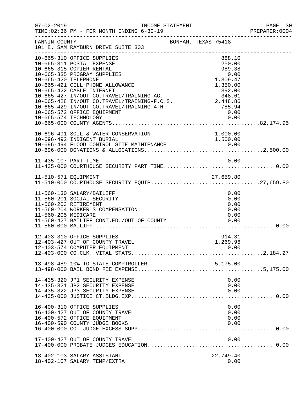| $07 - 02 - 2019$     | TIME: 02:36 PM - FOR MONTH ENDING 6-30-19                                                                                                                                                                                                                                                                                                                                   | INCOME STATEMENT    |                                                            | PAGE 30<br>PREPARER:0004             |
|----------------------|-----------------------------------------------------------------------------------------------------------------------------------------------------------------------------------------------------------------------------------------------------------------------------------------------------------------------------------------------------------------------------|---------------------|------------------------------------------------------------|--------------------------------------|
| FANNIN COUNTY        | 101 E. SAM RAYBURN DRIVE SUITE 303                                                                                                                                                                                                                                                                                                                                          | BONHAM, TEXAS 75418 |                                                            |                                      |
| 10-665-420 TELEPHONE | 10-665-310 OFFICE SUPPLIES<br>10-665-311 POSTAL EXPENSE<br>10-665-315 COPIER RENTAL<br>10-665-335 PROGRAM SUPPLIES<br>10-665-421 CELL PHONE ALLOWANCE<br>-755000<br>10-665-427 IN/OUT CO.TRAVEL/TRAINING-AG.<br>10-665-428 IN/OUT CO.TRAVEL/TRAINING-F.C.S.<br>2,448.86<br>10-665-429 IN/OUT CO.TRAVEL/TRAINING-4-H<br>10-665-572 OFFICE EOUIPMENT<br>10-665-574 TECHNOLOGY |                     | 888.10<br>250.00<br>989.38<br>0.00<br>1,309.47<br>1,350.00 | 0.00                                 |
|                      | 10-696-491 SOIL & WATER CONSERVATION                                                                                                                                                                                                                                                                                                                                        |                     | 1,000.00                                                   |                                      |
| 11-435-107 PART TIME |                                                                                                                                                                                                                                                                                                                                                                             |                     |                                                            | 0.00                                 |
|                      | 11-510-571 EQUIPMENT<br>11-510-000 COURTHOUSE SECURITY EQUIP27,659.80                                                                                                                                                                                                                                                                                                       |                     |                                                            |                                      |
| 11-560-205 MEDICARE  | 11-560-130 SALARY/BAILIFF<br>11-560-201 SOCIAL SECURITY<br>11-560-203 RETIREMENT<br>11-560-204 WORKER'S COMPENSATION<br>11-560-427 BAILIFF CONT.ED./OUT OF COUNTY 0.00                                                                                                                                                                                                      |                     |                                                            | 0.00<br>0.00<br>0.00<br>0.00<br>0.00 |
|                      | 12-403-310 OFFICE SUPPLIES<br>12-403-427 OUT OF COUNTY TRAVEL<br>12-403-574 COMPUTER EQUIPMENT                                                                                                                                                                                                                                                                              |                     | 914.31<br>1,269.96                                         | 0.00                                 |
|                      | 13-498-489 10% TO STATE COMPTROLLER                                                                                                                                                                                                                                                                                                                                         |                     | 5,175.00                                                   |                                      |
|                      | 14-435-320 JP1 SECURITY EXPENSE<br>14-435-321 JP2 SECURITY EXPENSE<br>14-435-322 JP3 SECURITY EXPENSE                                                                                                                                                                                                                                                                       |                     |                                                            | 0.00<br>0.00<br>0.00                 |
|                      | 16-400-310 OFFICE SUPPLIES<br>16-400-427 OUT OF COUNTY TRAVEL<br>16-400-572 OFFICE EQUIPMENT<br>16-400-590 COUNTY JUDGE BOOKS                                                                                                                                                                                                                                               |                     |                                                            | 0.00<br>0.00<br>0.00<br>0.00         |
|                      | 17-400-427 OUT OF COUNTY TRAVEL                                                                                                                                                                                                                                                                                                                                             |                     |                                                            | 0.00                                 |
|                      | 18-402-103 SALARY ASSISTANT<br>18-402-107 SALARY TEMP/EXTRA                                                                                                                                                                                                                                                                                                                 |                     | 22,749.40                                                  | 0.00                                 |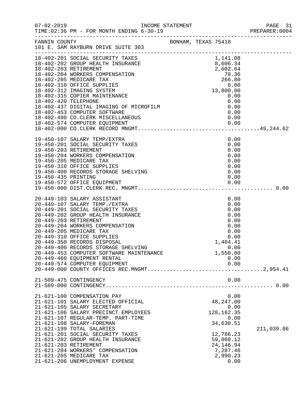|                       |                                                                                              |  |                        |              | PREPARER: 0004 |
|-----------------------|----------------------------------------------------------------------------------------------|--|------------------------|--------------|----------------|
|                       |                                                                                              |  |                        |              |                |
|                       |                                                                                              |  |                        |              |                |
|                       |                                                                                              |  |                        |              |                |
|                       |                                                                                              |  |                        |              |                |
|                       |                                                                                              |  |                        |              |                |
|                       |                                                                                              |  |                        |              |                |
|                       |                                                                                              |  |                        |              |                |
|                       |                                                                                              |  |                        |              |                |
|                       |                                                                                              |  |                        |              |                |
|                       | 19-450-107 SALARY TEMP/EXTRA                                                                 |  |                        | 0.00         |                |
| 19-450-203 RETIREMENT | 19-450-201 SOCIAL SECURITY TAXES                                                             |  |                        | 0.00<br>0.00 |                |
|                       | 19-450-204 WORKERS COMPENSATION                                                              |  |                        | 0.00<br>0.00 |                |
|                       | 19-450-205 MEDICARE TAX<br>19-450-310 OFFICE SUPPLIES<br>19-450-400 RECORDS STORAGE SHELVING |  |                        | 0.00         |                |
| 19-450-435 PRINTING   |                                                                                              |  |                        | 0.00<br>0.00 |                |
|                       |                                                                                              |  |                        |              |                |
|                       |                                                                                              |  |                        |              |                |
|                       | 20-449-103 SALARY ASSISTANT<br>20-449-107 SALARY TEMP./EXTRA                                 |  |                        | 0.00<br>0.00 |                |
|                       | 20-449-201 SOCIAL SECURITY TAXES                                                             |  |                        | 0.00         |                |
| 20-449-203 RETIREMENT | 20-449-202 GROUP HEALTH INSURANCE                                                            |  |                        | 0.00<br>0.00 |                |
|                       | 20-449-204 WORKERS COMPENSATION                                                              |  |                        | 0.00         |                |
|                       | 20-449-205 MEDICARE TAX<br>20-449-310 OFFICE SUPPLIES                                        |  |                        | 0.00<br>0.00 |                |
|                       | 20-449-350 RECORDS DISPOSAL                                                                  |  | 1,404.41               |              |                |
|                       | 20-449-400 RECORDS STORAGE SHELVING                                                          |  |                        | 0.00         |                |
|                       | 20-449-453 COMPUTER SOFTWARE MAINTENANCE<br>20-449-460 EQUIPMENT RENTAL                      |  | 1,550.00               | 0.00         |                |
|                       | 20-449-574 COMPUTER EQUIPMENT                                                                |  |                        | 0.00         |                |
|                       |                                                                                              |  |                        |              |                |
|                       | 21-509-475 CONTINGENCY                                                                       |  |                        | 0.00         |                |
|                       | 21-621-100 COMPENSATION PAY                                                                  |  |                        | 0.00         |                |
|                       | 21-621-101 SALARY ELECTED OFFICIAL                                                           |  | 48,247.00              |              |                |
|                       | 21-621-105 SALARY SECRETARY<br>21-621-106 SALARY PRECINCT EMPLOYEES                          |  | 128, 162. 35           | 0.00         |                |
|                       | 21-621-107 REGULAR-TEMP. PART-TIME                                                           |  |                        | 0.00         |                |
|                       | 21-621-108 SALARY-FOREMAN                                                                    |  | 34,630.51              |              |                |
|                       | 21-621-199 TOTAL SALARIES                                                                    |  |                        |              | 211,039.86     |
|                       | 21-621-201 SOCIAL SECURITY TAXES<br>21-621-202 GROUP HEALTH INSURANCE                        |  | 12,786.23<br>59,060.12 |              |                |
| 21-621-203 RETIREMENT |                                                                                              |  | 24, 146.94             |              |                |
|                       | 21-621-204 WORKERS' COMPENSATION                                                             |  | 7,287.46               |              |                |
|                       | 21-621-205 MEDICARE TAX<br>21-621-206 UNEMPLOYMENT EXPENSE                                   |  | 2,990.23               | 0.00         |                |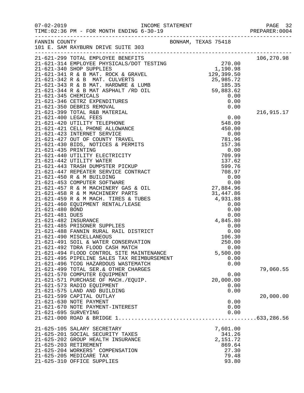|                      |                                                                                 |                  | PAGE 32<br>PREPARER: 0004 |
|----------------------|---------------------------------------------------------------------------------|------------------|---------------------------|
|                      | ---------------<br>101 E. SAM RAYBURN DRIVE SUITE 303<br>---------------------- |                  |                           |
|                      |                                                                                 |                  | 106,270.98                |
|                      |                                                                                 |                  |                           |
|                      |                                                                                 |                  |                           |
|                      |                                                                                 |                  |                           |
|                      |                                                                                 |                  |                           |
|                      |                                                                                 |                  |                           |
|                      |                                                                                 |                  |                           |
|                      |                                                                                 |                  |                           |
|                      |                                                                                 |                  |                           |
|                      |                                                                                 |                  | 216,915.17                |
|                      |                                                                                 |                  |                           |
|                      |                                                                                 |                  |                           |
|                      |                                                                                 |                  |                           |
|                      |                                                                                 |                  |                           |
|                      |                                                                                 |                  |                           |
|                      |                                                                                 |                  |                           |
|                      |                                                                                 |                  |                           |
|                      |                                                                                 |                  |                           |
|                      |                                                                                 |                  |                           |
|                      |                                                                                 |                  |                           |
|                      |                                                                                 |                  |                           |
|                      |                                                                                 |                  |                           |
|                      |                                                                                 |                  |                           |
|                      |                                                                                 |                  |                           |
|                      |                                                                                 |                  |                           |
|                      |                                                                                 |                  |                           |
|                      |                                                                                 |                  |                           |
|                      |                                                                                 |                  |                           |
|                      |                                                                                 |                  |                           |
|                      |                                                                                 |                  |                           |
|                      | 21-621-490 MISCELLANEOUS                                                        |                  |                           |
|                      | 21-621-491 SOIL & WATER CONSERVATION                                            | 106.30<br>250.00 |                           |
|                      | 21-621-492 TDRA FLOOD CASH MATCH                                                | 0.00             |                           |
|                      | 21-621-494 FLOOD CONTROL SITE MAINTENANCE                                       | 5,500.00         |                           |
|                      | 21-621-495 PIPELINE SALES TAX REIMBURSEMENT                                     | 0.00             |                           |
|                      | 21-621-496 TCOG HAZARDOUS WASTEMATCH                                            | 0.00             |                           |
|                      | 21-621-499 TOTAL SER. & OTHER CHARGES                                           |                  | 79,060.55                 |
|                      | 21-621-570 COMPUTER EQUIPMENT                                                   | 0.00             |                           |
|                      | 21-621-571 PURCHASE OF MACH./EQUIP.                                             | 20,000.00        |                           |
|                      | 21-621-573 RADIO EQUIPMENT                                                      | 0.00             |                           |
|                      | 21-621-575 LAND AND BUILDING                                                    | 0.00             |                           |
|                      | 21-621-599 CAPITAL OUTLAY<br>21-621-630 NOTE PAYMENT                            |                  | 20,000.00                 |
|                      | 21-621-670 NOTE PAYMENT-INTEREST                                                | 0.00<br>0.00     |                           |
| 21-621-695 SURVEYING |                                                                                 | 0.00             |                           |
|                      |                                                                                 |                  |                           |
|                      | 21-625-105 SALARY SECRETARY                                                     | 7,601.00         |                           |
|                      | 21-625-201 SOCIAL SECURITY TAXES                                                | 341.26           |                           |
|                      | 21-625-202 GROUP HEALTH INSURANCE                                               | 2,151.72         |                           |
|                      | 21-625-203 RETIREMENT                                                           | 869.64           |                           |
|                      | 21-625-204 WORKERS' COMPENSATION                                                | 27.30            |                           |
|                      | 21-625-205 MEDICARE TAX                                                         | 79.48            |                           |
|                      | 21-625-310 OFFICE SUPPLIES                                                      | 93.80            |                           |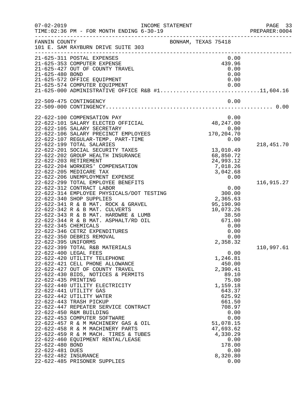| $07 - 02 - 2019$                                                                  | TIME: 02:36 PM - FOR MONTH ENDING 6-30-19                                                                                                                                                                                                                                                                                                                                                                                                                                                                                                                                                                          | INCOME STATEMENT                                                                                                                                                                                                 | PAGE 33<br>PREPARER:0004 |
|-----------------------------------------------------------------------------------|--------------------------------------------------------------------------------------------------------------------------------------------------------------------------------------------------------------------------------------------------------------------------------------------------------------------------------------------------------------------------------------------------------------------------------------------------------------------------------------------------------------------------------------------------------------------------------------------------------------------|------------------------------------------------------------------------------------------------------------------------------------------------------------------------------------------------------------------|--------------------------|
| FANNIN COUNTY                                                                     | 101 E. SAM RAYBURN DRIVE SUITE 303                                                                                                                                                                                                                                                                                                                                                                                                                                                                                                                                                                                 | BONHAM, TEXAS 75418                                                                                                                                                                                              |                          |
| 21-625-480 BOND                                                                   | 21-625-311 POSTAL EXPENSES<br>21-625-353 COMPUTER EXPENSE<br>21-625-427 OUT OF COUNTY TRAVEL                                                                                                                                                                                                                                                                                                                                                                                                                                                                                                                       | 0.00<br>439.96<br>0.00<br>0.00                                                                                                                                                                                   |                          |
|                                                                                   | 21-625-572 OFFICE EQUIPMENT                                                                                                                                                                                                                                                                                                                                                                                                                                                                                                                                                                                        | 0.00<br>21-625-574 COMPUTER EQUIPMENT 0.00<br>21-625-000 ADMINISTRATIVE OFFICE R&B #111,604.16                                                                                                                   |                          |
|                                                                                   | 22-509-475 CONTINGENCY                                                                                                                                                                                                                                                                                                                                                                                                                                                                                                                                                                                             | 0.00                                                                                                                                                                                                             |                          |
|                                                                                   | 22-622-100 COMPENSATION PAY<br>22-622-101 SALARY ELECTED OFFICIAL<br>22-622-105 SALARY SECRETARY<br>22-622-106 SALARY PRECINCT EMPLOYEES<br>22-622-107 REGULAR-TEMP. PART-TIME                                                                                                                                                                                                                                                                                                                                                                                                                                     | 0.00<br>48, 247.00<br>0.00<br>170,204.70<br>0.00                                                                                                                                                                 |                          |
|                                                                                   | 22-622-199 TOTAL SALARIES<br>22-622-201 SOCIAL SECURITY TAXES<br>22-622-202 GROUP HEALTH INSURANCE<br>22-622-203 RETIREMENT<br>22-622-204 WORKERS' COMPENSATION<br>22-622-205 MEDICARE TAX<br>22-622-206 UNEMPLOYMENT EXPENSE                                                                                                                                                                                                                                                                                                                                                                                      | 13,010.49<br>68,850.72<br>24,993.12<br>7,018.26<br>3,042.68<br>0.00                                                                                                                                              | 218,451.70               |
| 22-622-345 CHEMICALS<br>22-622-395 UNIFORMS                                       | 22-622-299 TOTAL EMPLOYEE BENEFITS<br>22-622-312 CONTRACT LABOR<br>22-622-314 EMPLOYEE PHYSICALS/DOT TESTING<br>22-622-340 SHOP SUPPLIES<br>22-622-341 R & B MAT. ROCK & GRAVEL<br>22-622-342 R & B MAT. CULVERTS<br>22-622-343 R & B MAT. HARDWRE & LUMB<br>22-622-344 R & B MAT. ASPHALT/RD OIL<br>22-622-346 CETRZ EXPENDITURES<br>22-622-350 DEBRIS REMOVAL                                                                                                                                                                                                                                                    | $0.00$<br>300.00<br>2,365.63<br>95,190.90<br>10,073.26<br>38.50<br>671.00<br>0.00<br>0.00<br>0.00<br>2,358.32                                                                                                    | 116,915.27               |
| 22-622-435 PRINTING<br>22-622-480 BOND<br>22-622-481 DUES<br>22-622-482 INSURANCE | 22-622-399 TOTAL R&B MATERIALS<br>22-622-400 LEGAL FEES<br>22-622-420 UTILITY TELEPHONE<br>22-622-421 CELL PHONE ALLOWANCE<br>22-622-427 OUT OF COUNTY TRAVEL<br>22-622-430 BIDS, NOTICES & PERMITS<br>22-622-440 UTILITY ELECTRICITY<br>22-622-441 UTILITY GAS<br>22-622-442 UTILITY WATER<br>22-622-443 TRASH PICKUP<br>22-622-447 REPEATER SERVICE CONTRACT<br>22-622-450 R&M BUILDING<br>22-622-453 COMPUTER SOFTWARE<br>22-622-457 R & M MACHINERY GAS & OIL<br>22-622-458 R & M MACHINERY PARTS<br>22-622-459 R & M MACH. TIRES & TUBES<br>22-622-460 EQUIPMENT RENTAL/LEASE<br>22-622-485 PRISONER SUPPLIES | 0.00<br>1,246.81<br>450.00<br>2,390.41<br>89.10<br>75.00<br>1,159.18<br>643.37<br>625.92<br>661.50<br>708.97<br>0.00<br>0.00<br>51,078.15<br>47,693.62<br>4,330.29<br>0.00<br>178.00<br>0.00<br>8,320.80<br>0.00 | 110,997.61               |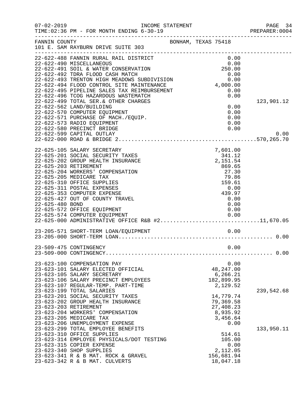| $07 - 02 - 2019$      | INCOME STATEMENT<br>TIME: 02:36 PM - FOR MONTH ENDING 6-30-19                       | ______________________________________ | PAGE 34<br>PREPARER: 0004 |
|-----------------------|-------------------------------------------------------------------------------------|----------------------------------------|---------------------------|
| FANNIN COUNTY         | 101 E. SAM RAYBURN DRIVE SUITE 303                                                  | BONHAM, TEXAS 75418                    |                           |
|                       | 22-622-488 FANNIN RURAL RAIL DISTRICT<br>22-622-490 MISCELLANEOUS                   | 0.00<br>0.00                           |                           |
|                       | 22-622-491 SOIL & WATER CONSERVATION                                                | 250.00                                 |                           |
|                       | 22-622-492 TDRA FLOOD CASH MATCH                                                    | 0.00<br>$0.00$<br>4,000.00             |                           |
|                       | 22-622-493 TRENTON HIGH MEADOWS SUBDIVISION                                         |                                        |                           |
|                       | 22-622-494 FLOOD CONTROL SITE MAINTENANCE                                           |                                        |                           |
|                       | 22-622-495 PIPELINE SALES TAX REIMBURSEMENT<br>22-622-496 TCOG HAZARDOUS WASTEMATCH | 0.00<br>0.00                           |                           |
|                       | 22-622-499 TOTAL SER. & OTHER CHARGES                                               |                                        | 123,901.12                |
|                       | 22-622-562 LAND/BUILDING                                                            | 0.00                                   |                           |
|                       | 22-622-570 COMPUTER EQUIPMENT                                                       | 0.00                                   |                           |
|                       | 22-622-571 PURCHASE OF MACH./EQUIP.                                                 | 0.00                                   |                           |
|                       | 22-622-573 RADIO EQUIPMENT                                                          | 0.00                                   |                           |
|                       | 22-622-580 PRECINCT BRIDGE                                                          | 0.00                                   |                           |
|                       | 22-622-599 CAPITAL OUTLAY                                                           |                                        | 0.00                      |
|                       |                                                                                     |                                        |                           |
|                       | 22-625-105 SALARY SECRETARY                                                         | 7,601.00                               |                           |
|                       | 22-625-201 SOCIAL SECURITY TAXES                                                    | 341.12                                 |                           |
|                       | 22-625-202 GROUP HEALTH INSURANCE                                                   | 2,151.54                               |                           |
| 22-625-203 RETIREMENT |                                                                                     | 869.65                                 |                           |
|                       | 22-625-204 WORKERS' COMPENSATION                                                    | 27.30                                  |                           |
|                       | 22-625-205 MEDICARE TAX<br>22-625-310 OFFICE SUPPLIES                               | 79.86<br>159.61                        |                           |
|                       | 22-625-311 POSTAL EXPENSES                                                          | 0.00                                   |                           |
|                       | 22-625-353 COMPUTER EXPENSE                                                         | 439.97                                 |                           |
|                       | 22-625-427 OUT OF COUNTY TRAVEL                                                     | 0.00                                   |                           |
| 22-625-480 BOND       |                                                                                     | 0.00                                   |                           |
|                       | 22-625-572 OFFICE EQUIPMENT                                                         | 0.00                                   |                           |
|                       | 22-625-574 COMPUTER EQUIPMENT<br>22-625-000 ADMINISTRATIVE OFFICE R&B #211,670.05   |                                        |                           |
|                       |                                                                                     |                                        |                           |
|                       | 23-205-571 SHORT-TERM LOAN/EQUIPMENT                                                | 0.00                                   |                           |
|                       |                                                                                     |                                        |                           |
|                       | 23-509-475 CONTINGENCY                                                              | 0.00                                   |                           |
|                       |                                                                                     |                                        |                           |
|                       | 23-623-100 COMPENSATION PAY                                                         | 0.00                                   |                           |
|                       | 23-623-101 SALARY ELECTED OFFICIAL                                                  | 48, 247.00                             |                           |
|                       | 23-623-105 SALARY SECRETARY                                                         | 6,266.21                               |                           |
|                       | 23-623-106 SALARY PRECINCT EMPLOYEES                                                | 182,899.95                             |                           |
|                       | 23-623-107 REGULAR-TEMP. PART-TIME                                                  | 2,129.52                               |                           |
|                       | 23-623-199 TOTAL SALARIES                                                           |                                        | 239,542.68                |
|                       | 23-623-201 SOCIAL SECURITY TAXES<br>23-623-202 GROUP HEALTH INSURANCE               | 14,779.74                              |                           |
| 23-623-203 RETIREMENT |                                                                                     | 79,369.58<br>27,408.23                 |                           |
|                       | 23-623-204 WORKERS' COMPENSATION                                                    | 8,935.92                               |                           |
|                       | 23-623-205 MEDICARE TAX                                                             | 3,456.64                               |                           |
|                       | 23-623-206 UNEMPLOYMENT EXPENSE                                                     | 0.00                                   |                           |
|                       | 23-623-299 TOTAL EMPLOYEE BENEFITS                                                  |                                        | 133,950.11                |
|                       | 23-623-310 OFFICE SUPPLIES                                                          | 514.61                                 |                           |
|                       | 23-623-314 EMPLOYEE PHYSICALS/DOT TESTING                                           | 105.00                                 |                           |
|                       | 23-623-315 COPIER EXPENSE                                                           | 0.00                                   |                           |
|                       | 23-623-340 SHOP SUPPLIES                                                            | 2,112.05                               |                           |
|                       | 23-623-341 R & B MAT. ROCK & GRAVEL                                                 | 156,681.94                             |                           |
|                       | 23-623-342 R & B MAT. CULVERTS                                                      | 18,047.18                              |                           |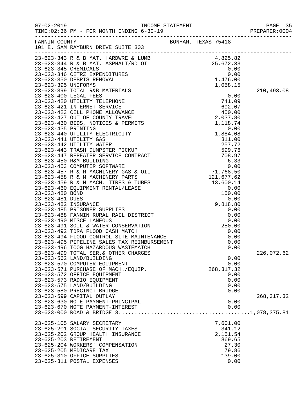|                                                                                                                                                                      |                     |             | PREPARER: 0004 |
|----------------------------------------------------------------------------------------------------------------------------------------------------------------------|---------------------|-------------|----------------|
| FANNIN COUNTY                                                                                                                                                        | BONHAM, TEXAS 75418 |             |                |
|                                                                                                                                                                      |                     |             |                |
|                                                                                                                                                                      |                     |             |                |
|                                                                                                                                                                      |                     |             |                |
|                                                                                                                                                                      |                     |             |                |
|                                                                                                                                                                      |                     |             |                |
|                                                                                                                                                                      |                     |             |                |
|                                                                                                                                                                      |                     |             |                |
|                                                                                                                                                                      |                     |             | 210,493.08     |
|                                                                                                                                                                      |                     |             |                |
|                                                                                                                                                                      |                     |             |                |
|                                                                                                                                                                      |                     |             |                |
|                                                                                                                                                                      |                     |             |                |
|                                                                                                                                                                      |                     |             |                |
|                                                                                                                                                                      |                     |             |                |
|                                                                                                                                                                      |                     |             |                |
|                                                                                                                                                                      |                     |             |                |
|                                                                                                                                                                      |                     |             |                |
|                                                                                                                                                                      |                     |             |                |
|                                                                                                                                                                      |                     |             |                |
|                                                                                                                                                                      |                     |             |                |
|                                                                                                                                                                      |                     |             |                |
|                                                                                                                                                                      |                     |             |                |
|                                                                                                                                                                      |                     |             |                |
|                                                                                                                                                                      |                     |             |                |
|                                                                                                                                                                      |                     |             |                |
|                                                                                                                                                                      |                     |             |                |
|                                                                                                                                                                      |                     |             |                |
|                                                                                                                                                                      |                     |             |                |
|                                                                                                                                                                      |                     |             |                |
|                                                                                                                                                                      |                     |             |                |
|                                                                                                                                                                      |                     |             |                |
|                                                                                                                                                                      |                     |             |                |
| 23-623-491 SOIL & WATER CONSERVATION<br>23-623-492 TDRA FLOOD CASH MATCH<br>23-623-494 FLOOD CONTROL SITE MAINTENANCE<br>23-623-495 PIPELINE SALES TAX REIMBURSEMENT |                     |             |                |
|                                                                                                                                                                      |                     | 0.00        |                |
|                                                                                                                                                                      |                     | 0.00        |                |
| 23-623-496 TCOG HAZARDOUS WASTEMATCH                                                                                                                                 |                     | 0.00        |                |
| 23-623-499 TOTAL SER. & OTHER CHARGES                                                                                                                                |                     |             | 226,072.62     |
| 23-623-562 LAND/BUILDING                                                                                                                                             |                     | 0.00        |                |
| 23-623-570 COMPUTER EQUIPMENT                                                                                                                                        |                     | 0.00        |                |
| 23-623-571 PURCHASE OF MACH./EQUIP.                                                                                                                                  |                     | 268, 317.32 |                |
| 23-623-572 OFFICE EQUIPMENT                                                                                                                                          |                     | 0.00        |                |
| 23-623-573 RADIO EQUIPMENT                                                                                                                                           |                     | 0.00        |                |
| 23-623-575 LAND/BUILDING                                                                                                                                             |                     | 0.00        |                |
| 23-623-580 PRECINCT BRIDGE                                                                                                                                           |                     | 0.00        |                |
| 23-623-599 CAPITAL OUTLAY                                                                                                                                            |                     |             | 268, 317.32    |
| 23-623-630 NOTE PAYMENT-PRINCIPAL                                                                                                                                    |                     | 0.00        |                |
| 23-623-670 NOTE PAYMENT-INTEREST                                                                                                                                     |                     | 0.00        |                |
|                                                                                                                                                                      |                     |             |                |
| 23-625-105 SALARY SECRETARY                                                                                                                                          |                     | 7,601.00    |                |
| 23-625-201 SOCIAL SECURITY TAXES                                                                                                                                     |                     | 341.12      |                |
| 23-625-202 GROUP HEALTH INSURANCE                                                                                                                                    |                     | 2,151.54    |                |
| 23-625-203 RETIREMENT                                                                                                                                                |                     | 869.65      |                |
| 23-625-204 WORKERS' COMPENSATION                                                                                                                                     |                     | 27.30       |                |
| 23-625-205 MEDICARE TAX                                                                                                                                              |                     | 79.86       |                |
| 23-625-310 OFFICE SUPPLIES                                                                                                                                           |                     | 139.00      |                |
| 23-625-311 POSTAL EXPENSES                                                                                                                                           |                     | 0.00        |                |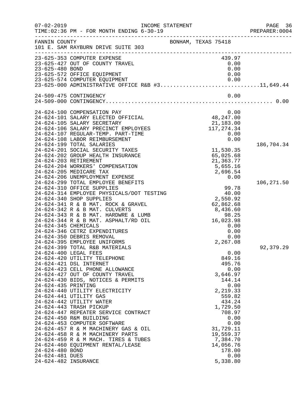| $07 - 02 - 2019$                                                                  | TIME: 02:36 PM - FOR MONTH ENDING 6-30-19                                                                                                                                                                                                                                                                                                                                                                                                                                                                                                                                   | INCOME STATEMENT                                                                                                                                                                                                      | PAGE 36<br>PREPARER: 0004 |
|-----------------------------------------------------------------------------------|-----------------------------------------------------------------------------------------------------------------------------------------------------------------------------------------------------------------------------------------------------------------------------------------------------------------------------------------------------------------------------------------------------------------------------------------------------------------------------------------------------------------------------------------------------------------------------|-----------------------------------------------------------------------------------------------------------------------------------------------------------------------------------------------------------------------|---------------------------|
| FANNIN COUNTY                                                                     | 101 E. SAM RAYBURN DRIVE SUITE 303                                                                                                                                                                                                                                                                                                                                                                                                                                                                                                                                          | BONHAM, TEXAS 75418                                                                                                                                                                                                   |                           |
| 23-625-480 BOND                                                                   | 23-625-353 COMPUTER EXPENSE<br>23-625-427 OUT OF COUNTY TRAVEL                                                                                                                                                                                                                                                                                                                                                                                                                                                                                                              | 439.97<br>0.00<br>0.00                                                                                                                                                                                                |                           |
|                                                                                   | 23-625-572 OFFICE EQUIPMENT                                                                                                                                                                                                                                                                                                                                                                                                                                                                                                                                                 | 0.00<br>23-625-574 COMPUTER EQUIPMENT 0.00<br>23-625-000 ADMINISTRATIVE OFFICE R&B #311,649.44                                                                                                                        |                           |
|                                                                                   | 24-509-475 CONTINGENCY                                                                                                                                                                                                                                                                                                                                                                                                                                                                                                                                                      | 0.00                                                                                                                                                                                                                  |                           |
|                                                                                   |                                                                                                                                                                                                                                                                                                                                                                                                                                                                                                                                                                             |                                                                                                                                                                                                                       |                           |
|                                                                                   | 24-624-100 COMPENSATION PAY<br>24-624-101 SALARY ELECTED OFFICIAL<br>24-624-105 SALARY SECRETARY<br>24-624-106 SALARY PRECINCT EMPLOYEES<br>24-624-107 REGULAR-TEMP. PART-TIME<br>24-624-108 LABOR REIMBURSEMENT                                                                                                                                                                                                                                                                                                                                                            | 0.00<br>48, 247.00<br>21,183.00<br>117, 274.34<br>0.00<br>0.00                                                                                                                                                        |                           |
|                                                                                   | 24-624-199 TOTAL SALARIES<br>24-624-201 SOCIAL SECURITY TAXES<br>24-624-202 GROUP HEALTH INSURANCE<br>24-624-203 RETIREMENT<br>24-624-204 WORKERS' COMPENSATION<br>24-624-205 MEDICARE TAX<br>24-624-206 UNEMPLOYMENT EXPENSE<br>24-624-299 TOTAL EMPLOYEE BENEFITS                                                                                                                                                                                                                                                                                                         | 11,530.35<br>65,025.68<br>21,363.77<br>5,655.16<br>2,696.54<br>0.00                                                                                                                                                   | 186,704.34                |
| 24-624-345 CHEMICALS                                                              | 24-624-310 OFFICE SUPPLIES<br>24-624-314 EMPLOYEE PHYSICALS/DOT TESTING<br>24-624-340 SHOP SUPPLIES<br>24-624-341 R & B MAT. ROCK & GRAVEL<br>24-624-342 R & B MAT. CULVERTS<br>24-624-343 R & B MAT. HARDWRE & LUMB<br>24-624-344 R & B MAT. ASPHALT/RD OIL<br>24-624-346 CETRZ EXPENDITURES<br>24-624-350 DEBRIS REMOVAL<br>24-624-395 EMPLOYEE UNIFORMS<br>24-624-399 TOTAL R&B MATERIALS                                                                                                                                                                                | 99.78<br>40.00<br>2,550.92<br>62,862.68<br>8,436.60<br>98.25<br>16,023.98<br>0.00<br>0.00<br>0.00<br>2,267.08                                                                                                         | 106,271.50<br>92,379.29   |
| 24-624-435 PRINTING<br>24-624-480 BOND<br>24-624-481 DUES<br>24-624-482 INSURANCE | 24-624-400 LEGAL FEES<br>24-624-420 UTILITY TELEPHONE<br>24-624-421 DSL INTERNET<br>24-624-423 CELL PHONE ALLOWANCE<br>24-624-427 OUT OF COUNTY TRAVEL<br>24-624-430 BIDS, NOTICES & PERMITS<br>24-624-440 UTILITY ELECTRICITY<br>24-624-441 UTILITY GAS<br>24-624-442 UTILITY WATER<br>24-624-443 TRASH PICKUP<br>24-624-447 REPEATER SERVICE CONTRACT<br>24-624-450 R&M BUILDING<br>24-624-453 COMPUTER SOFTWARE<br>24-624-457 R & M MACHINERY GAS & OIL<br>24-624-458 R & M MACHINERY PARTS<br>24-624-459 R & M MACH. TIRES & TUBES<br>24-624-460 EQUIPMENT RENTAL/LEASE | 0.00<br>849.16<br>495.76<br>0.00<br>3,646.97<br>144.14<br>0.00<br>2,219.33<br>559.82<br>434.24<br>1,729.50<br>708.97<br>0.00<br>0.00<br>31,729.11<br>19,559.37<br>7,384.70<br>14,056.76<br>178.00<br>0.00<br>5,338.80 |                           |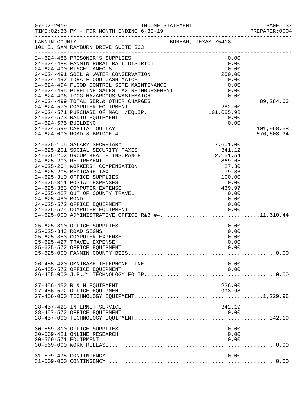| $07 - 02 - 2019$     | INCOME STATEMENT<br>TIME: 02:36 PM - FOR MONTH ENDING 6-30-19                                                                                                        |                                                          |                                                      | PAGE 37<br>PREPARER: 0004 |
|----------------------|----------------------------------------------------------------------------------------------------------------------------------------------------------------------|----------------------------------------------------------|------------------------------------------------------|---------------------------|
| FANNIN COUNTY        | 101 E. SAM RAYBURN DRIVE SUITE 303                                                                                                                                   | BONHAM, TEXAS 75418                                      |                                                      |                           |
|                      | 24-624-485 PRISONER'S SUPPLIES<br>24-624-488 FANNIN RURAL RAIL DISTRICT<br>24-624-490 MISCELLANEOUS                                                                  |                                                          | 0.00<br>0.00<br>0.00                                 |                           |
|                      | 24-624-491 SOIL & WATER CONSERVATION<br>24-624-492 TDRA FLOOD CASH MATCH                                                                                             |                                                          | 250.00<br>0.00                                       |                           |
|                      | 24-624-492 IDRA FLOOD CASH MAICH<br>24-624-494 FLOOD CONTROL SITE MAINTENANCE<br>24-624-495 PIPELINE SALES TAX REIMBURSEMENT<br>24-624-496 TCOG HAZARDOUS WASTEMATCH |                                                          | 0.00<br>0.00<br>0.00                                 |                           |
|                      | 24-624-499 TOTAL SER.& OTHER CHARGES<br>24-624-570 COMPUTER EQUIPMENT                                                                                                | $\begin{array}{r} 3 \\ 282.60 \\ 101,685.98 \end{array}$ |                                                      | 89,284.63                 |
| 24-624-575 BUILDING  | 24-624-571 PURCHASE OF MACH./EQUIP.<br>24-624-573 RADIO EQUIPMENT                                                                                                    |                                                          | 0.00<br>0.00                                         |                           |
|                      | 24-624-599 CAPITAL OUTLAY                                                                                                                                            |                                                          |                                                      | 101,968.58                |
|                      | 24-625-105 SALARY SECRETARY<br>24-625-201 SOCIAL SECURITY TAXES<br>24-625-202 GROUP HEALTH INSURANCE<br>24-625-203 RETIREMENT                                        |                                                          | 7,601.00<br>7,601.00<br>341.12<br>2,151.54<br>869.65 |                           |
|                      | 24-625-204 WORKERS' COMPENSATION<br>24-625-205 MEDICARE TAX<br>24-625-310 OFFICE SUPPLIES<br>24-625-311 POSTAL EXPENSES                                              |                                                          | 27.30<br>79.86<br>100.00<br>0.00                     |                           |
| 24-625-480 BOND      | 24-625-353 COMPUTER EXPENSE<br>24-625-427 OUT OF COUNTY TRAVEL                                                                                                       |                                                          | 0.00<br>439.97<br>0.00<br>0.00                       |                           |
|                      | 24-625-572 OFFICE EQUIPMENT<br>24-625-574 COMPUTER EQUIPMENT 0.00<br>24-625-000 ADMINISTRATIVE OFFICE R&B #411,610.44                                                |                                                          | 0.00<br>0.00                                         |                           |
|                      | 25-625-310 OFFICE SUPPLIES<br>25-625-343 ROAD SIGNS                                                                                                                  |                                                          | 0.00<br>0.00                                         |                           |
|                      | 25-625-353 COMPUTER EXPENSE<br>25-625-427 TRAVEL EXPENSE<br>25-625-572 OFFICE EQUIPMENT                                                                              |                                                          | 0.00<br>0.00<br>0.00                                 |                           |
|                      | 26-455-420 OMNIBASE TELEPHONE LINE<br>26-455-572 OFFICE EQUIPMENT                                                                                                    |                                                          | 0.00<br>0.00                                         |                           |
|                      | 27-456-452 R & M EQUIPMENT<br>27-456-572 OFFICE EQUIPMENT                                                                                                            |                                                          | 236.00<br>993.98                                     |                           |
|                      | 28-457-423 INTERNET SERVICE<br>28-457-572 OFFICE EQUIPMENT                                                                                                           |                                                          | 342.19<br>0.00                                       |                           |
| 30-569-571 EQUIPMENT | 30-569-310 OFFICE SUPPLIES<br>30-569-421 ONLINE RESEARCH                                                                                                             |                                                          | 0.00<br>0.00<br>0.00                                 |                           |
|                      | 31-509-475 CONTINGENCY                                                                                                                                               |                                                          | 0.00                                                 |                           |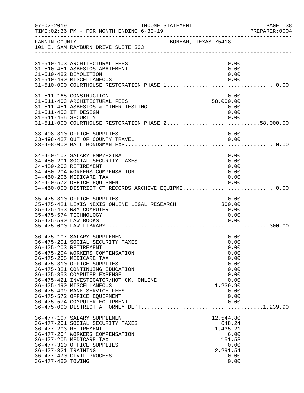| $07 - 02 - 2019$                         | INCOME STATEMENT<br>TIME: 02:36 PM - FOR MONTH ENDING 6-30-19                                                                                                                                                                                                                                                                                                                                                                 |                     |                                                                                                          | PAGE 38<br>PREPARER: 0004 |
|------------------------------------------|-------------------------------------------------------------------------------------------------------------------------------------------------------------------------------------------------------------------------------------------------------------------------------------------------------------------------------------------------------------------------------------------------------------------------------|---------------------|----------------------------------------------------------------------------------------------------------|---------------------------|
| FANNIN COUNTY                            | 101 E. SAM RAYBURN DRIVE SUITE 303                                                                                                                                                                                                                                                                                                                                                                                            | BONHAM, TEXAS 75418 |                                                                                                          |                           |
|                                          | 31-510-403 ARCHITECTURAL FEES<br>31-510-451 ASBESTOS ABATEMENT<br>31-510-482 DEMOLITION<br>31-510-490 MISCELLANEOUS                                                                                                                                                                                                                                                                                                           |                     | 0.00<br>0.00<br>0.00<br>0.00                                                                             |                           |
| 31-511-453 IT DESIGN                     | 31-511-165 CONSTRUCTION<br>31-511-403 ARCHITECTURAL FEES<br>31-511-451 ASBESTOS & OTHER TESTING<br>0.00   0.00   0.00   0.00   0.00   0.00   0.00<br>31-511-000   COURTHOUSE RESTORATION PHASE 258,000.00                                                                                                                                                                                                                     |                     | 0.00<br>58,000.00<br>0.00<br>0.00                                                                        |                           |
|                                          | 33-498-310 OFFICE SUPPLIES                                                                                                                                                                                                                                                                                                                                                                                                    |                     | 0.00                                                                                                     |                           |
|                                          | 34-450-107 SALARYTEMP/EXTRA<br>34-450-201 SOCIAL SECURITY TAXES<br>34-450-203 RETIREMENT<br>34-450-204 WORKERS COMPENSATION<br>34-450-205 MEDICARE TAX<br>34-450-572 OFFICE EQUIPMENT<br>34-450-000 DISTRICT CT.RECORDS ARCHIVE EQUIPME 0.00                                                                                                                                                                                  |                     | 0.00<br>0.00<br>0.00<br>0.00<br>0.00<br>0.00                                                             |                           |
| 35-475-590 LAW BOOKS                     | 35-475-310 OFFICE SUPPLIES<br>35-475-421 LEXIS NEXIS ONLINE LEGAL RESEARCH<br>35-475-453 R&M COMPUTER<br>35-475-574 TECHNOLOGY                                                                                                                                                                                                                                                                                                |                     | 0.00<br>300.00<br>0.00<br>0.00<br>0.00                                                                   |                           |
|                                          | 36-475-107 SALARY SUPPLEMENT<br>36-475-201 SOCIAL SECURITY TAXES<br>36-475-203 RETIREMENT<br>36-475-204 WORKERS COMPENSATION<br>36-475-205 MEDICARE TAX<br>36-475-310 OFFICE SUPPLIES<br>36-475-321 CONTINUING EDUCATION<br>36-475-353 COMPUTER EXPENSE<br>36-475-421 INVESTIGATOR/HOT CK. ONLINE<br>36-475-490 MISCELLANEOUS<br>36-475-499 BANK SERVICE FEES<br>36-475-572 OFFICE EQUIPMENT<br>36-475-574 COMPUTER EQUIPMENT |                     | 0.00<br>0.00<br>0.00<br>0.00<br>0.00<br>0.00<br>0.00<br>0.00<br>0.00<br>1,239.90<br>0.00<br>0.00<br>0.00 |                           |
| 36-477-321 TRAINING<br>36-477-480 TOWING | 36-477-107 SALARY SUPPLEMENT<br>36-477-201 SOCIAL SECURITY TAXES<br>36-477-203 RETIREMENT<br>36-477-204 WORKERS COMPENSATION<br>36-477-205 MEDICARE TAX<br>36-477-310 OFFICE SUPPLIES<br>36-477-470 CIVIL PROCESS                                                                                                                                                                                                             |                     | 12,544.80<br>648.24<br>1,435.21<br>6.00<br>151.58<br>0.00<br>2,291.54<br>0.00<br>0.00                    |                           |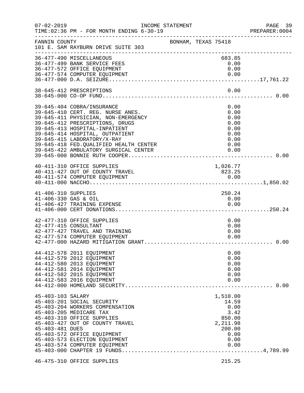| $07 - 02 - 2019$                            | TIME: 02:36 PM - FOR MONTH ENDING 6-30-19                                                                                                                                                                                                                                                                                        | INCOME STATEMENT    |                                                                                           | PAGE 39<br>PREPARER: 0004 |
|---------------------------------------------|----------------------------------------------------------------------------------------------------------------------------------------------------------------------------------------------------------------------------------------------------------------------------------------------------------------------------------|---------------------|-------------------------------------------------------------------------------------------|---------------------------|
| FANNIN COUNTY                               | 101 E. SAM RAYBURN DRIVE SUITE 303                                                                                                                                                                                                                                                                                               | BONHAM, TEXAS 75418 |                                                                                           |                           |
|                                             | 36-477-490 MISCELLANEOUS<br>36-477-499 BANK SERVICE FEES<br>36-477-572 OFFICE EQUIPMENT<br>36-477-574 COMPUTER EQUIPMENT                                                                                                                                                                                                         |                     | 683.85<br>0.00<br>0.00<br>0.00                                                            |                           |
|                                             | 38-645-412 PRESCRIPTIONS                                                                                                                                                                                                                                                                                                         |                     | 0.00                                                                                      |                           |
|                                             | 39-645-404 COBRA/INSURANCE<br>39-645-410 CERT. REG. NURSE ANES.<br>39-645-411 PHYSICIAN, NON-EMERGENCY<br>39-645-412 PRESCRIPTIONS, DRUGS<br>39-645-413 HOSPITAL-INPATIENT<br>39-645-414 HOSPITAL, OUTPATIENT<br>39-645-415 LABORATORY/X-RAY<br>39-645-418 FED. QUALIFIED HEALTH CENTER<br>39-645-422 AMBULATORY SURGICAL CENTER |                     | 0.00<br>0.00<br>0.00<br>0.00<br>0.00<br>0.00<br>0.00<br>0.00<br>0.00                      |                           |
|                                             | 40-411-310 OFFICE SUPPLIES<br>40-411-427 OUT OF COUNTY TRAVEL                                                                                                                                                                                                                                                                    |                     | 1,026.77<br>823.25                                                                        |                           |
| 41-406-310 SUPPLIES<br>41-406-330 GAS & OIL | 41-406-427 TRAINING EXPENSE                                                                                                                                                                                                                                                                                                      |                     | 250.24<br>0.00<br>0.00                                                                    |                           |
|                                             | 42-477-310 OFFICE SUPPLIES<br>42-477-415 CONSULTANT<br>42-477-427 TRAVEL AND TRAINING<br>42-477-574 COMPUTER EQUIPMENT                                                                                                                                                                                                           |                     | 0.00<br>0.00<br>0.00<br>0.00                                                              |                           |
|                                             | 44-412-578 2011 EQUIPMENT<br>44-412-579 2012 EQUIPMENT<br>44-412-580 2013 EQUIPMENT<br>44-412-581 2014 EQUIPMENT<br>44-412-582 2015 EQUIPMENT<br>44-412-583 2016 EQUIPMENT                                                                                                                                                       |                     | 0.00<br>0.00<br>0.00<br>0.00<br>0.00<br>0.00                                              |                           |
| 45-403-103 SALARY<br>45-403-481 DUES        | 45-403-201 SOCIAL SECURITY<br>45-403-204 WORKERS COMPENSATION<br>45-403-205 MEDICARE TAX<br>45-403-310 OFFICE SUPPLIES<br>45-403-427 OUT OF COUNTY TRAVEL<br>45-403-572 OFFICE EQUIPMENT<br>45-403-573 ELECTION EQUIPMENT<br>45-403-574 COMPUTER EQUIPMENT                                                                       |                     | 1,510.00<br>14.59<br>0.00<br>3.42<br>850.00<br>2,211.98<br>200.00<br>0.00<br>0.00<br>0.00 |                           |
|                                             | 46-475-310 OFFICE SUPPLIES                                                                                                                                                                                                                                                                                                       |                     | 215.25                                                                                    |                           |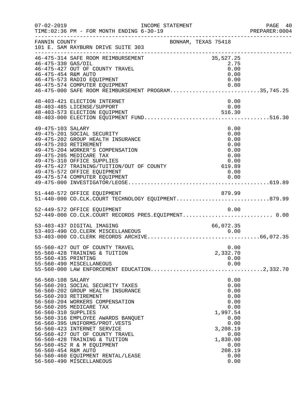|                                                                 |                                                                                                                                                                                                                                                                                                                                                                                                                                        |                                                                                                                                            | 40 PAGE<br>2004 PREPARER  |
|-----------------------------------------------------------------|----------------------------------------------------------------------------------------------------------------------------------------------------------------------------------------------------------------------------------------------------------------------------------------------------------------------------------------------------------------------------------------------------------------------------------------|--------------------------------------------------------------------------------------------------------------------------------------------|---------------------------|
| FANNIN COUNTY                                                   | 101 E. SAM RAYBURN DRIVE SUITE 303<br>---------------------------------                                                                                                                                                                                                                                                                                                                                                                | BONHAM, TEXAS 75418                                                                                                                        |                           |
| 46-475-330 GAS/OIL<br>46-475-454 R&M AUTO                       | 46-475-314 SAFE ROOM REIMBURSEMENT<br>46-475-427 OUT OF COUNTY TRAVEL<br>46-475-573 RADIO EQUIPMENT<br>$-2$<br>46-475-574 COMPUTER EQUIPMENT<br>46-475-574 COMPUTER EQUIPMENT<br>46-475-000 SAFE ROOM REIMBURSEMENT PROGRAM35,745.25                                                                                                                                                                                                   | 35,527.25<br>2.75<br>0.00<br>0.00<br>0.00                                                                                                  |                           |
|                                                                 | 48-403-421 ELECTION INTERNET<br>48-403-485 LICENSE/SUPPORT                                                                                                                                                                                                                                                                                                                                                                             | 0.00<br>0.00                                                                                                                               |                           |
| 49-475-103 SALARY                                               | 49-475-201 SOCIAL SECURITY<br>49-475-202 GROUP HEALTH INSURANCE<br>49-475-203 RETIREMENT<br>49-475-204 WORKER'S COMPENSATION<br>49-475-205 MEDICARE TAX<br>49-475-310 OFFICE SUPPLIES<br>49-475-427 TRAINING/TUITION/OUT OF COUNTY 619.89<br>49-475-572 OFFICE EQUIPMENT<br>49-475-574 COMPUTER EQUIPMENT                                                                                                                              | 0.00<br>0.00<br>0.00<br>0.00<br>0.00<br>0.00<br>0.00<br>0.00                                                                               |                           |
|                                                                 | 51-440-572 OFFICE EQUIPMENT<br>51-440-000 CO.CLK.COURT TECHNOLOGY EQUIPMENT879.99                                                                                                                                                                                                                                                                                                                                                      |                                                                                                                                            |                           |
|                                                                 | 52-449-572 OFFICE EQUIPMENT<br>52-449-000 CO.CLK.COURT RECORDS PRES.EQUIPMENT 0.00                                                                                                                                                                                                                                                                                                                                                     | 0.00                                                                                                                                       |                           |
|                                                                 | 53-403-437 DIGITAL IMAGING                                                                                                                                                                                                                                                                                                                                                                                                             | 66,072.35                                                                                                                                  |                           |
| 55-560-435 PRINTING                                             | 55-560-427 OUT OF COUNTY TRAVEL<br>55-560-428 TRAINING & TUITION<br>55-560-490 MISCELLANEOUS<br>55-560-000 LAW ENFORCEMENT EDUCATION                                                                                                                                                                                                                                                                                                   | 0.00<br>2,332.70<br>0.00<br>0.00                                                                                                           | $\ldots \ldots 2, 332.70$ |
| 56-560-108 SALARY<br>56-560-310 SUPPLIES<br>56-560-454 R&M AUTO | 56-560-201 SOCIAL SECURITY TAXES<br>56-560-202 GROUP HEALTH INSURANCE<br>56-560-203 RETIREMENT<br>56-560-204 WORKERS COMPENSATION<br>56-560-205 MEDICARE TAX<br>56-560-316 EMPLOYEE AWARDS BANQUET<br>56-560-395 UNIFORMS/PROT.VESTS<br>56-560-423 INTERNET SERVICE<br>56-560-427 OUT OF COUNTY TRAVEL<br>56-560-428 TRAINING & TUITION<br>56-560-452 R & M EQUIPMENT<br>56-560-460 EQUIPMENT RENTAL/LEASE<br>56-560-490 MISCELLANEOUS | 0.00<br>0.00<br>0.00<br>0.00<br>0.00<br>0.00<br>1,997.54<br>0.00<br>0.00<br>3,208.19<br>0.00<br>1,830.00<br>0.00<br>208.19<br>0.00<br>0.00 |                           |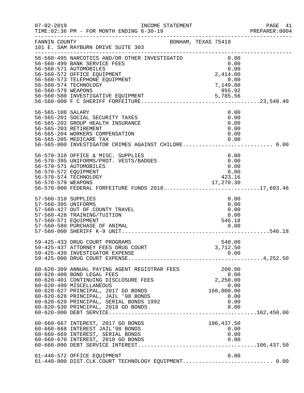| $07 - 02 - 2019$                                                   | INCOME STATEMENT<br>TIME: 02:36 PM - FOR MONTH ENDING 6-30-19                                                                                                                                                                                                                                                     |                                                                                        | PAGE 41<br>PREPARER: 0004 |
|--------------------------------------------------------------------|-------------------------------------------------------------------------------------------------------------------------------------------------------------------------------------------------------------------------------------------------------------------------------------------------------------------|----------------------------------------------------------------------------------------|---------------------------|
| FANNIN COUNTY                                                      | BONHAM, TEXAS 75418<br>101 E. SAM RAYBURN DRIVE SUITE 303                                                                                                                                                                                                                                                         |                                                                                        |                           |
| 56-560-579 WEAPONS                                                 | 56-560-495 NARCOTICS AND/OR OTHER INVESTIGATIO<br>56-560-499 BANK SERVICE FEES<br>56-560-571 AUTOMOBILES<br>56-560-572 OFFICE EQUIPMENT<br>56-560-573 TELEPHONE EQUIPMENT<br>56-560-574 TECHNOLOGY                                                                                                                | 0.00<br>0.00<br>0.00<br>$2,414.00$<br>0.00<br>7.140.00<br>$0.00$<br>7,149.00<br>955.92 |                           |
| 56-565-108 SALARY                                                  | 56-565-201 SOCIAL SECURITY TAXES<br>56-565-202 GROUP HEALTH INSURANCE<br>56-565-203 RETIREMENT<br>56-565-204 WORKERS COMPENSATION<br>56-565-205 MEDICARE TAX<br>56-565-000 INVESTIGATOR CRIMES AGAINST CHILDRE 0.00                                                                                               | 0.00<br>0.00<br>0.00<br>0.00<br>0.00<br>0.00                                           |                           |
| 56-570-572 EQUIPMENT                                               | 56-570-310 OFFICE & MISC. SUPPLIES<br>56-570-395 UNIFORMS/PROT. VESTS/BADGES<br>56-570-571 AUTOMOBILES<br>56-570-574 TECHNOLOGY<br>56-570-579 WEAPONS 17,270.30<br>56-570-000 FEDERAL FORFEITURE FUNDS 201817,693.46                                                                                              | 0.00<br>0.00<br>0.00<br>0.00<br>423.16                                                 |                           |
| 57-560-310 SUPPLIES<br>57-560-395 UNIFORMS<br>57-560-571 EQUIPMENT | 57-560-427 OUT OF COUNTY TRAVEL<br>57-560-428 TRAINING/TUITION                                                                                                                                                                                                                                                    | 0.00<br>0.00<br>0.00<br>0.00<br>546.18                                                 |                           |
|                                                                    | 59-425-433 DRUG COURT PROGRAMS<br>59-425-437 ATTORNEY FEES DRUG COURT<br>59-425-439 INVESTIGATOR EXPENSE                                                                                                                                                                                                          | 540.00<br>3,712.50<br>0.00                                                             |                           |
|                                                                    | 60-620-309 ANNUAL PAYING AGENT REGISTRAR FEES<br>60-620-400 BOND LEGAL FEES<br>60-620-401 CONTINUING DISCLOSURE FEES<br>60-620-490 MISCELLANEOUS<br>60-620-627 PRINCIPAL, 2017 GO BONDS<br>60-620-628 PRINCIPAL, JAIL '98 BONDS<br>60-620-629 PRINCIPAL, SERIAL BONDS 1992<br>60-620-630 PRINCIPAL, 2018 GO BONDS | 200.00<br>0.00<br>2,250.00<br>0.00<br>160,000.00<br>0.00<br>0.00<br>0.00               |                           |
|                                                                    | 60-660-667 INTEREST, 2017 GO BONDS<br>60-660-668 INTEREST JAIL'98 BONDS<br>60-660-669 INTEREST, SERIAL BONDS<br>60-660-670 INTEREST, 2018 GO BONDS                                                                                                                                                                | 106,437.50<br>0.00<br>0.00<br>0.00                                                     |                           |
|                                                                    | 61-440-572 OFFICE EQUIPMENT<br>61-440-000 DIST.CLK.COURT TECHNOLOGY EQUIPMENT 0.00                                                                                                                                                                                                                                | 0.00                                                                                   |                           |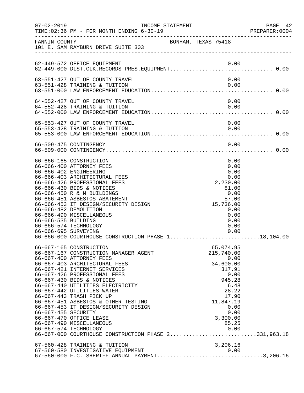| $07 - 02 - 2019$                            | TIME: 02:36 PM - FOR MONTH ENDING 6-30-19                                                                                                                                                                                                                                                                                                                                                                                                                                               | INCOME STATEMENT    |  |                                                                                                                                                              | PAGE 42<br>PREPARER: 0004 |
|---------------------------------------------|-----------------------------------------------------------------------------------------------------------------------------------------------------------------------------------------------------------------------------------------------------------------------------------------------------------------------------------------------------------------------------------------------------------------------------------------------------------------------------------------|---------------------|--|--------------------------------------------------------------------------------------------------------------------------------------------------------------|---------------------------|
| FANNIN COUNTY                               | 101 E. SAM RAYBURN DRIVE SUITE 303                                                                                                                                                                                                                                                                                                                                                                                                                                                      | BONHAM, TEXAS 75418 |  |                                                                                                                                                              |                           |
|                                             | 62-449-572 OFFICE EQUIPMENT                                                                                                                                                                                                                                                                                                                                                                                                                                                             |                     |  | 0.00                                                                                                                                                         |                           |
|                                             | 63-551-427 OUT OF COUNTY TRAVEL<br>63-551-428 TRAINING & TUITION                                                                                                                                                                                                                                                                                                                                                                                                                        |                     |  | 0.00<br>0.00                                                                                                                                                 |                           |
|                                             | 64-552-427 OUT OF COUNTY TRAVEL<br>64-552-428 TRAINING & TUITION                                                                                                                                                                                                                                                                                                                                                                                                                        |                     |  | 0.00<br>0.00                                                                                                                                                 |                           |
|                                             | 65-553-427 OUT OF COUNTY TRAVEL<br>65-553-428 TRAINING & TUITION                                                                                                                                                                                                                                                                                                                                                                                                                        |                     |  | 0.00<br>0.00                                                                                                                                                 |                           |
|                                             | 66-509-475 CONTINGENCY                                                                                                                                                                                                                                                                                                                                                                                                                                                                  |                     |  | 0.00                                                                                                                                                         |                           |
| 66-666-535 BUILDING<br>66-666-695 SURVEYING | 66-666-165 CONSTRUCTION<br>66-666-400 ATTORNEY FEES<br>66-666-402 ENGINEERING<br>66-666-403 ARCHITECTURAL FEES<br>66-666-426 PROFESSIONAL FEES<br>66-666-430 BIDS & NOTICES<br>66-666-450 R & M BUILDINGS<br>66-666-451 ASBESTOS ABATEMENT<br>66-666-453 IT DESIGN/SECURITY DESIGN<br>66-666-482 DEMOLITION<br>66-666-490 MISCELLANEOUS<br>66-666-574 TECHNOLOGY<br>66-666-000 COURTHOUSE CONSTRUCTION PHASE 118,104.00                                                                 |                     |  | 0.00<br>0.00<br>0.00<br>0.00<br>2,230.00<br>81.00<br>0.00<br>57.00<br>15,736.00<br>0.00<br>0.00<br>0.00<br>0.00<br>0.00                                      |                           |
| 66-667-455 SECURITY                         | 66-667-165 CONSTRUCTION<br>66-667-167 CONSTRUCTION MANAGER AGENT<br>66-667-400 ATTORNEY FEES<br>66-667-403 ARCHITECTURAL FEES<br>66-667-421 INTERNET SERVICES<br>66-667-426 PROFESSIONAL FEES<br>66-667-430 BIDS & NOTICES<br>66-667-440 UTILITIES ELECTRICITY<br>66-667-442 UTILITIES WATER<br>66-667-443 TRASH PICK UP<br>66-667-451 ASBESTOS & OTHER TESTING<br>66-667-453 IT DESIGN/SECURITY DESIGN<br>66-667-470 OFFICE LEASE<br>66-667-490 MISCELLANEOUS<br>66-667-574 TECHNOLOGY |                     |  | 65,074.95<br>215,740.00<br>0.00<br>34,600.00<br>317.91<br>0.00<br>945.28<br>6.48<br>28.22<br>17.90<br>11,847.19<br>0.00<br>0.00<br>3,300.00<br>85.25<br>0.00 |                           |
|                                             | 67-560-428 TRAINING & TUITION<br>67-560-580 INVESTIGATIVE EQUIPMENT 0.00<br>67-560-000 F.C. SHERIFF ANNUAL PAYMENT3,206.16                                                                                                                                                                                                                                                                                                                                                              |                     |  | 3,206.16                                                                                                                                                     |                           |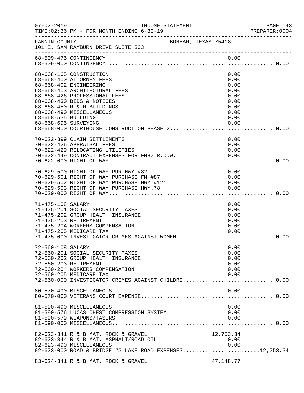| $07 - 02 - 2019$                            | INCOME STATEMENT<br>TIME: 02:36 PM - FOR MONTH ENDING 6-30-19                                                                                                                                                                         |                     |                                                                              | PAGE 43<br>PREPARER:0004 |
|---------------------------------------------|---------------------------------------------------------------------------------------------------------------------------------------------------------------------------------------------------------------------------------------|---------------------|------------------------------------------------------------------------------|--------------------------|
| FANNIN COUNTY                               | 101 E. SAM RAYBURN DRIVE SUITE 303                                                                                                                                                                                                    | BONHAM, TEXAS 75418 |                                                                              |                          |
|                                             | 68-509-475 CONTINGENCY                                                                                                                                                                                                                |                     | 0.00                                                                         |                          |
| 68-668-535 BUILDING<br>68-668-695 SURVEYING | 68-668-165 CONSTRUCTION<br>68-668-400 ATTORNEY FEES<br>68-668-402 ENGINEERING<br>68-668-403 ARCHITECTURAL FEES<br>68-668-426 PROFESSIONAL FEES<br>68-668-430 BIDS & NOTICES<br>68-668-450 R & M BUILDINGS<br>68-668-490 MISCELLANEOUS |                     | 0.00<br>0.00<br>0.00<br>0.00<br>0.00<br>0.00<br>0.00<br>0.00<br>0.00<br>0.00 |                          |
|                                             | 70-622-399 CLAIM SETTLEMENTS                                                                                                                                                                                                          |                     | 0.00                                                                         |                          |
|                                             | 70-622-426 APPRAISAL FEES<br>70-622-429 RELOCATING UTILITIES                                                                                                                                                                          |                     | 0.00<br>0.00                                                                 |                          |
|                                             | 70-629-500 RIGHT OF WAY PUR HWY #82<br>70-629-501 RIGHT OF WAY PURCHASE FM #87<br>70-629-502 RIGHT OF WAY PURCHASE HWY #121<br>70-629-503 RIGHT OF WAY PURCHASE HWY.78                                                                |                     | 0.00<br>0.00<br>0.00<br>0.00                                                 |                          |
| 71-475-108 SALARY                           | 71-475-201 SOCIAL SECURITY TAXES<br>71-475-202 GROUP HEALTH INSURANCE<br>71-475-203 RETIREMENT<br>71-475-204 WORKERS COMPENSATION<br>71-475-205 MEDICARE TAX<br>71-475-000 INVESTIGATOR CRIMES AGAINST WOMEN 0.00                     |                     | 0.00<br>0.00<br>0.00<br>0.00<br>0.00<br>0.00                                 |                          |
| 72-560-108 SALARY                           | 72-560-201 SOCIAL SECURITY TAXES<br>72-560-202 GROUP HEALTH INSURANCE<br>72-560-203 RETIREMENT<br>72-560-204 WORKERS COMPENSATION<br>72-560-205 MEDICARE TAX<br>72-560-000 INVESTIGATOR CRIMES AGAINST CHILDRE 0.00                   |                     | 0.00<br>0.00<br>0.00<br>0.00<br>0.00<br>0.00                                 |                          |
|                                             | 80-570-490 MISCELLANEOUS                                                                                                                                                                                                              |                     | 0.00                                                                         |                          |
|                                             | 81-590-490 MISCELLANEOUS<br>81-590-576 LUCAS CHEST COMPRESSION SYSTEM<br>81-590-579 WEAPONS/TASERS                                                                                                                                    |                     | 0.00<br>0.00<br>0.00                                                         |                          |
|                                             | 82-623-341 R & B MAT. ROCK & GRAVEL<br>82-623-344 R & B MAT. ASPHALT/ROAD OIL<br>82-623-490 MISCELLANEOUS<br>82-623-000 ROAD & BRIDGE #3 LAKE ROAD EXPENSES12,753.34                                                                  |                     | 12,753.34<br>0.00<br>0.00                                                    |                          |
|                                             | 83-624-341 R & B MAT. ROCK & GRAVEL                                                                                                                                                                                                   |                     | 47, 148. 77                                                                  |                          |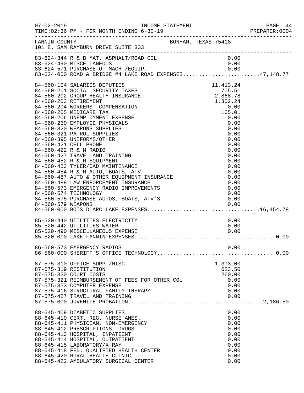| $07 - 02 - 2019$ | TIME: 02:36 PM - FOR MONTH ENDING 6-30-19                                                                                                                                                                                                                                                                                                                                                                                                                                                                                                                                                                                                                                                                                                                                                         |                                                                                                                                                                                             | PAGE 44<br>PREPARER: 0004 |
|------------------|---------------------------------------------------------------------------------------------------------------------------------------------------------------------------------------------------------------------------------------------------------------------------------------------------------------------------------------------------------------------------------------------------------------------------------------------------------------------------------------------------------------------------------------------------------------------------------------------------------------------------------------------------------------------------------------------------------------------------------------------------------------------------------------------------|---------------------------------------------------------------------------------------------------------------------------------------------------------------------------------------------|---------------------------|
| FANNIN COUNTY    | BONHAM, TEXAS 75418<br>101 E. SAM RAYBURN DRIVE SUITE 303                                                                                                                                                                                                                                                                                                                                                                                                                                                                                                                                                                                                                                                                                                                                         |                                                                                                                                                                                             |                           |
|                  | 83-624-344 R & B MAT. ASPHALT/ROAD OIL<br>83-624-490 MISCELLANEOUS 0.00<br>83-624-571 PURCHASE OF MACH./EQUIP. 0.00<br>83-624-000 ROAD & BRIDGE #4 LAKE ROAD EXPENSES47,148.77                                                                                                                                                                                                                                                                                                                                                                                                                                                                                                                                                                                                                    | 0.00                                                                                                                                                                                        |                           |
|                  | 84-560-104 SALARIES DEPUTIES<br>84-560-201 SOCIAL SECURITY TAXES<br>84-560-202 GROUP HEALTH INSURANCE<br>84-560-203 RETIREMENT<br>84-560-204 WORKERS' COMPENSATION<br>84-560-205 MEDICARE TAX<br>84-560-206 UNEMPLOYMENT EXPENSE<br>84-560-250 EMPLOYEE PHYSICALS<br>84-560-320 WEAPONS SUPPLIES<br>84-560-321 PATROL SUPPLIES<br>84-560-395 UNIFORMS/OTHER<br>84-560-421 CELL PHONE<br>84-560-422 R & M RADIO<br>84-560-427 TRAVEL AND TRAINING<br>84-560-452 R & M EQUIPMENT<br>84-560-453 TYLER/CAD MAINTENANCE<br>84-560-453 IILER/CAD MAINIENANCE<br>84-560-454 R & M AUTO, BOATS, ATV<br>84-560-487 AUTO & OTHER EQUIPMENT INSURANCE<br>84-560-488 LAW ENFORCEMENT INSURANCE<br>84-560-573 EMERGENCY RADIO IMPROVEMENTS<br>84-560-574 TECHNOLOGY<br>84-560-575 PURCHASE AUTOS, BOATS, ATV'S | $705.51$<br>$2,868.78$<br>$1,302.24$<br>$0.00$<br>$165.01$<br>$0.0$<br>0.00<br>0.00<br>0.00<br>0.00<br>0.00<br>0.00<br>0.00<br>0.00<br>0.00<br>0.00<br>0.00<br>0.00<br>0.00<br>0.00<br>0.00 |                           |
|                  | 85-520-440 UTILITIES ELECTRICITY<br>85-520-442 UTILITIES WATER                                                                                                                                                                                                                                                                                                                                                                                                                                                                                                                                                                                                                                                                                                                                    | 0.00<br>0.00                                                                                                                                                                                |                           |
|                  |                                                                                                                                                                                                                                                                                                                                                                                                                                                                                                                                                                                                                                                                                                                                                                                                   |                                                                                                                                                                                             |                           |
|                  | 87-575-310 OFFICE SUPP./MISC.<br>87-575-319 RESTITUTION<br>87-575-320 COURT COSTS<br>87-575-321 REIMBURSEMENT OF FEES FOR OTHER COU<br>87-575-353 COMPUTER EXPENSE<br>87-575-416 STRUCTURAL FAMILY THERAPY<br>87-575-427 TRAVEL AND TRAINING                                                                                                                                                                                                                                                                                                                                                                                                                                                                                                                                                      | 1,303.00<br>623.50<br>260.00<br>0.00<br>0.00<br>0.00<br>0.00                                                                                                                                |                           |
|                  | 88-645-409 DIABETIC SUPPLIES<br>88-645-410 CERT. REG. NURSE ANES.<br>88-645-411 PHYSICIAN, NON-EMERGENCY<br>88-645-412 PRESCRIPTIONS, DRUGS<br>88-645-413 HOSPITAL, INPATIENT<br>88-645-414 HOSPITAL, OUTPATIENT<br>88-645-415 LABORATORY/X-RAY<br>88-645-418 FED. QUALIFIED HEALTH CENTER<br>88-645-420 RURAL HEALTH CLINIC<br>88-645-422 AMBULATORY SURGICAL CENTER                                                                                                                                                                                                                                                                                                                                                                                                                             | 0.00<br>0.00<br>0.00<br>0.00<br>0.00<br>0.00<br>0.00<br>0.00<br>0.00<br>0.00                                                                                                                |                           |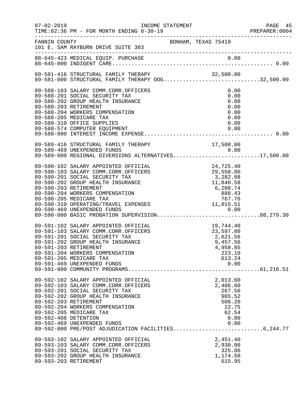| $07 - 02 - 2019$                              |                                                                                                                                                                                                                                                                                                                                                                      |                                                                                                      |                                                                                      | PAGE 45        |
|-----------------------------------------------|----------------------------------------------------------------------------------------------------------------------------------------------------------------------------------------------------------------------------------------------------------------------------------------------------------------------------------------------------------------------|------------------------------------------------------------------------------------------------------|--------------------------------------------------------------------------------------|----------------|
|                                               | TIME: 02:36 PM - FOR MONTH ENDING 6-30-19                                                                                                                                                                                                                                                                                                                            |                                                                                                      |                                                                                      | PREPARER: 0004 |
| FANNIN COUNTY                                 | 101 E. SAM RAYBURN DRIVE SUITE 303<br>-----------------------------------                                                                                                                                                                                                                                                                                            | BONHAM, TEXAS 75418                                                                                  |                                                                                      |                |
|                                               |                                                                                                                                                                                                                                                                                                                                                                      |                                                                                                      |                                                                                      |                |
|                                               | 89-581-416 STRUCTURAL FAMILY THERAPY 32,500.00<br>89-581-000 STRUCTURAL FAMILY THERAPY OOG32,500.00                                                                                                                                                                                                                                                                  |                                                                                                      |                                                                                      |                |
|                                               | 89-588-103 SALARY COMM.CORR.OFFICERS<br>89-588-201 SOCIAL SECURITY TAX<br>89-588-202 GROUP HEALTH INSURANCE<br>89-588-203 RETIREMENT<br>89-588-204 WORKERS COMPENSATION<br>89-588-205 MEDICARE TAX<br>89-588-310 OFFICE SUPPLIES                                                                                                                                     |                                                                                                      | 0.00<br>0.00<br>0.00<br>0.00<br>0.00<br>0.00<br>0.00                                 |                |
|                                               | 89-589-416 STRUCTURAL FAMILY THERAPY 17,500.00<br>89-589-469 UNEXPENDED FUNDS 0.00<br>89-589-000 REGIONAL DIVERSIONS ALTERNATIVES17,500.00                                                                                                                                                                                                                           |                                                                                                      |                                                                                      |                |
|                                               | 89-590-102 SALARY APPOINTED OFFICIAL<br>89-590-103 SALARY COMM.CORR.OFFICERS<br>89-590-201 SOCIAL SECURITY TAX<br>89-590-202 GROUP HEALTH INSURANCE<br>89-590-203 RETIREMENT<br>89-590-204 WORKERS COMPENSATION<br>89-590-205 MEDICARE TAX<br>89-590-310 OPERATING/TRAVEL EXPENSES<br>89-590-469 UNEXPENDED FUNDS<br>89-590-000 BASIC PROBATION SUPERVISION88,279.30 | 24,725.40<br>29,550.80<br>3,282.08<br>11,840.58<br>6,208.74<br>888.43<br>767.76<br>11,015.51<br>0.00 |                                                                                      |                |
|                                               | 89-591-102 SALARY APPOINTED OFFICIAL<br>89-591-103 SALARY COMM.CORR.OFFICERS<br>89-591-201 SOCIAL SECURITY TAX<br>89-591-202 GROUP HEALTH INSURANCE<br>89-591-203 RETIREMENT<br>89-591-204 WORKERS COMPENSATION<br>89-591-205 MEDICARE TAX<br>89-591-469 UNEXPENDED FUNDS                                                                                            | 19,744.40<br>23,597.80<br>2,621.56<br>9,457.56                                                       | 4,958.85<br>223.10<br>613.24<br>0.00                                                 |                |
| 89-592-203 RETIREMENT<br>89-592-408 DETENTION | 89-592-102 SALARY APPOINTED OFFICIAL<br>89-592-103 SALARY COMM.CORR.OFFICERS<br>89-592-201 SOCIAL SECURITY TAX<br>89-592-202 GROUP HEALTH INSURANCE<br>89-592-204 WORKERS COMPENSATION<br>89-592-205 MEDICARE TAX<br>89-592-469 UNEXPENDED FUNDS<br>89-592-000 PRE/POST ADJUDICATION FACILITIES6,244.77                                                              |                                                                                                      | 2,013.60<br>2,406.60<br>267.56<br>965.52<br>506.20<br>22.75<br>62.54<br>0.00<br>0.00 |                |
| 89-593-203 RETIREMENT                         | 89-593-102 SALARY APPOINTED OFFICIAL<br>89-593-103 SALARY COMM.CORR.OFFICERS<br>89-593-201 SOCIAL SECURITY TAX<br>89-593-202 GROUP HEALTH INSURANCE                                                                                                                                                                                                                  |                                                                                                      | 2,451.40<br>2,930.00<br>325.86<br>1,174.50<br>615.95                                 |                |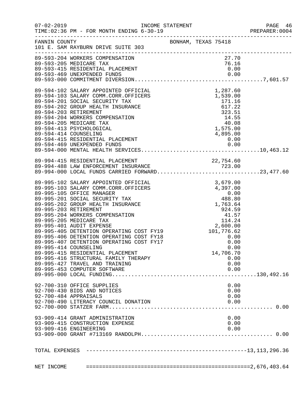| $07 - 02 - 2019$ | TIME: 02:36 PM - FOR MONTH ENDING 6-30-19                                                                                                                                                                                                | INCOME STATEMENT                                                                                                                                                                                                                  |                     |          |           |              | PAGE 46<br>PREPARER: 0004 |
|------------------|------------------------------------------------------------------------------------------------------------------------------------------------------------------------------------------------------------------------------------------|-----------------------------------------------------------------------------------------------------------------------------------------------------------------------------------------------------------------------------------|---------------------|----------|-----------|--------------|---------------------------|
| FANNIN COUNTY    | 101 E. SAM RAYBURN DRIVE SUITE 303                                                                                                                                                                                                       |                                                                                                                                                                                                                                   | BONHAM, TEXAS 75418 |          |           |              |                           |
|                  | 89-593-204 WORKERS COMPENSATION                                                                                                                                                                                                          |                                                                                                                                                                                                                                   |                     |          | 27.70     |              |                           |
|                  | 89-593-205 MEDICARE TAX                                                                                                                                                                                                                  |                                                                                                                                                                                                                                   |                     |          | 76.16     |              |                           |
|                  | 89-593-415 RESIDENTIAL PLACEMENT                                                                                                                                                                                                         |                                                                                                                                                                                                                                   |                     |          | 0.00      |              |                           |
|                  |                                                                                                                                                                                                                                          |                                                                                                                                                                                                                                   |                     |          |           |              |                           |
|                  |                                                                                                                                                                                                                                          |                                                                                                                                                                                                                                   |                     |          |           |              |                           |
|                  | 89-594-102 SALARY APPOINTED OFFICIAL 1,287.60<br>89-594-103 SALARY COMM.CORR.OFFICERS 1,539.00<br>89-594-201 SOCIAL SECURITY TAX 171.16<br>89-594-202 GROUP HEALTH INSURANCE 617.22<br>89-594-203 RETIREMENT 323.51<br>89-594-204 WORKER |                                                                                                                                                                                                                                   |                     |          |           |              |                           |
|                  |                                                                                                                                                                                                                                          |                                                                                                                                                                                                                                   |                     |          |           |              |                           |
|                  |                                                                                                                                                                                                                                          |                                                                                                                                                                                                                                   |                     |          |           |              |                           |
|                  |                                                                                                                                                                                                                                          |                                                                                                                                                                                                                                   |                     |          |           |              |                           |
|                  |                                                                                                                                                                                                                                          |                                                                                                                                                                                                                                   |                     |          |           |              |                           |
|                  |                                                                                                                                                                                                                                          |                                                                                                                                                                                                                                   |                     |          |           |              |                           |
|                  |                                                                                                                                                                                                                                          |                                                                                                                                                                                                                                   |                     |          |           |              |                           |
|                  | 89-594-414 COUNSELING                                                                                                                                                                                                                    |                                                                                                                                                                                                                                   |                     | 4,895.00 |           |              |                           |
|                  | 89-594-415 RESIDENTIAL PLACEMENT                                                                                                                                                                                                         |                                                                                                                                                                                                                                   |                     |          | 0.00      |              |                           |
|                  |                                                                                                                                                                                                                                          |                                                                                                                                                                                                                                   |                     |          |           |              |                           |
|                  |                                                                                                                                                                                                                                          |                                                                                                                                                                                                                                   |                     |          |           |              |                           |
|                  |                                                                                                                                                                                                                                          |                                                                                                                                                                                                                                   |                     |          |           |              |                           |
|                  |                                                                                                                                                                                                                                          |                                                                                                                                                                                                                                   |                     |          |           |              |                           |
|                  | 89-994-415 RESIDENTIAL PLACEMENT<br>89-994-488 LAW ENFORCEMENT INSURANCE 723.00<br>89-994-000 LOCAL FUNDS CARRIED FORWARD23,477.60                                                                                                       |                                                                                                                                                                                                                                   |                     |          |           |              |                           |
|                  |                                                                                                                                                                                                                                          |                                                                                                                                                                                                                                   |                     |          |           |              |                           |
|                  | 89-995-102 SALARY APPOINTED OFFICIAL                                                                                                                                                                                                     | 0FFICIAL 3,679.00<br>0FFICERS 4,397.00<br>(0.00<br>TAX 488.80<br>TRANCE 1,763.64<br>TON 41.57<br>TON 41.57<br>114.24<br>2,600.00<br>NG COST FY18<br>NG COST FY17<br>20.00<br>NG COST FY17<br>0.00<br>0.00<br>0.00<br>0.00<br>0.00 |                     |          |           |              |                           |
|                  | 89-995-103 SALARY COMM.CORR.OFFICERS                                                                                                                                                                                                     |                                                                                                                                                                                                                                   |                     |          |           |              |                           |
|                  | 89-995-105 OFFICE MANAGER                                                                                                                                                                                                                |                                                                                                                                                                                                                                   |                     |          |           |              |                           |
|                  | 89-995-201 SOCIAL SECURITY TAX                                                                                                                                                                                                           |                                                                                                                                                                                                                                   |                     |          |           |              |                           |
|                  | 89-995-202 GROUP HEALTH INSURANCE<br>89-995-203 RETIREMENT                                                                                                                                                                               |                                                                                                                                                                                                                                   |                     |          |           |              |                           |
|                  | 89-995-204 WORKERS COMPENSATION                                                                                                                                                                                                          |                                                                                                                                                                                                                                   |                     |          |           |              |                           |
|                  | 89-995-205 MEDICARE TAX                                                                                                                                                                                                                  |                                                                                                                                                                                                                                   |                     |          |           |              |                           |
|                  | 89-995-401 AUDIT EXPENSE                                                                                                                                                                                                                 |                                                                                                                                                                                                                                   |                     |          |           |              |                           |
|                  | 89-995-405 DETENTION OPERATING COST FY19                                                                                                                                                                                                 |                                                                                                                                                                                                                                   |                     |          |           |              |                           |
|                  | 89-995-406 DETENTION OPERATING COST FY18                                                                                                                                                                                                 |                                                                                                                                                                                                                                   |                     |          |           |              |                           |
|                  | 89-995-407 DETENTION OPERATING COST FY17                                                                                                                                                                                                 |                                                                                                                                                                                                                                   |                     |          |           |              |                           |
|                  | 89-995-414 COUNSELING                                                                                                                                                                                                                    |                                                                                                                                                                                                                                   |                     |          |           | 0.00         |                           |
|                  | 89-995-415 RESIDENTIAL PLACEMENT                                                                                                                                                                                                         |                                                                                                                                                                                                                                   |                     |          | 14,706.70 |              |                           |
|                  | 89-995-416 STRUCTURAL FAMILY THERAPY<br>89-995-427 TRAVEL AND TRAINING                                                                                                                                                                   |                                                                                                                                                                                                                                   |                     |          |           | 0.00<br>0.00 |                           |
|                  | 89-995-453 COMPUTER SOFTWARE                                                                                                                                                                                                             |                                                                                                                                                                                                                                   |                     |          |           | 0.00         |                           |
|                  |                                                                                                                                                                                                                                          |                                                                                                                                                                                                                                   |                     |          |           |              |                           |
|                  |                                                                                                                                                                                                                                          |                                                                                                                                                                                                                                   |                     |          |           |              |                           |
|                  | 92-700-310 OFFICE SUPPLIES                                                                                                                                                                                                               |                                                                                                                                                                                                                                   |                     |          |           | 0.00         |                           |
|                  | 92-700-430 BIDS AND NOTICES<br>92-700-484 APPRAISALS                                                                                                                                                                                     |                                                                                                                                                                                                                                   |                     |          |           | 0.00<br>0.00 |                           |
|                  | 92-700-490 LITERACY COUNCIL DONATION                                                                                                                                                                                                     |                                                                                                                                                                                                                                   |                     |          |           | 0.00         |                           |
|                  |                                                                                                                                                                                                                                          |                                                                                                                                                                                                                                   |                     |          |           |              |                           |
|                  |                                                                                                                                                                                                                                          |                                                                                                                                                                                                                                   |                     |          |           |              |                           |
|                  | 93-909-414 GRANT ADMINISTRATION                                                                                                                                                                                                          |                                                                                                                                                                                                                                   |                     |          |           | 0.00         |                           |
|                  | 93-909-415 CONSTRUCTION EXPENSE                                                                                                                                                                                                          |                                                                                                                                                                                                                                   |                     |          |           | 0.00         |                           |
|                  | 93-909-416 ENGINEERING                                                                                                                                                                                                                   |                                                                                                                                                                                                                                   |                     |          |           | 0.00         |                           |
|                  |                                                                                                                                                                                                                                          |                                                                                                                                                                                                                                   |                     |          |           |              |                           |
|                  |                                                                                                                                                                                                                                          |                                                                                                                                                                                                                                   |                     |          |           |              |                           |
|                  |                                                                                                                                                                                                                                          |                                                                                                                                                                                                                                   |                     |          |           |              |                           |
| NET INCOME       |                                                                                                                                                                                                                                          |                                                                                                                                                                                                                                   |                     |          |           |              |                           |
|                  |                                                                                                                                                                                                                                          |                                                                                                                                                                                                                                   |                     |          |           |              |                           |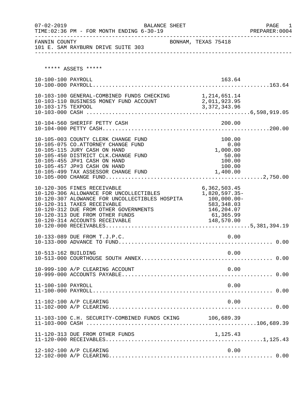| $07 - 02 - 2019$    | BALANCE SHEET<br>TIME: 02:36 PM - FOR MONTH ENDING 6-30-19                                                                                                                                                                                                            |                                                                                                     | PAGE 1<br>PREPARER:0004 |
|---------------------|-----------------------------------------------------------------------------------------------------------------------------------------------------------------------------------------------------------------------------------------------------------------------|-----------------------------------------------------------------------------------------------------|-------------------------|
| FANNIN COUNTY       | 101 E. SAM RAYBURN DRIVE SUITE 303                                                                                                                                                                                                                                    | BONHAM, TEXAS 75418                                                                                 |                         |
|                     | ***** ASSETS *****                                                                                                                                                                                                                                                    |                                                                                                     |                         |
| 10-100-100 PAYROLL  |                                                                                                                                                                                                                                                                       | 163.64                                                                                              |                         |
|                     | 10-103-100 GENERAL-COMBINED FUNDS CHECKING 1,214,651.14<br>10-103-110 BUSINESS MONEY FUND ACCOUNT 2,011,923.95                                                                                                                                                        |                                                                                                     |                         |
|                     |                                                                                                                                                                                                                                                                       |                                                                                                     |                         |
|                     | 10-105-003 COUNTY CLERK CHANGE FUND<br>10-105-075 CO.ATTORNEY CHANGE FUND<br>10-105-115 JURY CASH ON HAND<br>10-105-450 DISTRICT CLK. CHANGE FUND<br>10-105-455 JP#1 CASH ON HAND<br>10-105-457 JP#3 CASH ON HAND                                                     | 100.00<br>0.00<br>1,000.00<br>50.00<br>100.00<br>100.00                                             |                         |
|                     | 10-120-305 FINES RECEIVABLE<br>10-120-306 ALLOWANCE FOR UNCOLLECTIBLES<br>10-120-307 ALOWANCE FOR UNCOLLECTIBLES HOSPITA<br>10-120-311 TAXES RECEIVABLE<br>10-120-312 DUE FROM OTHER GOVERNMENTS<br>10-120-313 DUE FROM OTHER FUNDS<br>10-120-314 ACCOUNTS RECEIVABLE | 6,362,503.45<br>1,820,597.35-<br>100,000.00-<br>583,348.03<br>146,204.07<br>61,365.99<br>148,570.00 |                         |
|                     | 10-133-089 DUE FROM T.J.P.C.                                                                                                                                                                                                                                          | 0.00                                                                                                |                         |
| 10-513-162 BUILDING |                                                                                                                                                                                                                                                                       | 0.00                                                                                                |                         |
|                     | 10-999-100 A/P CLEARING ACCOUNT                                                                                                                                                                                                                                       | 0.00                                                                                                |                         |
| 11-100-100 PAYROLL  |                                                                                                                                                                                                                                                                       | 0.00                                                                                                |                         |
|                     | 11-102-100 A/P CLEARING                                                                                                                                                                                                                                               | 0.00                                                                                                |                         |
|                     | 11-103-100 C.H. SECURITY-COMBINED FUNDS CKING 106,689.39                                                                                                                                                                                                              |                                                                                                     |                         |
|                     | 11-120-313 DUE FROM OTHER FUNDS                                                                                                                                                                                                                                       | 1,125.43                                                                                            |                         |
|                     | 12-102-100 A/P CLEARING                                                                                                                                                                                                                                               | 0.00                                                                                                |                         |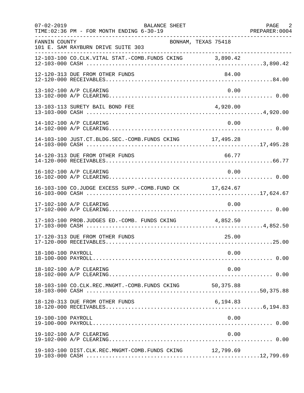| $07 - 02 - 2019$   | BALANCE SHEET<br>TIME: 02:36 PM - FOR MONTH ENDING 6-30-19<br>. _ _ _ _ _ _ _ _ _ _ _ _ _ _ |           | PAGE 2 |
|--------------------|---------------------------------------------------------------------------------------------|-----------|--------|
| FANNIN COUNTY      | BONHAM, TEXAS 75418<br>101 E. SAM RAYBURN DRIVE SUITE 303                                   |           |        |
|                    | 12-103-100 CO.CLK.VITAL STAT.-COMB.FUNDS CKING 3,890.42                                     |           |        |
|                    | 12-120-313 DUE FROM OTHER FUNDS                                                             | 84.00     |        |
|                    | 13-102-100 A/P CLEARING                                                                     | 0.00      |        |
|                    | 13-103-113 SURETY BAIL BOND FEE                                                             | 4,920.00  |        |
|                    | 14-102-100 A/P CLEARING                                                                     | 0.00      |        |
|                    | 14-103-100 JUST.CT.BLDG.SEC.-COMB.FUNDS CKING 17,495.28                                     |           |        |
|                    |                                                                                             |           |        |
|                    | 16-102-100 A/P CLEARING                                                                     | 0.00      |        |
|                    | 16-103-100 CO.JUDGE EXCESS SUPP.-COMB.FUND CK 17,624.67                                     |           |        |
|                    | 17-102-100 A/P CLEARING                                                                     | 0.00      |        |
|                    | 17-103-100 PROB.JUDGES ED.-COMB. FUNDS CKING 4,852.50                                       |           |        |
|                    | 17-120-313 DUE FROM OTHER FUNDS                                                             | 25.00     |        |
| 18-100-100 PAYROLL |                                                                                             | 0.00      |        |
|                    | 18-102-100 A/P CLEARING                                                                     | 0.00      |        |
|                    | 18-103-100 CO.CLK.REC.MNGMT.-COMB.FUNDS CKING                                               | 50,375.88 |        |
|                    | 18-120-313 DUE FROM OTHER FUNDS                                                             | 6,194.83  |        |
| 19-100-100 PAYROLL |                                                                                             | 0.00      |        |
|                    | 19-102-100 A/P CLEARING                                                                     | 0.00      |        |
|                    | 19-103-100 DIST.CLK.REC.MNGMT-COMB.FUNDS CKING                                              | 12,799.69 |        |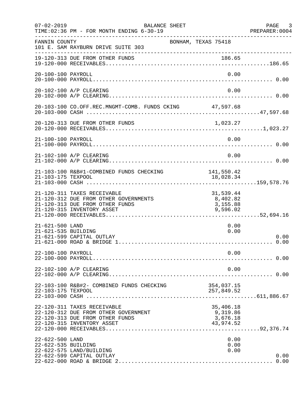| $07 - 02 - 2019$                       | BALANCE SHEET<br>TIME: 02:36 PM - FOR MONTH ENDING 6-30-19                                                                            |                                                | PAGE 3<br>PREPARER: 0004 |
|----------------------------------------|---------------------------------------------------------------------------------------------------------------------------------------|------------------------------------------------|--------------------------|
| FANNIN COUNTY                          | BONHAM, TEXAS 75418<br>101 E. SAM RAYBURN DRIVE SUITE 303                                                                             |                                                |                          |
|                                        | 19-120-313 DUE FROM OTHER FUNDS                                                                                                       | 186.65                                         |                          |
| 20-100-100 PAYROLL                     |                                                                                                                                       | 0.00                                           |                          |
|                                        | 20-102-100 A/P CLEARING                                                                                                               | 0.00                                           |                          |
|                                        | 20-103-100 CO.OFF.REC.MNGMT-COMB. FUNDS CKING 47,597.68                                                                               |                                                |                          |
|                                        |                                                                                                                                       |                                                |                          |
| 21-100-100 PAYROLL                     |                                                                                                                                       | 0.00                                           |                          |
|                                        | 21-102-100 A/P CLEARING                                                                                                               | 0.00                                           |                          |
| 21-103-175 TEXPOOL                     | 21-103-100 R&B#1-COMBINED FUNDS CHECKING                                                                                              | 141,550.42<br>18,028.34                        |                          |
|                                        | 21-120-311 TAXES RECEIVABLE<br>21-120-312 DUE FROM OTHER GOVERNMENTS<br>21-120-313 DUE FROM OTHER FUNDS<br>21-120-315 INVENTORY ASSET | 31,539.44<br>8,402.82<br>3,155.88<br>9,596.02  |                          |
| 21-621-500 LAND<br>21-621-535 BUILDING | 21-621-599 CAPITAL OUTLAY                                                                                                             | 0.00<br>0.00                                   | 0.00<br>0.00             |
| 22-100-100 PAYROLL                     |                                                                                                                                       | 0.00                                           |                          |
|                                        | 22-102-100 A/P CLEARING                                                                                                               | 0.00                                           |                          |
| 22-103-175 TEXPOOL                     | 22-103-100 R&B#2- COMBINED FUNDS CHECKING                                                                                             | 354,037.15<br>257,849.52                       |                          |
|                                        | 22-120-311 TAXES RECEIVABLE<br>22-120-312 DUE FROM OTHER GOVERNMENT<br>22-120-313 DUE FROM OTHER FUNDS<br>22-120-315 INVENTORY ASSET  | 35,406.18<br>9,319.86<br>3,676.18<br>43,974.52 |                          |
| 22-622-500 LAND<br>22-622-535 BUILDING | 22-622-575 LAND/BUILDING<br>22-622-599 CAPITAL OUTLAY                                                                                 | 0.00<br>0.00<br>0.00                           | 0.00                     |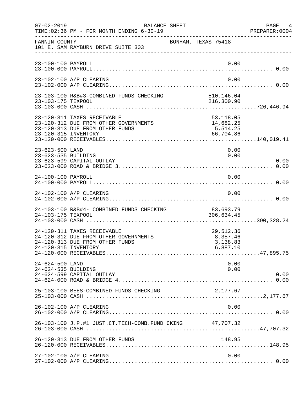| $07 - 02 - 2019$                       | BALANCE SHEET<br>TIME: 02:36 PM - FOR MONTH ENDING 6-30-19                                              | PAGE<br>4<br>PREPARER: 0004                      |
|----------------------------------------|---------------------------------------------------------------------------------------------------------|--------------------------------------------------|
| FANNIN COUNTY                          | 101 E. SAM RAYBURN DRIVE SUITE 303                                                                      | BONHAM, TEXAS 75418                              |
| 23-100-100 PAYROLL                     |                                                                                                         | 0.00                                             |
|                                        | 23-102-100 A/P CLEARING                                                                                 | 0.00                                             |
| 23-103-175 TEXPOOL                     | 23-103-100 R&B#3-COMBINED FUNDS CHECKING                                                                | 510,146.04<br>216,300.90                         |
| 23-120-315 INVENTORY                   | 23-120-311 TAXES RECEIVABLE<br>23-120-312 DUE FROM OTHER GOVERNMENTS<br>23-120-313 DUE FROM OTHER FUNDS | 53, 118.05<br>14,682.25<br>5,514.25<br>66,704.86 |
| 23-623-500 LAND<br>23-623-535 BUILDING | 23-623-599 CAPITAL OUTLAY                                                                               | 0.00<br>0.00<br>0.00                             |
| 24-100-100 PAYROLL                     |                                                                                                         | 0.00                                             |
|                                        | 24-102-100 A/P CLEARING                                                                                 | 0.00                                             |
| 24-103-175 TEXPOOL                     | 24-103-100 R&B#4- COMBINED FUNDS CHECKING                                                               | 83,693.79<br>306,634.45                          |
| 24-120-315 INVENTORY                   | 24-120-311 TAXES RECEIVABLE<br>24-120-312 DUE FROM OTHER GOVERNMENTS<br>24-120-313 DUE FROM OTHER FUNDS | 29,512.36<br>8,357.46<br>3,138.83<br>6,887.10    |
| 24-624-500 LAND<br>24-624-535 BUILDING | 24-624-599 CAPITAL OUTLAY                                                                               | 0.00<br>0.00<br>0.00                             |
|                                        | 25-103-100 BEES-COMBINED FUNDS CHECKING                                                                 | 2,177.67                                         |
|                                        | 26-102-100 A/P CLEARING                                                                                 | 0.00                                             |
|                                        | 26-103-100 J.P.#1 JUST.CT.TECH-COMB.FUND CKING 47,707.32                                                |                                                  |
|                                        | 26-120-313 DUE FROM OTHER FUNDS                                                                         | 148.95                                           |
|                                        | 27-102-100 A/P CLEARING                                                                                 | 0.00                                             |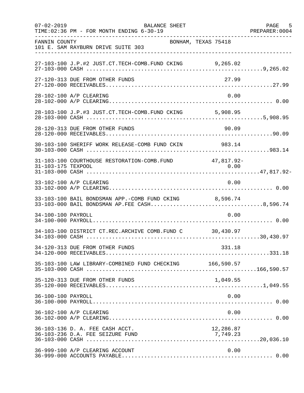| $07 - 02 - 2019$   | <b>BALANCE SHEET</b><br>TIME: 02:36 PM - FOR MONTH ENDING 6-30-19                                      |           | PAGE<br>5<br>PREPARER: 0004 |
|--------------------|--------------------------------------------------------------------------------------------------------|-----------|-----------------------------|
| FANNIN COUNTY      | BONHAM, TEXAS 75418<br>101 E. SAM RAYBURN DRIVE SUITE 303                                              |           |                             |
|                    | 27-103-100 J.P.#2 JUST.CT.TECH-COMB.FUND CKING 9,265.02                                                |           |                             |
|                    | 27-120-313 DUE FROM OTHER FUNDS                                                                        | 27.99     |                             |
|                    | 28-102-100 A/P CLEARING                                                                                | 0.00      |                             |
|                    | 28-103-100 J.P.#3 JUST.CT.TECH-COMB.FUND CKING 5,908.95                                                |           |                             |
|                    | 28-120-313 DUE FROM OTHER FUNDS                                                                        | 90.09     |                             |
|                    | 30-103-100 SHERIFF WORK RELEASE-COMB FUND CKIN                                                         | 983.14    |                             |
| 31-103-175 TEXPOOL | 31-103-100 COURTHOUSE RESTORATION-COMB. FUND 47,817.92-                                                | 0.00      |                             |
|                    | 33-102-100 A/P CLEARING                                                                                | 0.00      |                             |
|                    | 33-103-100 BAIL BONDSMAN APP.-COMB FUND CKING 8,596.74<br>33-103-000 BAIL BONDSMAN AP.FEE CASH8,596.74 |           |                             |
| 34-100-100 PAYROLL |                                                                                                        | 0.00      |                             |
|                    | 34-103-100 DISTRICT CT.REC.ARCHIVE COMB.FUND C 30,430.97                                               |           |                             |
|                    | 34-120-313 DUE FROM OTHER FUNDS                                                                        | 331.18    |                             |
|                    | 35-103-100 LAW LIBRARY-COMBINED FUND CHECKING 166,590.57                                               |           |                             |
|                    | 35-120-313 DUE FROM OTHER FUNDS                                                                        | 1,049.55  |                             |
| 36-100-100 PAYROLL |                                                                                                        | 0.00      |                             |
|                    | 36-102-100 A/P CLEARING                                                                                | 0.00      |                             |
|                    | 36-103-136 D. A. FEE CASH ACCT.                                                                        | 12,286.87 |                             |
|                    | 36-999-100 A/P CLEARING ACCOUNT                                                                        | 0.00      |                             |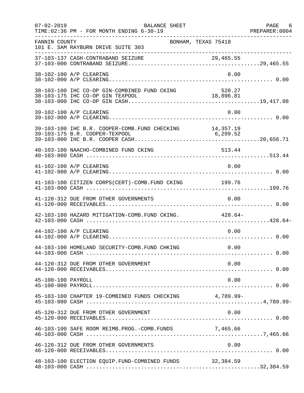| $07 - 02 - 2019$   | <b>BALANCE SHEET</b><br>TIME: 02:36 PM - FOR MONTH ENDING 6-30-19                          |                     | PAGE 6 |
|--------------------|--------------------------------------------------------------------------------------------|---------------------|--------|
| FANNIN COUNTY      | 101 E. SAM RAYBURN DRIVE SUITE 303                                                         | BONHAM, TEXAS 75418 |        |
|                    |                                                                                            |                     |        |
|                    | 38-102-100 A/P CLEARING                                                                    | 0.00                |        |
|                    | 38-103-100 IHC CO-OP GIN-COMBINED FUND CKING                                               | 520.27              |        |
|                    | 39-102-100 A/P CLEARING                                                                    | 0.00                |        |
|                    | 39-103-100 IHC B.R. COOPER-COMB. FUND CHECKING 14,357.19<br>39-103-175 B.R. COOPER-TEXPOOL | 6, 299.52           |        |
|                    | 40-103-100 NAACHO-COMBINED FUND CKING                                                      | 513.44              |        |
|                    | 41-102-100 A/P CLEARING                                                                    | 0.00                |        |
|                    | 41-103-100 CITIZEN CORPS(CERT)-COMB. FUND CKING 199.76                                     |                     |        |
|                    | 41-120-312 DUE FROM OTHER GOVERNMENTS                                                      | 0.00                |        |
|                    | 42-103-100 HAZARD MITIGATION-COMB. FUND CKING. 428.64-                                     |                     |        |
|                    | 44-102-100 A/P CLEARING                                                                    | 0.00                |        |
|                    | 44-103-100 HOMELAND SECURITY-COMB.FUND CHKING                                              | 0.00                |        |
|                    | 44-120-312 DUE FROM OTHER GOVERNMENT                                                       | 0.00                |        |
| 45-100-100 PAYROLL |                                                                                            | 0.00                |        |
|                    | 45-103-100 CHAPTER 19-COMBINED FUNDS CHECKING 4,789.99-                                    |                     |        |
|                    | 45-120-312 DUE FROM OTHER GOVERNMENT                                                       | 0.00                |        |
|                    | 46-103-100 SAFE ROOM REIMB.PROG.-COMB.FUNDS 7,465.66                                       |                     |        |
|                    | 46-120-312 DUE FROM OTHER GOVERNMENTS                                                      | 0.00                |        |
|                    | 48-103-100 ELECTION EQUIP.FUND-COMBINED FUNDS 32,384.59                                    |                     |        |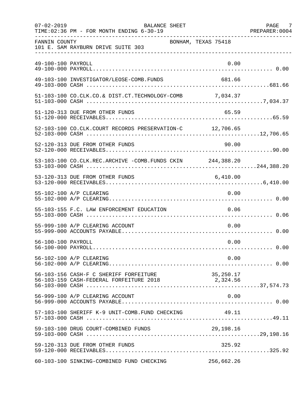| $07 - 02 - 2019$   | <b>BALANCE SHEET</b><br>TIME: 02:36 PM - FOR MONTH ENDING 6-30-19                            |                     | PAGE 7<br>PREPARER: 0004 |
|--------------------|----------------------------------------------------------------------------------------------|---------------------|--------------------------|
| FANNIN COUNTY      | 101 E. SAM RAYBURN DRIVE SUITE 303                                                           | BONHAM, TEXAS 75418 |                          |
| 49-100-100 PAYROLL |                                                                                              | 0.00                |                          |
|                    | 49-103-100 INVESTIGATOR/LEOSE-COMB.FUNDS                                                     | 681.66              |                          |
|                    | 51-103-100 CO.CLK.CO.& DIST.CT.TECHNOLOGY-COMB 7,034.37                                      |                     |                          |
|                    | 51-120-313 DUE FROM OTHER FUNDS                                                              | 65.59               |                          |
|                    | 52-103-100 CO.CLK.COURT RECORDS PRESERVATION-C 12,706.65                                     |                     |                          |
|                    | 52-120-313 DUE FROM OTHER FUNDS                                                              | 90.00               |                          |
|                    | 53-103-100 CO.CLK.REC.ARCHIVE -COMB.FUNDS CKIN 244,388.20                                    |                     |                          |
|                    | 53-120-313 DUE FROM OTHER FUNDS                                                              | 6,410.00            |                          |
|                    | 55-102-100 A/P CLEARING                                                                      | 0.00                |                          |
|                    | 55-103-155 F.C. LAW ENFORCEMENT EDUCATION                                                    | 0.06                |                          |
|                    | 55-999-100 A/P CLEARING ACCOUNT                                                              | 0.00                |                          |
| 56-100-100 PAYROLL |                                                                                              | 0.00                |                          |
|                    | 56-102-100 A/P CLEARING                                                                      | 0.00                |                          |
|                    | 56-103-156 CASH-F C SHERIFF FORFEITURE<br>$56-103-159$ CASH-FEDERAL FORFEITURE 2018 2,324.56 | 35,250.17           |                          |
|                    | 56-999-100 A/P CLEARING ACCOUNT                                                              | 0.00                |                          |
|                    | 57-103-100 SHERIFF K-9 UNIT-COMB.FUND CHECKING                                               | 49.11               |                          |
|                    | 59-103-100 DRUG COURT-COMBINED FUNDS                                                         | 29,198.16           |                          |
|                    | 59-120-313 DUE FROM OTHER FUNDS                                                              | 325.92              |                          |
|                    | 60-103-100 SINKING-COMBINED FUND CHECKING                                                    | 256,662.26          |                          |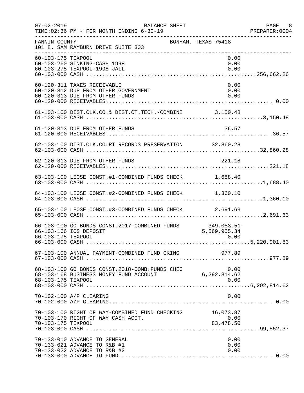| $07 - 02 - 2019$   | <b>BALANCE SHEET</b><br>TIME: 02:36 PM - FOR MONTH ENDING 6-30-19                                      |                      | PAGE 8<br>PREPARER: 0004 |
|--------------------|--------------------------------------------------------------------------------------------------------|----------------------|--------------------------|
| FANNIN COUNTY      | BONHAM, TEXAS 75418<br>101 E. SAM RAYBURN DRIVE SUITE 303                                              |                      |                          |
| 60-103-175 TEXPOOL | 60-103-260 SINKING-CASH 1998<br>60-103-275 TEXPOOL-1998 JAIL                                           | 0.00<br>0.00<br>0.00 |                          |
|                    | 60-120-311 TAXES RECEIVABLE<br>60-120-312 DUE FROM OTHER GOVERNMENT<br>60-120-313 DUE FROM OTHER FUNDS | 0.00<br>0.00<br>0.00 |                          |
|                    | 61-103-100 DIST.CLK.CO.& DIST.CT.TECH.-COMBINE 3,150.48                                                |                      |                          |
|                    | 61-120-313 DUE FROM OTHER FUNDS                                                                        | 36.57                |                          |
|                    | 62-103-100 DIST.CLK.COURT RECORDS PRESERVATION 32,860.28                                               |                      |                          |
|                    | 62-120-313 DUE FROM OTHER FUNDS                                                                        | 221.18               |                          |
|                    | 63-103-100 LEOSE CONST.#1-COMBINED FUNDS CHECK 1,688.40                                                |                      |                          |
|                    | 64-103-100 LEOSE CONST.#2-COMBINED FUNDS CHECK 1,360.10                                                |                      |                          |
|                    | 65-103-100 LEOSE CONST.#3-COMBINED FUNDS CHECK 2,691.63                                                |                      |                          |
| 66-103-175 TEXPOOL | 66-103-100 GO BONDS CONST. 2017-COMBINED FUNDS 349, 053.51-<br>66-103-166 ICS DEPOSIT                  | 5,569,955.34<br>0.00 |                          |
|                    | 67-103-100 ANNUAL PAYMENT-COMBINED FUND CKING 977.89                                                   |                      |                          |
| 68-103-175 TEXPOOL |                                                                                                        | 0.00                 |                          |
|                    | 70-102-100 A/P CLEARING                                                                                | 0.00                 |                          |
| 70-103-175 TEXPOOL | 70-103-100 RIGHT OF WAY-COMBINED FUND CHECKING 16,073.87<br>70-103-170 RIGHT OF WAY CASH ACCT.         | 0.00<br>83, 478.50   |                          |
|                    | 70-133-010 ADVANCE TO GENERAL<br>70-133-021 ADVANCE TO R&B #1<br>70-133-022 ADVANCE TO R&B #2          | 0.00<br>0.00<br>0.00 |                          |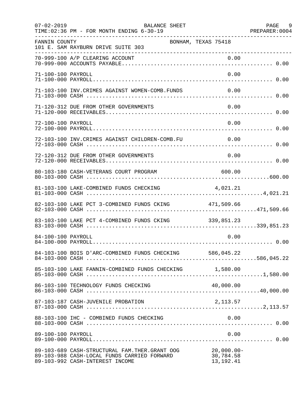| $07 - 02 - 2019$   | BALANCE SHEET<br>TIME: 02:36 PM - FOR MONTH ENDING 6-30-19                                                                        |                                           | PAGE 9<br>PREPARER: 0004 |
|--------------------|-----------------------------------------------------------------------------------------------------------------------------------|-------------------------------------------|--------------------------|
| FANNIN COUNTY      | 101 E. SAM RAYBURN DRIVE SUITE 303                                                                                                | BONHAM, TEXAS 75418                       |                          |
|                    |                                                                                                                                   |                                           |                          |
| 71-100-100 PAYROLL |                                                                                                                                   | 0.00                                      |                          |
|                    | 71-103-100 INV. CRIMES AGAINST WOMEN-COMB. FUNDS                                                                                  | 0.00                                      |                          |
|                    | 71-120-312 DUE FROM OTHER GOVERNMENTS                                                                                             | 0.00                                      |                          |
| 72-100-100 PAYROLL |                                                                                                                                   | 0.00                                      |                          |
|                    | 72-103-100 INV.CRIMES AGAINST CHILDREN-COMB.FU 0.00                                                                               |                                           |                          |
|                    | 72-120-312 DUE FROM OTHER GOVERNMENTS                                                                                             | 0.00                                      |                          |
|                    | 80-103-180 CASH-VETERANS COURT PROGRAM 600.00                                                                                     |                                           |                          |
|                    | 81-103-100 LAKE-COMBINED FUNDS CHECKING 4,021.21                                                                                  |                                           |                          |
|                    | 82-103-100 LAKE PCT 3-COMBINED FUNDS CKING 471,509.66                                                                             |                                           |                          |
|                    | 83-103-100 LAKE PCT 4-COMBINED FUNDS CKING 339,851.23                                                                             |                                           |                          |
| 84-100-100 PAYROLL |                                                                                                                                   | 0.00                                      |                          |
|                    | 84-103-100 BOIS D'ARC-COMBINED FUNDS CHECKING 586,045.22                                                                          |                                           |                          |
|                    | 85-103-100 LAKE FANNIN-COMBINED FUNDS CHECKING 1,580.00                                                                           |                                           |                          |
|                    | 86-103-100 TECHNOLOGY FUNDS CHECKING                                                                                              | 40,000.00                                 |                          |
|                    | 87-103-187 CASH-JUVENILE PROBATION                                                                                                | 2,113.57                                  |                          |
|                    | 88-103-100 IHC - COMBINED FUNDS CHECKING                                                                                          | 0.00                                      |                          |
| 89-100-100 PAYROLL |                                                                                                                                   | 0.00                                      |                          |
|                    | 89-103-689 CASH-STRUCTURAL FAM. THER. GRANT OOG<br>89-103-988 CASH-LOCAL FUNDS CARRIED FORWARD<br>89-103-992 CASH-INTEREST INCOME | $20,000.00 -$<br>30,784.58<br>13, 192. 41 |                          |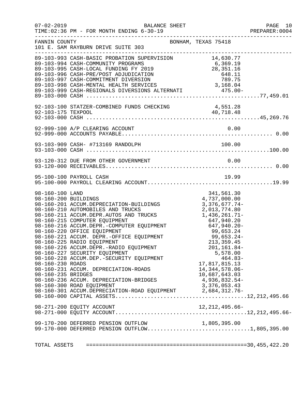|                                                           | $07 - 02 - 2019$<br>BALANCE SHEET<br>TIME: 02:36 PM - FOR MONTH ENDING 6-30-19                                                                                                                                                                                                                                                                                                                                                                                                                                                                                               |                                                                                                                                                              | PAGE 10<br>PREPARER: 0004 |
|-----------------------------------------------------------|------------------------------------------------------------------------------------------------------------------------------------------------------------------------------------------------------------------------------------------------------------------------------------------------------------------------------------------------------------------------------------------------------------------------------------------------------------------------------------------------------------------------------------------------------------------------------|--------------------------------------------------------------------------------------------------------------------------------------------------------------|---------------------------|
| FANNIN COUNTY                                             | BONHAM, TEXAS 75418<br>101 E. SAM RAYBURN DRIVE SUITE 303                                                                                                                                                                                                                                                                                                                                                                                                                                                                                                                    |                                                                                                                                                              |                           |
|                                                           | 92-103-100 STATZER-COMBINED FUNDS CHECKING 4,551.28                                                                                                                                                                                                                                                                                                                                                                                                                                                                                                                          |                                                                                                                                                              |                           |
|                                                           |                                                                                                                                                                                                                                                                                                                                                                                                                                                                                                                                                                              |                                                                                                                                                              |                           |
|                                                           |                                                                                                                                                                                                                                                                                                                                                                                                                                                                                                                                                                              |                                                                                                                                                              |                           |
|                                                           | 93-120-312 DUE FROM OTHER GOVERNMENT                                                                                                                                                                                                                                                                                                                                                                                                                                                                                                                                         | 0.00                                                                                                                                                         |                           |
|                                                           | 95-100-100 PAYROLL CASH                                                                                                                                                                                                                                                                                                                                                                                                                                                                                                                                                      | 19.99                                                                                                                                                        |                           |
| 98-160-100 LAND<br>98-160-230 ROADS<br>98-160-235 BRIDGES | 4.737,000.00<br>98-160-201 ACCUM.DEPRECIATION-BUILDINGS<br>98-160-211 ACCUM.DEPRECIATION-BUILDINGS<br>98-160-211 ACCUM.DEPR.AUTOS AND TRUCKS<br>98-160-211 ACCUM.DEPR.AUTOS AND TRUCKS<br>98-160-215 COMPUTER EQUIPMENT<br>98-160-216 ACCU<br>98-160-225 RADIO EQUIPMENT<br>98-160-226 ACCUM.DEPR.-RADIO EQUIPMENT<br>98-160-227 SECURITY EQUIPMENT<br>98-160-228 ACCUM.DEP.-SECURITY EQUIPMENT<br>98-160-231 ACCUM. DEPRECIATION-ROADS<br>98-160-236 ACCUM. DEPRECIATION-BRIDGES<br>98-160-300 ROAD EQUIPMENT<br>98-160-301 ACCUM.DEPRECIATION-ROAD EQUIPMENT 2,684,312.76- | 341,561.30<br>213, 359.45<br>$201, 161.84 -$<br>5,578.00<br>464.83-<br>17,817,815.13<br>14, 344, 578.06-<br>10,687,643.03<br>4,936,832.54-<br>3, 376, 053.43 |                           |
|                                                           | 98-271-200 EQUITY ACCOUNT                                                                                                                                                                                                                                                                                                                                                                                                                                                                                                                                                    | $12, 212, 495.66 -$                                                                                                                                          |                           |
|                                                           | 99-170-200 DEFERRED PENSION OUTFLOW 1,805,395.00<br>99-170-000 DEFERRED PENSION OUTFLOW1,805,395.00                                                                                                                                                                                                                                                                                                                                                                                                                                                                          |                                                                                                                                                              |                           |
|                                                           |                                                                                                                                                                                                                                                                                                                                                                                                                                                                                                                                                                              |                                                                                                                                                              |                           |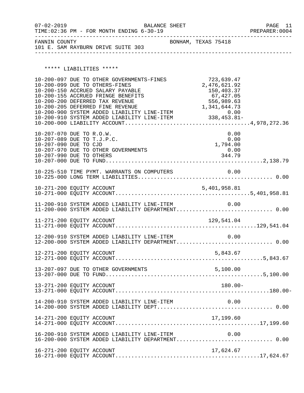| $07 - 02 - 2019$<br>TIME: $02:36$ PM - FOR MONTH ENDING $6-30-19$ | BALANCE SHEET       | PAGE 11<br>PREPARER: 0004 |
|-------------------------------------------------------------------|---------------------|---------------------------|
| FANNIN COUNTY<br>101 E. SAM RAYBURN DRIVE SUITE 303               | BONHAM, TEXAS 75418 |                           |

\*\*\*\*\* LIABILITIES \*\*\*\*\*

|                                                                                                             | 10-200-097 DUE TO OTHER GOVERNMENTS-FINES<br>10-200-099 DUE TO OTHERS-FINES<br>10-200-150 ACCRUED SALARY PAYABLE<br>10-200-155 ACCRUED FRINGE BENEFITS<br>10-200-200 DEFERRED TAX REVENUE | 723,639.47<br>2,476,621.92<br>150,403.37<br>67,427.05<br>556,989.63 |  |
|-------------------------------------------------------------------------------------------------------------|-------------------------------------------------------------------------------------------------------------------------------------------------------------------------------------------|---------------------------------------------------------------------|--|
| 10-207-070 DUE TO R.O.W.<br>10-207-089 DUE TO T.J.P.C.<br>10-207-090 DUE TO CJD<br>10-207-990 DUE TO OTHERS | 10-207-970 DUE TO OTHER GOVERNMENTS                                                                                                                                                       | 0.00<br>0.00<br>1,794.00<br>0.00<br>344.79                          |  |
|                                                                                                             |                                                                                                                                                                                           |                                                                     |  |
|                                                                                                             |                                                                                                                                                                                           |                                                                     |  |
|                                                                                                             | 11-200-910 SYSTEM ADDED LIABILITY LINE-ITEM<br>11-200-000 SYSTEM ADDED LIABILITY DEPARTMENT 0.00                                                                                          | 0.00                                                                |  |
|                                                                                                             |                                                                                                                                                                                           |                                                                     |  |
|                                                                                                             | 12-200-910 SYSTEM ADDED LIABILITY LINE-ITEM $0.00$<br>12-200-000 SYSTEM ADDED LIABILITY DEPARTMENT0.00                                                                                    |                                                                     |  |
|                                                                                                             |                                                                                                                                                                                           |                                                                     |  |
|                                                                                                             |                                                                                                                                                                                           |                                                                     |  |
| 13-271-200 EQUITY ACCOUNT                                                                                   |                                                                                                                                                                                           | $180.00 -$                                                          |  |
|                                                                                                             |                                                                                                                                                                                           |                                                                     |  |
| 14-271-200 EQUITY ACCOUNT                                                                                   |                                                                                                                                                                                           | 17,199.60                                                           |  |
|                                                                                                             | 16-200-910 SYSTEM ADDED LIABILITY LINE-ITEM<br>16-200-000 SYSTEM ADDED LIABILITY DEPARTMENT 0.00                                                                                          | 0.00                                                                |  |
| 16-271-200 EQUITY ACCOUNT                                                                                   |                                                                                                                                                                                           | 17,624.67                                                           |  |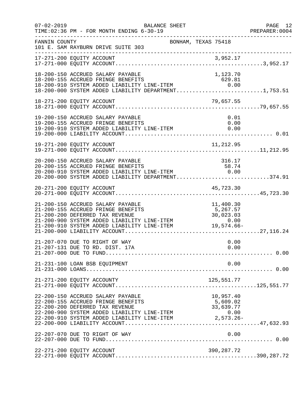| $07 - 02 - 2019$ | BALANCE SHEET<br>TIME: 02:36 PM - FOR MONTH ENDING 6-30-19                                                                                                                                                                                                                   |                                 | PAGE 12<br>PREPARER:0004 |
|------------------|------------------------------------------------------------------------------------------------------------------------------------------------------------------------------------------------------------------------------------------------------------------------------|---------------------------------|--------------------------|
| FANNIN COUNTY    | 101 E. SAM RAYBURN DRIVE SUITE 303                                                                                                                                                                                                                                           | BONHAM, TEXAS 75418             |                          |
|                  |                                                                                                                                                                                                                                                                              |                                 |                          |
|                  | 18-200-150 ACCRUED SALARY PAYABLE<br>18-200-155 ACCRUED FRINGE BENEFITS<br>18-200-910 SYSTEM ADDED LIABILITY LINE-ITEM 0.00<br>18-200-000 SYSTEM ADDED LIABILITY DEPARTMENT1,753.51                                                                                          | 1,123.70                        |                          |
|                  | 18-271-200 EQUITY ACCOUNT                                                                                                                                                                                                                                                    | 79,657.55                       |                          |
|                  | 19-200-150 ACCRUED SALARY PAYABLE<br>19-200-155 ACCRUED FRINGE BENEFITS<br>19-200-910 SYSTEM ADDED LIABILITY LINE-ITEM                                                                                                                                                       | 0.01<br>0.00<br>0.00            |                          |
|                  |                                                                                                                                                                                                                                                                              |                                 |                          |
|                  | 20-200-150 ACCRUED SALARY PAYABLE<br>20-200-155 ACCRUED FRINGE BENEFITS<br>20-200-910 SYSTEM ADDED LIABILITY LINE-ITEM 0.00<br>20-200-000 SYSTEM ADDED LIABILITY DEPARTMENT374.91                                                                                            | 316.17                          |                          |
|                  |                                                                                                                                                                                                                                                                              |                                 |                          |
|                  | 21-200-150 ACCRUED SALARY PAYABLE<br>21-200-155 ACCRUED FRINGE BENEFITS<br>21-200-200 DEFERRED TAX REVENUE<br>21-200-900 SYSTEM ADDED LIABILITY LINE-ITEM 0.00<br>21-200-910 SYSTEM ADDED LIABILITY LINE-ITEM 0.00<br>21-200-910 SYSTEM ADDED LIABILITY LINE-ITEM 19,574.66- | 11,400.30<br>5,267.57           |                          |
|                  | 21-207-070 DUE TO RIGHT OF WAY<br>21-207-131 DUE TO RD. DIST. 17A                                                                                                                                                                                                            | 0.00<br>0.00                    |                          |
|                  | 21-231-100 LOAN BSB EQUIPMENT                                                                                                                                                                                                                                                | 0.00                            |                          |
|                  | 21-271-200 EQUITY ACCOUNTY                                                                                                                                                                                                                                                   |                                 |                          |
|                  | 22-200-150 ACCRUED SALARY PAYABLE<br>22-200-155 ACCRUED FRINGE BENEFITS<br>22-200-200 DEFERRED TAX REVENUE                                                                                                                                                                   | 957.40, د<br>5,609.02<br>33.630 |                          |
|                  | 22-207-070 DUE TO RIGHT OF WAY                                                                                                                                                                                                                                               | 0.00                            |                          |
|                  | 22-271-200 EQUITY ACCOUNT                                                                                                                                                                                                                                                    | 390,287.72                      |                          |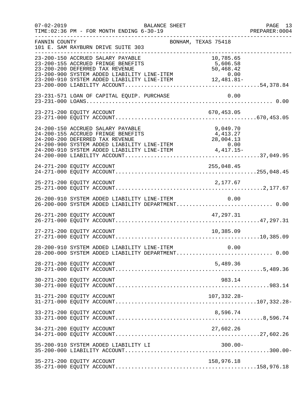| $07 - 02 - 2019$ | BALANCE SHEET<br>TIME: 02:36 PM - FOR MONTH ENDING 6-30-19                                                                                                                                                                                                                   |                                    | PAGE 13<br>PREPARER: 0004 |
|------------------|------------------------------------------------------------------------------------------------------------------------------------------------------------------------------------------------------------------------------------------------------------------------------|------------------------------------|---------------------------|
| FANNIN COUNTY    | 101 E. SAM RAYBURN DRIVE SUITE 303                                                                                                                                                                                                                                           | BONHAM, TEXAS 75418                | _____________________     |
|                  | 23-200-150 ACCRUED SALARY PAYABLE<br>23-200-155 ACCRUED FRINGE BENEFITS<br>23-200-200 DEFERRED TAX REVENUE<br>$23-200-900$ SYSTEM ADDED LIABILITY LINE-ITEM $0.00$<br>23-200-910 SYSTEM ADDED LIABILITY LINE-ITEM $12,481.81-$                                               | 10,785.65<br>5,606.58<br>50,468.42 |                           |
|                  | 23-231-571 LOAN OF CAPITAL EQUIP. PURCHASE                                                                                                                                                                                                                                   | 0.00                               |                           |
|                  | 23-271-200 EQUITY ACCOUNT                                                                                                                                                                                                                                                    | 670,453.05                         |                           |
|                  | 24-200-150 ACCRUED SALARY PAYABLE<br>24-200-155 ACCRUED FRINGE BENEFITS<br>24-200-200 DEFERRED TAX REVENUE<br>24-200-200 SYSTEM ADDED LIABILITY LINE-ITEM<br>$24-200-900$ SYSTEM ADDED LIABILITY LINE-ITEM $0.00$<br>24-200-910 SYSTEM ADDED LIABILITY LINE-ITEM $4,417.15-$ | 9,049.70<br>4,413.27<br>28,004.13  |                           |
|                  | 24-271-200 EQUITY ACCOUNT                                                                                                                                                                                                                                                    | 255,048.45                         |                           |
|                  | 25-271-200 EQUITY ACCOUNT                                                                                                                                                                                                                                                    | 2,177.67                           |                           |
|                  | 26-200-910 SYSTEM ADDED LIABILITY LINE-ITEM 0.00<br>26-200-000 SYSTEM ADDED LIABILITY DEPARTMENT 0.00                                                                                                                                                                        |                                    |                           |
|                  | 26-271-200 EQUITY ACCOUNT                                                                                                                                                                                                                                                    | 47,297.31                          |                           |
|                  | 27-271-200 EQUITY ACCOUNT                                                                                                                                                                                                                                                    | 10,385.09                          |                           |
|                  | 28-200-910 SYSTEM ADDED LIABILITY LINE-ITEM 0.00<br>28-200-000 SYSTEM ADDED LIABILITY DEPARTMENT 0.00                                                                                                                                                                        |                                    |                           |
|                  | 28-271-200 EQUITY ACCOUNT                                                                                                                                                                                                                                                    | 5,489.36                           |                           |
|                  | 30-271-200 EQUITY ACCOUNT                                                                                                                                                                                                                                                    | 983.14                             |                           |
|                  | 31-271-200 EQUITY ACCOUNT                                                                                                                                                                                                                                                    | 107,332.28-                        |                           |
|                  | 33-271-200 EQUITY ACCOUNT                                                                                                                                                                                                                                                    | 8,596.74                           |                           |
|                  | 34-271-200 EQUITY ACCOUNT                                                                                                                                                                                                                                                    | 27,602.26                          |                           |
|                  | 35-200-910 SYSTEM ADDED LIABILITY LI                                                                                                                                                                                                                                         | $300.00 -$                         |                           |
|                  | 35-271-200 EQUITY ACCOUNT                                                                                                                                                                                                                                                    | 158,976.18                         |                           |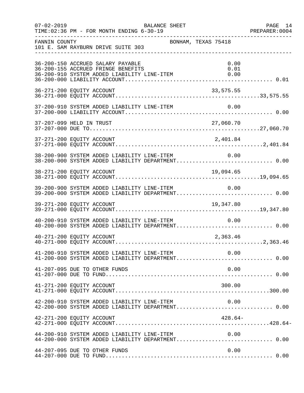|               | $07 - 02 - 2019$                                                        | BALANCE SHEET |                                                                  | PAGE 14<br>PREPARER: 0004                                                                             |
|---------------|-------------------------------------------------------------------------|---------------|------------------------------------------------------------------|-------------------------------------------------------------------------------------------------------|
| FANNIN COUNTY | 101 E. SAM RAYBURN DRIVE SUITE 303                                      |               | BONHAM, TEXAS 75418                                              |                                                                                                       |
|               | 36-200-150 ACCRUED SALARY PAYABLE<br>36-200-155 ACCRUED FRINGE BENEFITS |               | 0.00<br>0.01<br>36-200-910 SYSTEM ADDED LIABILITY LINE-ITEM 0.00 |                                                                                                       |
|               | 36-271-200 EQUITY ACCOUNT                                               |               | 33,575.55                                                        |                                                                                                       |
|               |                                                                         |               |                                                                  |                                                                                                       |
|               |                                                                         |               |                                                                  |                                                                                                       |
|               |                                                                         |               |                                                                  |                                                                                                       |
|               | 38-200-900 SYSTEM ADDED LIABILITY LINE-ITEM                             |               | 0.00                                                             | 38-200-000 SYSTEM ADDED LIABILITY DEPARTMENT 0.00                                                     |
|               | 38-271-200 EQUITY ACCOUNT                                               |               | 19,094.65                                                        |                                                                                                       |
|               |                                                                         |               | 39-200-900 SYSTEM ADDED LIABILITY LINE-ITEM 0.00                 | 39-200-000 SYSTEM ADDED LIABILITY DEPARTMENT 0.00                                                     |
|               | 39-271-200 EQUITY ACCOUNT                                               |               | 19,347.80                                                        |                                                                                                       |
|               | 40-200-910 SYSTEM ADDED LIABILITY LINE-ITEM                             |               | 0.00                                                             | 40-200-000 SYSTEM ADDED LIABILITY DEPARTMENT 0.00                                                     |
|               | 40-271-200 EQUITY ACCOUNT                                               |               | 2,363.46                                                         |                                                                                                       |
|               |                                                                         |               |                                                                  | 41-200-910 SYSTEM ADDED LIABILITY LINE-ITEM 0.00<br>41-200-000 SYSTEM ADDED LIABILITY DEPARTMENT 0.00 |
|               | 41-207-095 DUE TO OTHER FUNDS                                           |               | 0.00                                                             |                                                                                                       |
|               | 41-271-200 EQUITY ACCOUNT                                               |               | 300.00                                                           |                                                                                                       |
|               | 42-200-910 SYSTEM ADDED LIABILITY LINE-ITEM                             |               | 0.00                                                             | 42-200-000 SYSTEM ADDED LIABILITY DEPARTMENT 0.00                                                     |
|               | 42-271-200 EQUITY ACCOUNT                                               |               | $428.64-$                                                        |                                                                                                       |
|               | 44-200-910 SYSTEM ADDED LIABILITY LINE-ITEM                             |               | 0.00                                                             |                                                                                                       |
|               | 44-207-095 DUE TO OTHER FUNDS                                           |               | 0.00                                                             |                                                                                                       |
|               |                                                                         |               |                                                                  |                                                                                                       |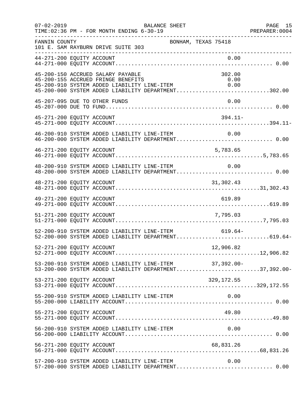| $07 - 02 - 2019$ | BALANCE SHEET<br>TIME: 02:36 PM - FOR MONTH ENDING 6-30-19                                                                                                                                                                                     | PAGE 15 |
|------------------|------------------------------------------------------------------------------------------------------------------------------------------------------------------------------------------------------------------------------------------------|---------|
| FANNIN COUNTY    | BONHAM, TEXAS 75418<br>101 E. SAM RAYBURN DRIVE SUITE 303<br>______________________                                                                                                                                                            |         |
|                  | 0.00<br>44-271-200 EQUITY ACCOUNT                                                                                                                                                                                                              |         |
|                  | 45-200-150 ACCRUED SALARY PAYABLE<br>302.00<br>45-200-155 ACCRUED FRINGE BENEFITS<br>0.00<br>45-200-155 ACCRUED FRINGE BENEFITS 0.00<br>45-200-910 SYSTEM ADDED LIABILITY LINE-ITEM 0.00<br>45-200-000 SYSTEM ADDED LIABILITY DEPARTMENT302.00 |         |
|                  | 0.00<br>45-207-095 DUE TO OTHER FUNDS                                                                                                                                                                                                          |         |
|                  | $394.11-$<br>45-271-200 EQUITY ACCOUNT                                                                                                                                                                                                         |         |
|                  | 46-200-910 SYSTEM ADDED LIABILITY LINE-ITEM<br>0.00                                                                                                                                                                                            |         |
|                  | 46-271-200 EQUITY ACCOUNT<br>5,783.65                                                                                                                                                                                                          |         |
|                  | 48-200-910 SYSTEM ADDED LIABILITY LINE-ITEM 0.00<br>48-200-000 SYSTEM ADDED LIABILITY DEPARTMENT 0.00                                                                                                                                          |         |
|                  | 48-271-200 EQUITY ACCOUNT<br>31,302.43                                                                                                                                                                                                         |         |
|                  | 619.89<br>49-271-200 EQUITY ACCOUNT                                                                                                                                                                                                            |         |
|                  | 51-271-200 EQUITY ACCOUNT<br>7,795.03                                                                                                                                                                                                          |         |
|                  | 52-200-910 SYSTEM ADDED LIABILITY LINE-ITEM 619.64-<br>52-200-000 SYSTEM ADDED LIABILITY DEPARTMENT619.64-                                                                                                                                     |         |
|                  | 12,906.82<br>52-271-200 EQUITY ACCOUNT                                                                                                                                                                                                         |         |
|                  | 53-200-910 SYSTEM ADDED LIABILITY LINE-ITEM 37,392.00-<br>53-200-000 SYSTEM ADDED LIABILITY DEPARTMENT37,392.00-                                                                                                                               |         |
|                  | 53-271-200 EQUITY ACCOUNT                                                                                                                                                                                                                      |         |
|                  | 55-200-910 SYSTEM ADDED LIABILITY LINE-ITEM<br>0.00                                                                                                                                                                                            |         |
|                  | 49.80<br>55-271-200 EQUITY ACCOUNT                                                                                                                                                                                                             |         |
|                  |                                                                                                                                                                                                                                                |         |
|                  |                                                                                                                                                                                                                                                |         |
|                  | 57-200-910 SYSTEM ADDED LIABILITY LINE-ITEM<br>0.00<br>57-200-000 SYSTEM ADDED LIABILITY DEPARTMENT 0.00                                                                                                                                       |         |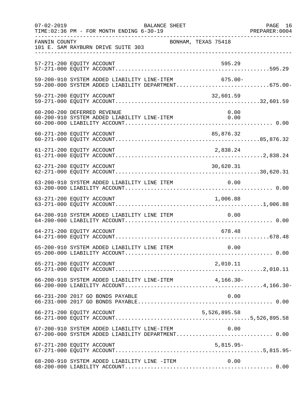| $07 - 02 - 2019$ | TIME: 02:36 PM - FOR MONTH ENDING 6-30-19                                                          | BALANCE SHEET |                     | PAGE 16<br>PREPARER:0004 |
|------------------|----------------------------------------------------------------------------------------------------|---------------|---------------------|--------------------------|
| FANNIN COUNTY    | 101 E. SAM RAYBURN DRIVE SUITE 303                                                                 |               | BONHAM, TEXAS 75418 |                          |
|                  | 57-271-200 EQUITY ACCOUNT                                                                          |               | 595.29              |                          |
|                  | 59-200-910 SYSTEM ADDED LIABILITY LINE-ITEM<br>59-200-000 SYSTEM ADDED LIABILITY DEPARTMENT675.00- |               | 675.00-             |                          |
|                  | 59-271-200 EQUITY ACCOUNT                                                                          |               | 32,601.59           |                          |
|                  | 60-200-200 DEFERRED REVENUE<br>60-200-910 SYSTEM ADDED LIABILITY LINE-ITEM                         |               | 0.00<br>0.00        |                          |
|                  | 60-271-200 EQUITY ACCOUNT                                                                          |               | 85,876.32           |                          |
|                  | 61-271-200 EQUITY ACCOUNT                                                                          |               | 2,838.24            |                          |
|                  | 62-271-200 EQUITY ACCOUNT                                                                          |               | 30,620.31           |                          |
|                  |                                                                                                    |               |                     |                          |
|                  | 63-271-200 EQUITY ACCOUNT                                                                          |               | 1,006.88            |                          |
|                  | 64-200-910 SYSTEM ADDED LIABILITY LINE ITEM                                                        |               | 0.00                |                          |
|                  | 64-271-200 EQUITY ACCOUNT                                                                          |               | 678.48              |                          |
|                  |                                                                                                    |               |                     |                          |
|                  | 65-271-200 EQUITY ACCOUNT                                                                          |               | 2,010.11            |                          |
|                  | 66-200-910 SYSTEM ADDED LIABILITY LINE-ITEM 4,166.30-                                              |               |                     |                          |
|                  | 66-231-200 2017 GO BONDS PAYABLE                                                                   |               | 0.00                |                          |
|                  | 66-271-200 EQUITY ACCOUNT                                                                          |               | 5,526,895.58        |                          |
|                  | 67-200-910 SYSTEM ADDED LIABILITY LINE-ITEM                                                        |               | 0.00                |                          |
|                  | 67-271-200 EQUITY ACCOUNT                                                                          |               | $5,815.95-$         |                          |
|                  | 68-200-910 SYSTEM ADDED LIABILITY LINE -ITEM                                                       |               | 0.00                |                          |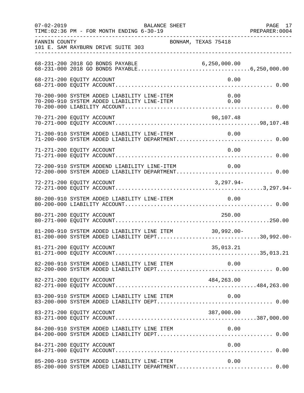| $07 - 02 - 2019$<br>TIME: 02:36 PM - FOR MONTH ENDING 6-30-19                                              | BALANCE SHEET       | PREPARER: 0004 | PAGE 17 |
|------------------------------------------------------------------------------------------------------------|---------------------|----------------|---------|
| FANNIN COUNTY<br>101 E. SAM RAYBURN DRIVE SUITE 303                                                        | BONHAM, TEXAS 75418 |                |         |
| 68-231-200 2018 GO BONDS PAYABLE                                                                           |                     |                |         |
| 68-271-200 EQUITY ACCOUNT                                                                                  |                     | 0.00           |         |
| 70-200-900 SYSTEM ADDED LIABILITY LINE-ITEM<br>70-200-910 SYSTEM ADDED LIABILITY LINE-ITEM 0.00            |                     | 0.00           |         |
| 70-271-200 EQUITY ACCOUNT                                                                                  |                     | 98,107.48      |         |
| 71-200-910 SYSTEM ADDED LIABILITY LINE-ITEM                                                                |                     | 0.00           |         |
| 71-271-200 EQUITY ACCOUNT                                                                                  |                     | 0.00           |         |
| 72-200-910 SYSTEM ADDEND LIABILITY LINE-ITEM 0.00<br>72-200-000 SYSTEM ADDED LIABILITY DEPARTMENT 0.00     |                     |                |         |
|                                                                                                            |                     |                |         |
| 80-200-910 SYSTEM ADDED LIABILITY LINE-ITEM 0.00                                                           |                     |                |         |
| 80-271-200 EQUITY ACCOUNT                                                                                  |                     | 250.00         |         |
| 81-200-910 SYSTEM ADDED LIABILITY LINE ITEM 30,992.00-<br>81-200-000 SYSTEM ADDED LIABILITY DEPT30,992.00- |                     |                |         |
|                                                                                                            |                     |                |         |
|                                                                                                            |                     |                |         |
|                                                                                                            |                     |                |         |
| 83-200-910 SYSTEM ADDED LIABILITY LINE ITEM                                                                |                     | 0.00           |         |
| 83-271-200 EQUITY ACCOUNT                                                                                  |                     | 387,000.00     |         |
|                                                                                                            |                     |                |         |
| 84-271-200 EQUITY ACCOUNT                                                                                  |                     | 0.00           |         |
| 85-200-910 SYSTEM ADDED LIABILITY LINE-ITEM<br>85-200-000 SYSTEM ADDED LIABILITY DEPARTMENT 0.00           |                     | 0.00           |         |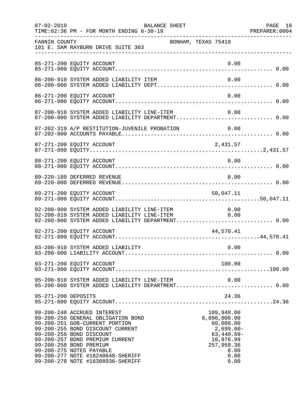| $07 - 02 - 2019$    | TIME: 02:36 PM - FOR MONTH ENDING 6-30-19                                                                                                                                                                                                                                                                                               | BALANCE SHEET       |                                                                                                                           | PAGE 18 |
|---------------------|-----------------------------------------------------------------------------------------------------------------------------------------------------------------------------------------------------------------------------------------------------------------------------------------------------------------------------------------|---------------------|---------------------------------------------------------------------------------------------------------------------------|---------|
| FANNIN COUNTY       | 101 E. SAM RAYBURN DRIVE SUITE 303<br>___________________________________                                                                                                                                                                                                                                                               | BONHAM, TEXAS 75418 |                                                                                                                           |         |
|                     | 85-271-200 EQUITY ACCOUNT                                                                                                                                                                                                                                                                                                               |                     | 0.00                                                                                                                      |         |
|                     | 86-200-910 SYSTEM ADDED LIABILITY ITEM                                                                                                                                                                                                                                                                                                  |                     | 0.00                                                                                                                      |         |
|                     | 86-271-200 EQUITY ACCOUNT                                                                                                                                                                                                                                                                                                               |                     | 0.00                                                                                                                      |         |
|                     |                                                                                                                                                                                                                                                                                                                                         |                     |                                                                                                                           |         |
|                     | 87-202-319 A/P RESTITUTION-JUVENILE PROBATION                                                                                                                                                                                                                                                                                           |                     | 0.00                                                                                                                      |         |
|                     | 87-271-200 EQUITY ACCOUNT                                                                                                                                                                                                                                                                                                               |                     | 2,431.57                                                                                                                  |         |
|                     | 88-271-200 EQUITY ACCOUNT                                                                                                                                                                                                                                                                                                               |                     | 0.00                                                                                                                      |         |
|                     | 89-220-189 DEFERRED REVENUE                                                                                                                                                                                                                                                                                                             |                     | 0.00                                                                                                                      |         |
|                     | 89-271-200 EQUITY ACCOUNT                                                                                                                                                                                                                                                                                                               |                     | 50,047.11                                                                                                                 |         |
|                     | 92-200-900 SYSTEM ADDED LIABILITY LINE-ITEM 0.00<br>92-200-910 SYSTEM ADDED LIABILITY LINE-ITEM 0.00<br>92-200-000 SYSTEM ADDED LIABILITY DEPARTMENT 0.00                                                                                                                                                                               |                     |                                                                                                                           |         |
|                     | 92-271-200 EQUITY ACCOUNT                                                                                                                                                                                                                                                                                                               |                     | 44,570.41                                                                                                                 |         |
|                     |                                                                                                                                                                                                                                                                                                                                         |                     |                                                                                                                           |         |
|                     | 93-271-200 EQUITY ACCOUNT                                                                                                                                                                                                                                                                                                               |                     | 100.00                                                                                                                    |         |
|                     | 95-200-910 SYSTEM ADDED LIABILITY LINE-ITEM<br>95-200-000 SYSTEM ADDED LIABILITY DEPARTMENT 0.00                                                                                                                                                                                                                                        |                     | 0.00                                                                                                                      |         |
| 95-271-200 DEPOSITS |                                                                                                                                                                                                                                                                                                                                         |                     | 24.36                                                                                                                     |         |
|                     | 99-200-240 ACCRUED INTEREST<br>99-200-250 GENERAL OBLIGATION BOND<br>99-200-251 GOB-CURRENT PORTION<br>99-200-255 BOND DISCOUNT CURRENT<br>99-200-256 BOND DISCOUNT<br>99-200-257 BOND PREMIUM CURRENT<br>99-200-258 BOND PREMIUM<br>99-200-275 NOTES PAYABLE<br>99-200-277 NOTE #16240648-SHERIFF<br>99-200-278 NOTE #16308936-SHERIFF |                     | 109,948.00<br>6,090,000.00<br>60,000.00<br>$2,699.60-$<br>$63,440.69-$<br>10,976.99<br>257,959.36<br>0.00<br>0.00<br>0.00 |         |